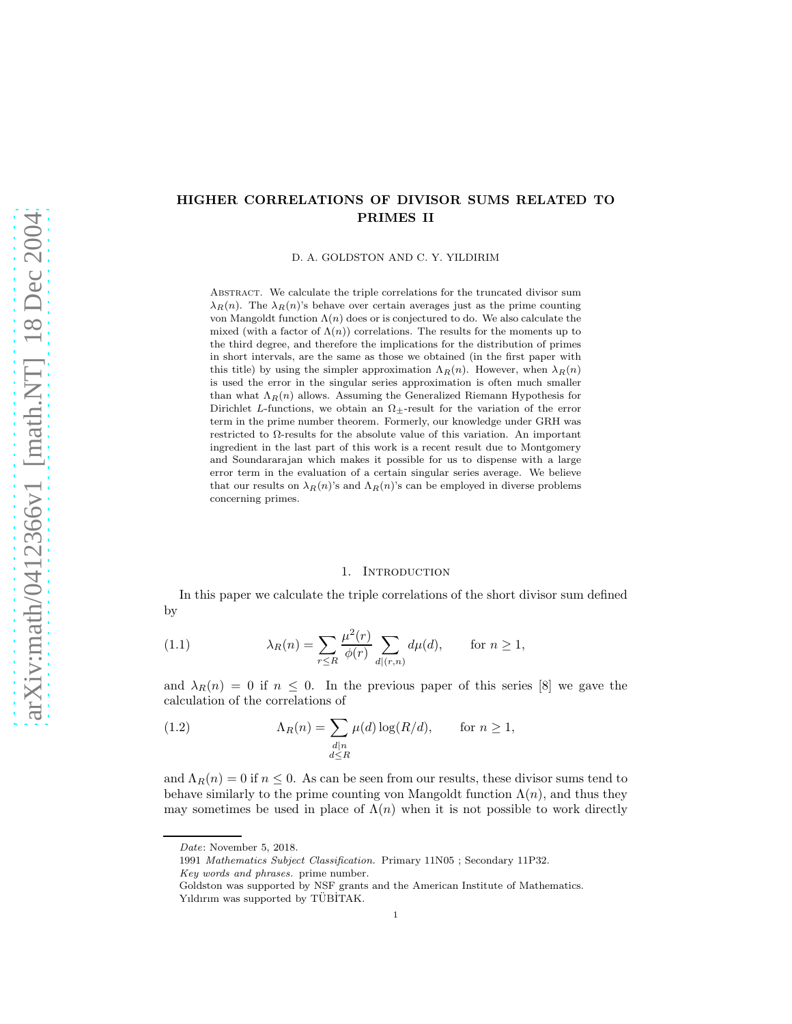## HIGHER CORRELATIONS OF DIVISOR SUMS RELATED TO PRIMES II

D. A. GOLDSTON AND C. Y. YILDIRIM

ABSTRACT. We calculate the triple correlations for the truncated divisor sum  $\lambda_R(n)$ . The  $\lambda_R(n)$ 's behave over certain averages just as the prime counting von Mangoldt function  $\Lambda(n)$  does or is conjectured to do. We also calculate the mixed (with a factor of  $\Lambda(n)$ ) correlations. The results for the moments up to the third degree, and therefore the implications for the distribution of primes in short intervals, are the same as those we obtained (in the first paper with this title) by using the simpler approximation  $\Lambda_R(n)$ . However, when  $\lambda_R(n)$ is used the error in the singular series approximation is often much smaller than what  $\Lambda_R(n)$  allows. Assuming the Generalized Riemann Hypothesis for Dirichlet L-functions, we obtain an  $\Omega$ <sub>+</sub>-result for the variation of the error term in the prime number theorem. Formerly, our knowledge under GRH was restricted to  $\Omega$ -results for the absolute value of this variation. An important ingredient in the last part of this work is a recent result due to Montgomery and Soundararajan which makes it possible for us to dispense with a large error term in the evaluation of a certain singular series average. We believe that our results on  $\lambda_R(n)$ 's and  $\Lambda_R(n)$ 's can be employed in diverse problems concerning primes.

#### 1. INTRODUCTION

In this paper we calculate the triple correlations of the short divisor sum defined by

(1.1) 
$$
\lambda_R(n) = \sum_{r \le R} \frac{\mu^2(r)}{\phi(r)} \sum_{d|(r,n)} d\mu(d), \quad \text{for } n \ge 1,
$$

and  $\lambda_R(n) = 0$  if  $n \leq 0$ . In the previous paper of this series [8] we gave the calculation of the correlations of

(1.2) 
$$
\Lambda_R(n) = \sum_{\substack{d|n \ d \le R}} \mu(d) \log(R/d), \quad \text{for } n \ge 1,
$$

and  $\Lambda_R(n) = 0$  if  $n \leq 0$ . As can be seen from our results, these divisor sums tend to behave similarly to the prime counting von Mangoldt function  $\Lambda(n)$ , and thus they may sometimes be used in place of  $\Lambda(n)$  when it is not possible to work directly

*Date*: November 5, 2018.

<sup>1991</sup> *Mathematics Subject Classification.* Primary 11N05 ; Secondary 11P32.

*Key words and phrases.* prime number.

Goldston was supported by NSF grants and the American Institute of Mathematics. Yıldırım was supported by TÜBİTAK.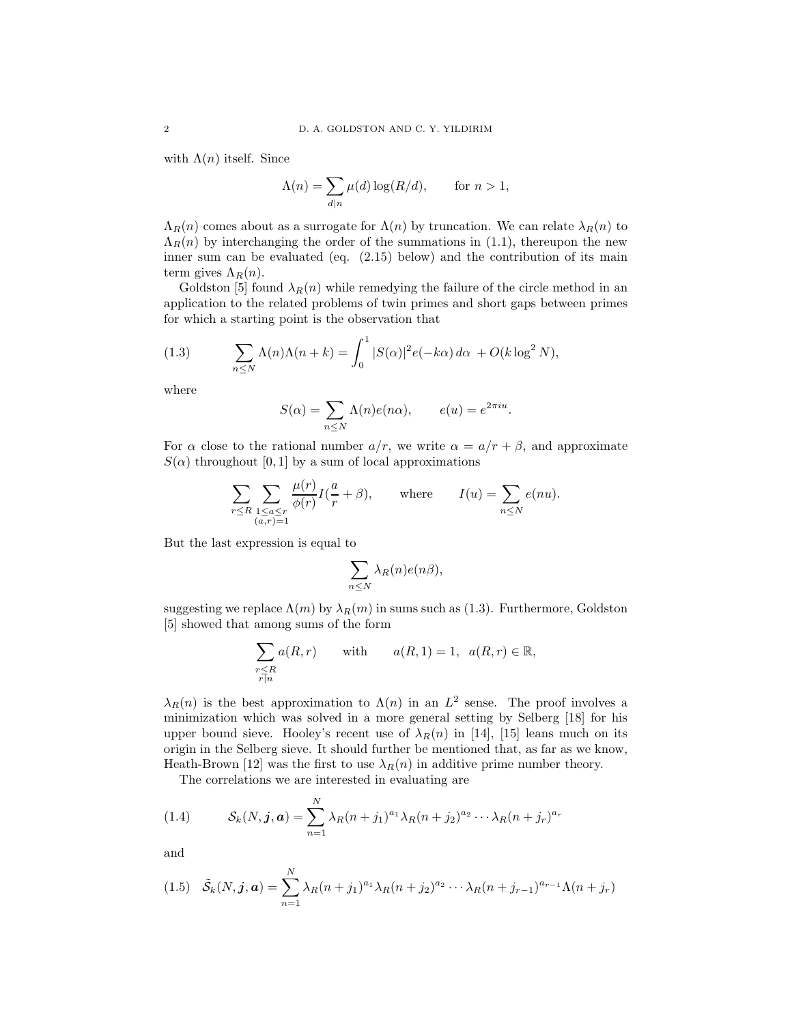with  $\Lambda(n)$  itself. Since

$$
\Lambda(n) = \sum_{d|n} \mu(d) \log(R/d), \quad \text{for } n > 1,
$$

 $\Lambda_R(n)$  comes about as a surrogate for  $\Lambda(n)$  by truncation. We can relate  $\lambda_R(n)$  to  $\Lambda_R(n)$  by interchanging the order of the summations in (1.1), thereupon the new inner sum can be evaluated (eq.  $(2.15)$  below) and the contribution of its main term gives  $\Lambda_R(n)$ .

Goldston [5] found  $\lambda_R(n)$  while remedying the failure of the circle method in an application to the related problems of twin primes and short gaps between primes for which a starting point is the observation that

(1.3) 
$$
\sum_{n\leq N} \Lambda(n)\Lambda(n+k) = \int_0^1 |S(\alpha)|^2 e(-k\alpha) d\alpha + O(k \log^2 N),
$$

where

$$
S(\alpha) = \sum_{n \le N} \Lambda(n)e(n\alpha), \qquad e(u) = e^{2\pi i u}
$$

.

For  $\alpha$  close to the rational number  $a/r$ , we write  $\alpha = a/r + \beta$ , and approximate  $S(\alpha)$  throughout [0, 1] by a sum of local approximations

$$
\sum_{r \leq R} \sum_{\substack{1 \leq a \leq r \\ (a,r)=1}} \frac{\mu(r)}{\phi(r)} I(\frac{a}{r} + \beta), \quad \text{where} \quad I(u) = \sum_{n \leq N} e(nu).
$$

But the last expression is equal to

$$
\sum_{n\leq N}\lambda_R(n)e(n\beta),
$$

suggesting we replace  $\Lambda(m)$  by  $\lambda_R(m)$  in sums such as (1.3). Furthermore, Goldston [5] showed that among sums of the form

$$
\sum_{\substack{r \le R \\ r \mid n}} a(R, r) \qquad \text{with} \qquad a(R, 1) = 1, \ \ a(R, r) \in \mathbb{R},
$$

 $\lambda_R(n)$  is the best approximation to  $\Lambda(n)$  in an  $L^2$  sense. The proof involves a minimization which was solved in a more general setting by Selberg [18] for his upper bound sieve. Hooley's recent use of  $\lambda_R(n)$  in [14], [15] leans much on its origin in the Selberg sieve. It should further be mentioned that, as far as we know, Heath-Brown [12] was the first to use  $\lambda_R(n)$  in additive prime number theory.

The correlations we are interested in evaluating are

(1.4) 
$$
\mathcal{S}_k(N, \mathbf{j}, \mathbf{a}) = \sum_{n=1}^N \lambda_R (n+j_1)^{a_1} \lambda_R (n+j_2)^{a_2} \cdots \lambda_R (n+j_r)^{a_r}
$$

and

$$
(1.5) \quad \tilde{S}_k(N, \mathbf{j}, \mathbf{a}) = \sum_{n=1}^N \lambda_R (n+j_1)^{a_1} \lambda_R (n+j_2)^{a_2} \cdots \lambda_R (n+j_{r-1})^{a_{r-1}} \Lambda (n+j_r)
$$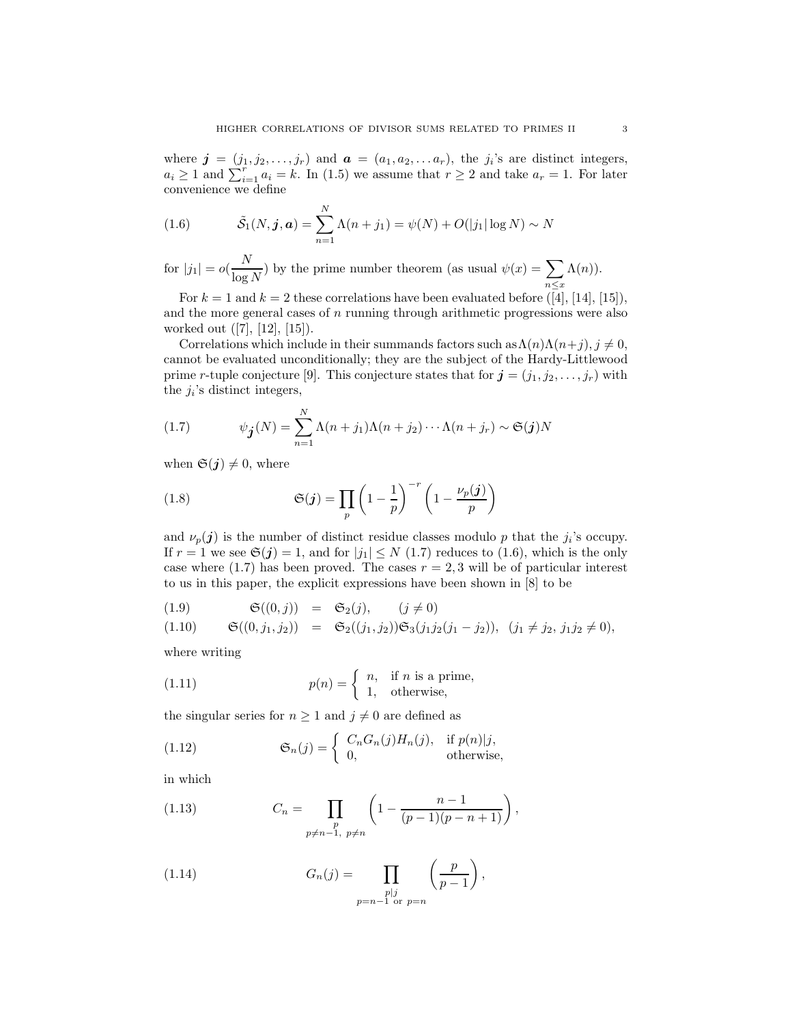where  $\mathbf{j} = (j_1, j_2, \ldots, j_r)$  and  $\mathbf{a} = (a_1, a_2, \ldots, a_r)$ , the  $j_i$ 's are distinct integers,  $a_i \geq 1$  and  $\sum_{i=1}^r a_i = k$ . In (1.5) we assume that  $r \geq 2$  and take  $a_r = 1$ . For later convenience we define

(1.6) 
$$
\tilde{S}_1(N, \mathbf{j}, \mathbf{a}) = \sum_{n=1}^{N} \Lambda(n + j_1) = \psi(N) + O(|j_1| \log N) \sim N
$$

for 
$$
|j_1| = o(\frac{N}{\log N})
$$
 by the prime number theorem (as usual  $\psi(x) = \sum_{n \le x} \Lambda(n)$ ).

For  $k = 1$  and  $k = 2$  these correlations have been evaluated before ([4], [14], [15]), and the more general cases of  $n$  running through arithmetic progressions were also worked out ([7], [12], [15]).

Correlations which include in their summands factors such as  $\Lambda(n)\Lambda(n+j)$ ,  $j\neq 0$ , cannot be evaluated unconditionally; they are the subject of the Hardy-Littlewood prime r-tuple conjecture [9]. This conjecture states that for  $\mathbf{j} = (j_1, j_2, \dots, j_r)$  with the  $j_i$ 's distinct integers,

(1.7) 
$$
\psi_{\mathbf{j}}(N) = \sum_{n=1}^{N} \Lambda(n+j_1) \Lambda(n+j_2) \cdots \Lambda(n+j_r) \sim \mathfrak{S}(\mathbf{j}) N
$$

when  $\mathfrak{S}(j) \neq 0$ , where

(1.8) 
$$
\mathfrak{S}(j) = \prod_p \left(1 - \frac{1}{p}\right)^{-r} \left(1 - \frac{\nu_p(j)}{p}\right)
$$

and  $\nu_p(\boldsymbol{j})$  is the number of distinct residue classes modulo p that the  $j_i$ 's occupy. If  $r = 1$  we see  $\mathfrak{S}(j) = 1$ , and for  $|j_1| \leq N$  (1.7) reduces to (1.6), which is the only case where (1.7) has been proved. The cases  $r = 2, 3$  will be of particular interest to us in this paper, the explicit expressions have been shown in [8] to be

(1.9) 
$$
\mathfrak{S}((0,j)) = \mathfrak{S}_2(j), \qquad (j \neq 0)
$$
  
\n(1.10)  $\mathfrak{S}((0,j_1,j_2)) = \mathfrak{S}_2((j_1,j_2))\mathfrak{S}_3(j_1j_2(j_1-j_2)), \quad (j_1 \neq j_2, j_1j_2 \neq 0),$ 

where writing

(1.11) 
$$
p(n) = \begin{cases} n, & \text{if } n \text{ is a prime,} \\ 1, & \text{otherwise,} \end{cases}
$$

the singular series for  $n \geq 1$  and  $j \neq 0$  are defined as

(1.12) 
$$
\mathfrak{S}_n(j) = \begin{cases} C_n G_n(j) H_n(j), & \text{if } p(n) | j, \\ 0, & \text{otherwise,} \end{cases}
$$

in which

(1.13) 
$$
C_n = \prod_{\substack{p \ p \neq n-1, \ p \neq n}} \left(1 - \frac{n-1}{(p-1)(p-n+1)}\right),
$$

(1.14) 
$$
G_n(j) = \prod_{\substack{p|j \ p=n-1 \text{ or } p=n}} \left(\frac{p}{p-1}\right),
$$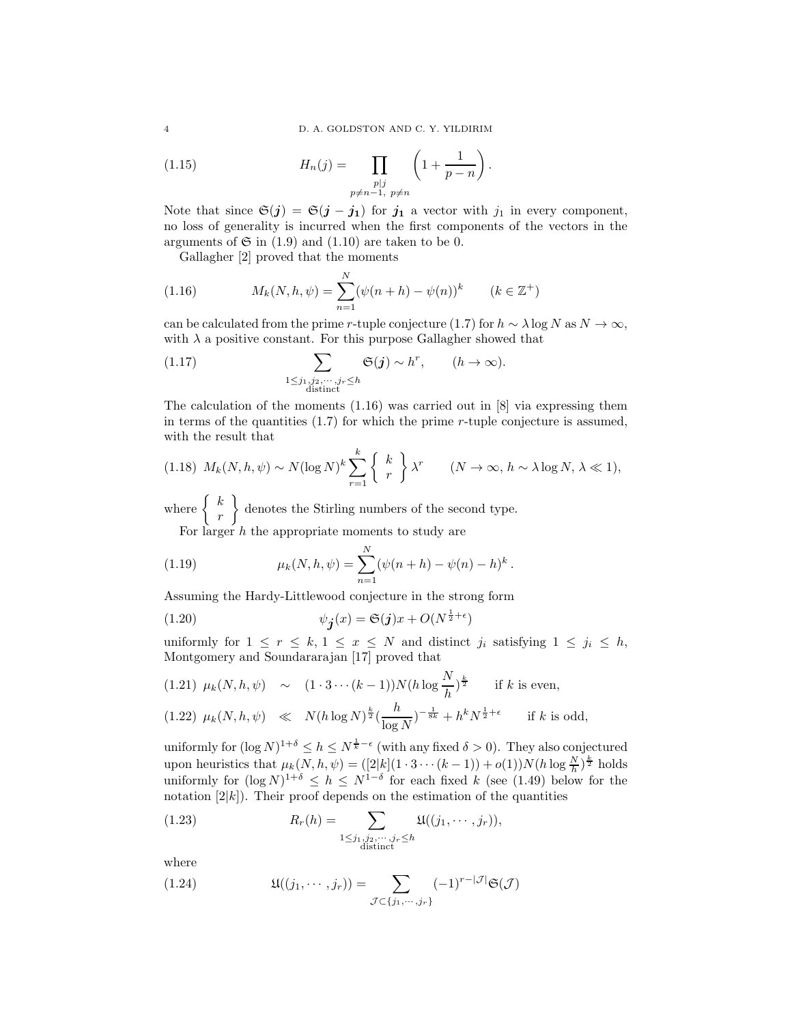4 D. A. GOLDSTON AND C. Y. YILDIRIM

.

(1.15) 
$$
H_n(j) = \prod_{\substack{p \mid j \\ p \neq n-1, \ p \neq n}} \left(1 + \frac{1}{p-n}\right)
$$

Note that since  $\mathfrak{S}(j) = \mathfrak{S}(j - j_1)$  for  $j_1$  a vector with  $j_1$  in every component, no loss of generality is incurred when the first components of the vectors in the arguments of  $\mathfrak{S}$  in (1.9) and (1.10) are taken to be 0.

Gallagher [2] proved that the moments

(1.16) 
$$
M_k(N, h, \psi) = \sum_{n=1}^N (\psi(n+h) - \psi(n))^k \qquad (k \in \mathbb{Z}^+)
$$

can be calculated from the prime r-tuple conjecture (1.7) for  $h \sim \lambda \log N$  as  $N \to \infty$ , with  $\lambda$  a positive constant. For this purpose Gallagher showed that

(1.17) 
$$
\sum_{\substack{1 \leq j_1, j_2, \cdots, j_r \leq h \\ \text{distinct}}} \mathfrak{S}(j) \sim h^r, \qquad (h \to \infty).
$$

The calculation of the moments  $(1.16)$  was carried out in [8] via expressing them in terms of the quantities  $(1.7)$  for which the prime r-tuple conjecture is assumed, with the result that

$$
(1.18) \ M_k(N, h, \psi) \sim N(\log N)^k \sum_{r=1}^k \left\{ k \atop r \right\} \lambda^r \qquad (N \to \infty, h \sim \lambda \log N, \lambda \ll 1),
$$

where  $\begin{cases} k \end{cases}$ r denotes the Stirling numbers of the second type.

For larger  $h$  the appropriate moments to study are

(1.19) 
$$
\mu_k(N, h, \psi) = \sum_{n=1}^N (\psi(n+h) - \psi(n) - h)^k.
$$

Assuming the Hardy-Littlewood conjecture in the strong form

(1.20) 
$$
\psi_{\mathbf{j}}(x) = \mathfrak{S}(\mathbf{j})x + O(N^{\frac{1}{2} + \epsilon})
$$

uniformly for  $1 \leq r \leq k, 1 \leq x \leq N$  and distinct  $j_i$  satisfying  $1 \leq j_i \leq h$ , Montgomery and Soundararajan [17] proved that

$$
(1.21) \ \mu_k(N, h, \psi) \sim (1 \cdot 3 \cdots (k-1)) N(h \log \frac{N}{h})^{\frac{k}{2}} \quad \text{if } k \text{ is even},
$$
\n
$$
(1.22) \ \mu_k(N, h, \psi) \ll N(h \log N)^{\frac{k}{2}} \left(\frac{h}{\log N}\right)^{-\frac{1}{8k}} + h^k N^{\frac{1}{2} + \epsilon} \quad \text{if } k \text{ is odd},
$$

uniformly for  $(\log N)^{1+\delta} \leq h \leq N^{\frac{1}{k}-\epsilon}$  (with any fixed  $\delta > 0$ ). They also conjectured upon heuristics that  $\mu_k(N, h, \psi) = (\frac{2|k|}{1 \cdot 3 \cdots (k-1)}) + o(1)N(h \log \frac{N}{h})^{\frac{k}{2}}$  holds uniformly for  $(\log N)^{1+\delta} \leq h \leq N^{1-\delta}$  for each fixed k (see (1.49) below for the notation  $[2|k]$ ). Their proof depends on the estimation of the quantities

(1.23) 
$$
R_r(h) = \sum_{\substack{1 \le j_1, j_2, \cdots, j_r \le h \\ \text{distinct}}} \mathfrak{U}((j_1, \cdots, j_r)),
$$

where

(1.24) 
$$
\mathfrak{U}((j_1,\cdots,j_r))=\sum_{\mathcal{J}\subset\{j_1,\cdots,j_r\}}(-1)^{r-|\mathcal{J}|}\mathfrak{S}(\mathcal{J})
$$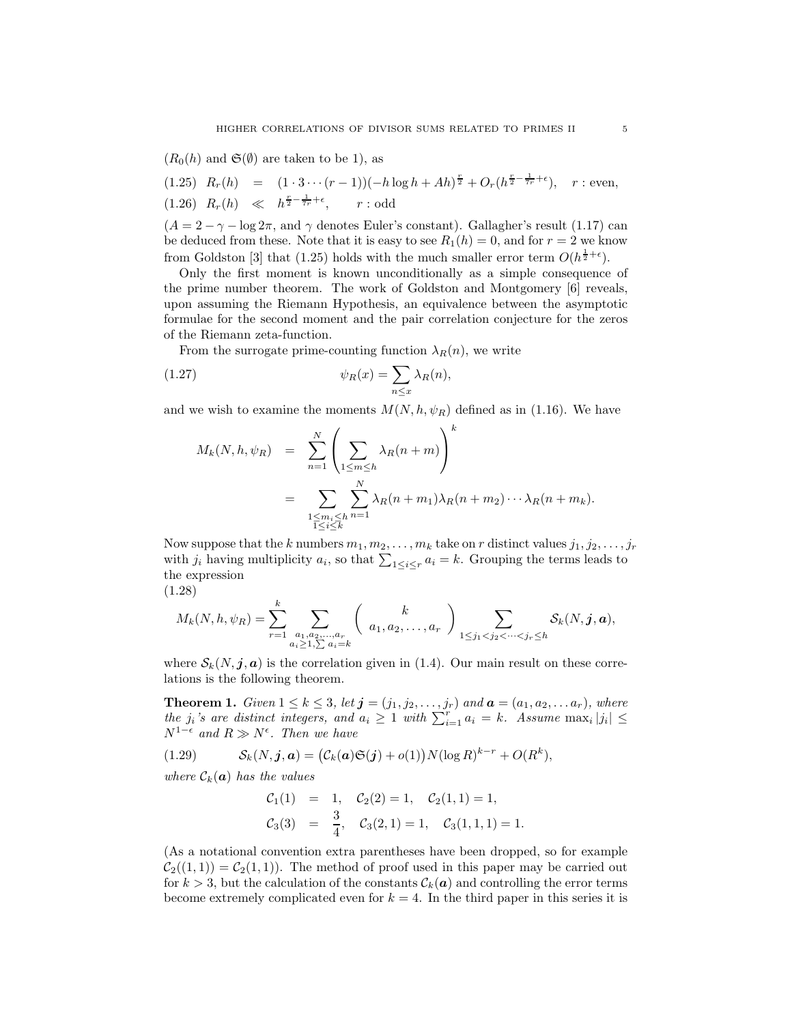$(R_0(h)$  and  $\mathfrak{S}(\emptyset)$  are taken to be 1), as

$$
(1.25) \ R_r(h) = (1 \cdot 3 \cdots (r-1)) (-h \log h + Ah)^{\frac{r}{2}} + O_r(h^{\frac{r}{2} - \frac{1}{r_r} + \epsilon}), \quad r : \text{even},
$$
  

$$
(1.26) \ R_r(h) \ll h^{\frac{r}{2} - \frac{1}{r_r} + \epsilon}, \quad r : \text{odd}
$$

 $(A = 2 - \gamma - \log 2\pi$ , and  $\gamma$  denotes Euler's constant). Gallagher's result (1.17) can be deduced from these. Note that it is easy to see  $R_1(h) = 0$ , and for  $r = 2$  we know from Goldston [3] that (1.25) holds with the much smaller error term  $O(h^{\frac{1}{2}+\epsilon})$ .

Only the first moment is known unconditionally as a simple consequence of the prime number theorem. The work of Goldston and Montgomery [6] reveals, upon assuming the Riemann Hypothesis, an equivalence between the asymptotic formulae for the second moment and the pair correlation conjecture for the zeros of the Riemann zeta-function.

From the surrogate prime-counting function  $\lambda_R(n)$ , we write

(1.27) 
$$
\psi_R(x) = \sum_{n \le x} \lambda_R(n),
$$

and we wish to examine the moments  $M(N, h, \psi_R)$  defined as in (1.16). We have

$$
M_k(N, h, \psi_R) = \sum_{n=1}^N \left( \sum_{\substack{1 \le m \le h}} \lambda_R(n+m) \right)^k
$$
  
= 
$$
\sum_{\substack{1 \le m_i \le h \\ 1 \le i \le k}} \sum_{n=1}^N \lambda_R(n+m_1) \lambda_R(n+m_2) \cdots \lambda_R(n+m_k).
$$

Now suppose that the k numbers  $m_1, m_2, \ldots, m_k$  take on r distinct values  $j_1, j_2, \ldots, j_r$ with  $j_i$  having multiplicity  $a_i$ , so that  $\sum_{1 \leq i \leq r} a_i = k$ . Grouping the terms leads to the expression

(1.28)

$$
M_k(N, h, \psi_R) = \sum_{r=1}^k \sum_{\substack{a_1, a_2, \dots, a_r \\ a_i \ge 1, \sum a_i = k}} \binom{k}{a_1, a_2, \dots, a_r} \sum_{1 \le j_1 < j_2 < \dots < j_r \le h} \mathcal{S}_k(N, \mathbf{j}, \mathbf{a}),
$$

where  $S_k(N, j, a)$  is the correlation given in (1.4). Our main result on these correlations is the following theorem.

**Theorem 1.** Given  $1 \leq k \leq 3$ , let  $\boldsymbol{j} = (j_1, j_2, \ldots, j_r)$  and  $\boldsymbol{a} = (a_1, a_2, \ldots, a_r)$ , where the  $j_i$ 's are distinct integers, and  $a_i \geq 1$  with  $\sum_{i=1}^r a_i = k$ . Assume  $\max_i |j_i| \leq$  $N^{1-\epsilon}$  and  $R \gg N^{\epsilon}$ . Then we have

(1.29) 
$$
\mathcal{S}_k(N, \boldsymbol{j}, \boldsymbol{a}) = (C_k(\boldsymbol{a})\mathfrak{S}(\boldsymbol{j}) + o(1))N(\log R)^{k-r} + O(R^k),
$$

where  $\mathcal{C}_k(\mathbf{a})$  has the values

$$
C_1(1) = 1, C_2(2) = 1, C_2(1, 1) = 1,
$$
  
\n $C_3(3) = \frac{3}{4}, C_3(2, 1) = 1, C_3(1, 1, 1) = 1.$ 

(As a notational convention extra parentheses have been dropped, so for example  $C_2((1,1)) = C_2(1,1)$ . The method of proof used in this paper may be carried out for  $k > 3$ , but the calculation of the constants  $\mathcal{C}_k(\boldsymbol{a})$  and controlling the error terms become extremely complicated even for  $k = 4$ . In the third paper in this series it is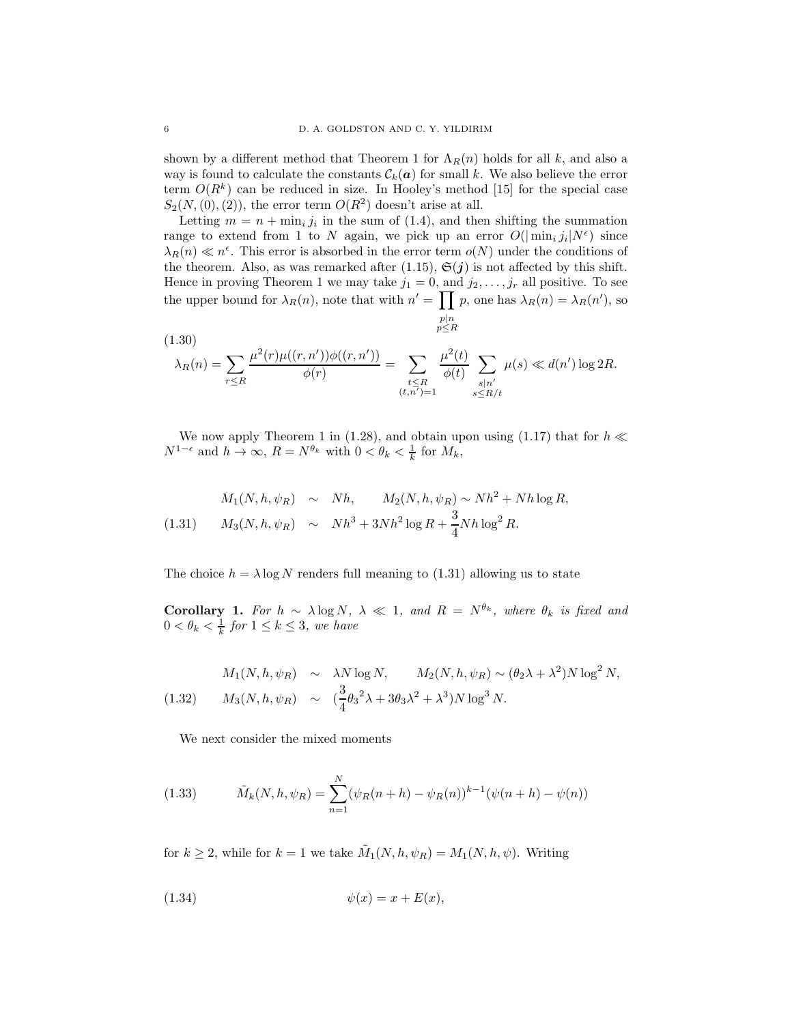shown by a different method that Theorem 1 for  $\Lambda_R(n)$  holds for all k, and also a way is found to calculate the constants  $\mathcal{C}_k(a)$  for small k. We also believe the error term  $O(R^k)$  can be reduced in size. In Hooley's method [15] for the special case  $S_2(N, (0), (2))$ , the error term  $O(R^2)$  doesn't arise at all.

Letting  $m = n + \min_i j_i$  in the sum of (1.4), and then shifting the summation range to extend from 1 to N again, we pick up an error  $O(|\min_i j_i|N^{\epsilon})$  since  $\lambda_R(n) \ll n^{\epsilon}$ . This error is absorbed in the error term  $o(N)$  under the conditions of the theorem. Also, as was remarked after (1.15),  $\mathfrak{S}(j)$  is not affected by this shift. Hence in proving Theorem 1 we may take  $j_1 = 0$ , and  $j_2, \ldots, j_r$  all positive. To see the upper bound for  $\lambda_R(n)$ , note that with  $n' = \prod p$ , one has  $\lambda_R(n) = \lambda_R(n')$ , so  $p|n \n p \leq R$ 

(1.30)  
\n
$$
\lambda_R(n) = \sum_{r \le R} \frac{\mu^2(r)\mu((r,n'))\phi((r,n'))}{\phi(r)} = \sum_{\substack{t \le R \\ (t,n')=1}} \frac{\mu^2(t)}{\phi(t)} \sum_{\substack{s|n' \\ s \le R/t}} \mu(s) \ll d(n') \log 2R.
$$

We now apply Theorem 1 in (1.28), and obtain upon using (1.17) that for  $h \ll$  $N^{1-\epsilon}$  and  $h \to \infty$ ,  $R = N^{\theta_k}$  with  $0 < \theta_k < \frac{1}{k}$  for  $M_k$ ,

(1.31) 
$$
M_1(N, h, \psi_R) \sim Nh
$$
,  $M_2(N, h, \psi_R) \sim Nh^2 + Nh \log R$ ,  
\n $M_3(N, h, \psi_R) \sim Nh^3 + 3Nh^2 \log R + \frac{3}{4}Nh \log^2 R$ .

The choice  $h = \lambda \log N$  renders full meaning to (1.31) allowing us to state

Corollary 1. For  $h \sim \lambda \log N$ ,  $\lambda \ll 1$ , and  $R = N^{\theta_k}$ , where  $\theta_k$  is fixed and  $0 < \theta_k < \frac{1}{k}$  for  $1 \leq k \leq 3$ , we have

$$
M_1(N, h, \psi_R) \sim \lambda N \log N, \qquad M_2(N, h, \psi_R) \sim (\theta_2 \lambda + \lambda^2) N \log^2 N,
$$
  
(1.32) 
$$
M_3(N, h, \psi_R) \sim (\frac{3}{4}\theta_3^2 \lambda + 3\theta_3 \lambda^2 + \lambda^3) N \log^3 N.
$$

We next consider the mixed moments

(1.33) 
$$
\tilde{M}_k(N, h, \psi_R) = \sum_{n=1}^N (\psi_R(n+h) - \psi_R(n))^{k-1} (\psi(n+h) - \psi(n))
$$

for  $k \geq 2$ , while for  $k = 1$  we take  $\tilde{M}_1(N, h, \psi_R) = M_1(N, h, \psi)$ . Writing

$$
(1.34) \qquad \qquad \psi(x) = x + E(x),
$$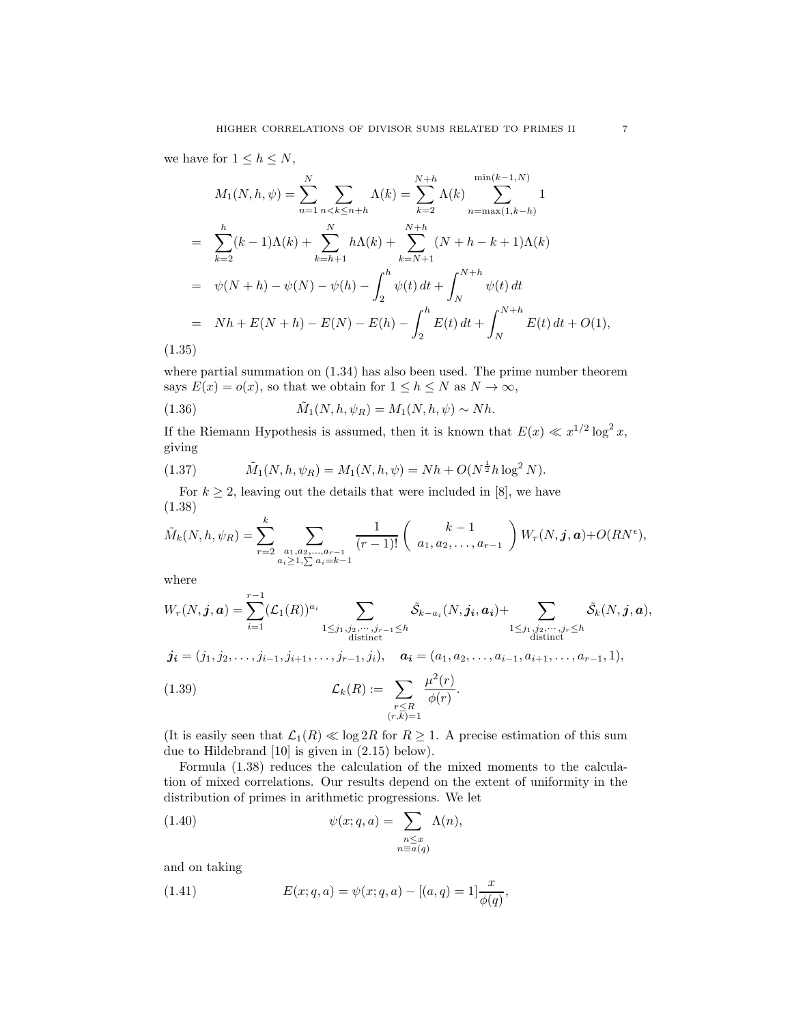we have for  $1 \leq h \leq N$ ,

$$
M_1(N, h, \psi) = \sum_{n=1}^N \sum_{n < k \le n+h} \Lambda(k) = \sum_{k=2}^{N+h} \Lambda(k) \sum_{n=\max(1, k-h)}^{\min(k-1, N)} 1
$$
\n
$$
= \sum_{k=2}^h (k-1)\Lambda(k) + \sum_{k=h+1}^N h\Lambda(k) + \sum_{k=N+1}^{N+h} (N+h-k+1)\Lambda(k)
$$
\n
$$
= \psi(N+h) - \psi(N) - \psi(h) - \int_2^h \psi(t) dt + \int_N^{N+h} \psi(t) dt
$$
\n
$$
= Nh + E(N+h) - E(N) - E(h) - \int_2^h E(t) dt + \int_N^{N+h} E(t) dt + O(1),
$$
\n255

(1.35)

where partial summation on  $(1.34)$  has also been used. The prime number theorem says  $E(x) = o(x)$ , so that we obtain for  $1 \leq h \leq N$  as  $N \to \infty$ ,

(1.36) 
$$
\tilde{M}_1(N, h, \psi_R) = M_1(N, h, \psi) \sim Nh.
$$

If the Riemann Hypothesis is assumed, then it is known that  $E(x) \ll x^{1/2} \log^2 x$ , giving

(1.37) 
$$
\tilde{M}_1(N, h, \psi_R) = M_1(N, h, \psi) = Nh + O(N^{\frac{1}{2}}h \log^2 N).
$$

For  $k \geq 2$ , leaving out the details that were included in [8], we have (1.38)

$$
\tilde{M}_k(N,h,\psi_R) = \sum_{r=2}^k \sum_{\substack{a_1, a_2, \dots, a_{r-1} \\ a_i \ge 1, \sum a_i = k-1}} \frac{1}{(r-1)!} \left( \begin{array}{c} k-1 \\ a_1, a_2, \dots, a_{r-1} \end{array} \right) W_r(N,\mathbf{j},\mathbf{a}) + O(RN^{\epsilon}),
$$

where

$$
W_r(N, \mathbf{j}, \mathbf{a}) = \sum_{i=1}^{r-1} (\mathcal{L}_1(R))^{a_i} \sum_{\substack{1 \leq j_1, j_2, \cdots, j_{r-1} \leq h \\ \text{distinct}}} \tilde{\mathcal{S}}_{k-a_i}(N, \mathbf{j}_i, \mathbf{a}_i) + \sum_{\substack{1 \leq j_1, j_2, \cdots, j_r \leq h \\ \text{distinct}}} \tilde{\mathcal{S}}_k(N, \mathbf{j}, \mathbf{a}),
$$

$$
\boldsymbol{j_i}=(j_1,j_2,\ldots,j_{i-1},j_{i+1},\ldots,j_{r-1},j_i), \quad \boldsymbol{a_i}=(a_1,a_2,\ldots,a_{i-1},a_{i+1},\ldots,a_{r-1},1),
$$

(1.39) 
$$
\mathcal{L}_k(R) := \sum_{\substack{r \leq R \\ (r,\overline{k})=1}} \frac{\mu^2(r)}{\phi(r)}.
$$

(It is easily seen that  $\mathcal{L}_1(R) \ll \log 2R$  for  $R \geq 1$ . A precise estimation of this sum due to Hildebrand [10] is given in (2.15) below).

Formula (1.38) reduces the calculation of the mixed moments to the calculation of mixed correlations. Our results depend on the extent of uniformity in the distribution of primes in arithmetic progressions. We let

(1.40) 
$$
\psi(x;q,a) = \sum_{\substack{n \le x \\ n \equiv a(q)}} \Lambda(n),
$$

and on taking

(1.41) 
$$
E(x;q,a) = \psi(x;q,a) - [(a,q) = 1] \frac{x}{\phi(q)},
$$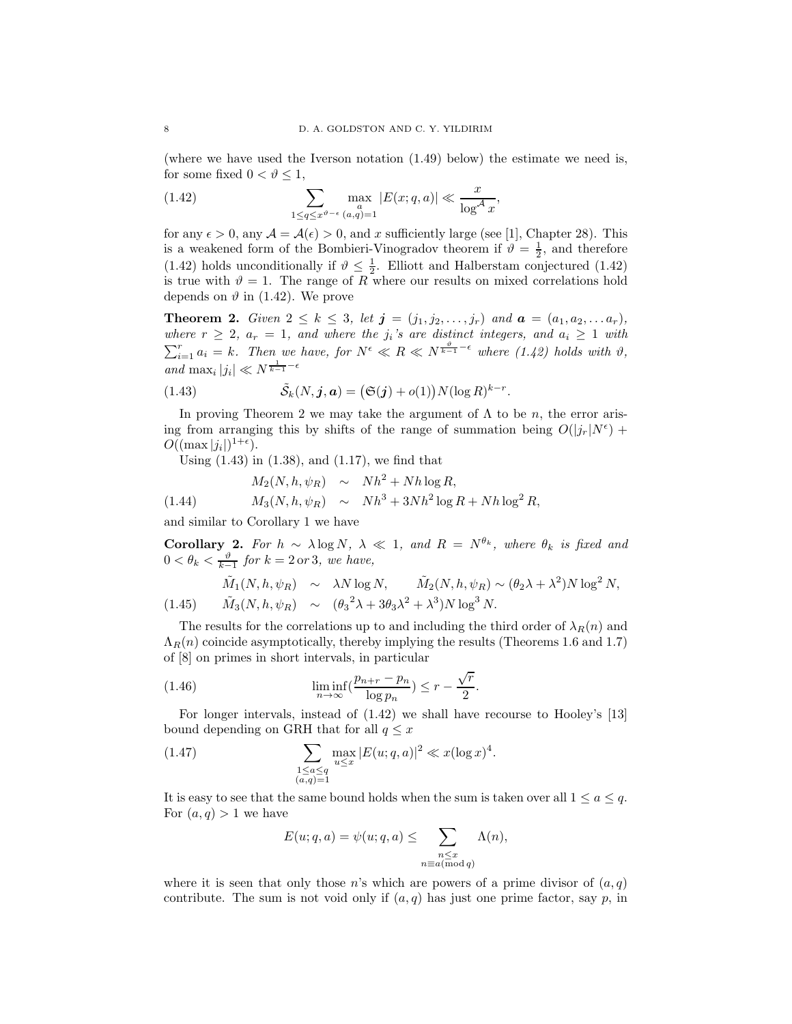(where we have used the Iverson notation (1.49) below) the estimate we need is, for some fixed  $0 < \vartheta < 1$ ,

(1.42) 
$$
\sum_{1 \le q \le x^{\vartheta - \epsilon}} \max_{(a,q)=1} |E(x;q,a)| \ll \frac{x}{\log^{A} x},
$$

for any  $\epsilon > 0$ , any  $\mathcal{A} = \mathcal{A}(\epsilon) > 0$ , and x sufficiently large (see [1], Chapter 28). This is a weakened form of the Bombieri-Vinogradov theorem if  $\vartheta = \frac{1}{2}$ , and therefore (1.42) holds unconditionally if  $\vartheta \leq \frac{1}{2}$ . Elliott and Halberstam conjectured (1.42) is true with  $\vartheta = 1$ . The range of R where our results on mixed correlations hold depends on  $\vartheta$  in (1.42). We prove

**Theorem 2.** Given  $2 \le k \le 3$ , let  $j = (j_1, j_2, \ldots, j_r)$  and  $a = (a_1, a_2, \ldots, a_r)$ , where  $r \geq 2$ ,  $a_r = 1$ , and where the j<sub>i</sub>'s are distinct integers, and  $a_i \geq 1$  with  $\sum_{i=1}^r a_i = k$ . Then we have, for  $N^{\epsilon} \ll R \ll N^{\frac{\vartheta}{k-1} - \epsilon}$  where  $(1.42)$  holds with  $\vartheta$ , and  $\max_i |j_i| \ll N^{\frac{1}{k-1} - \epsilon}$ 

(1.43) 
$$
\tilde{S}_k(N, \mathbf{j}, \mathbf{a}) = (\mathfrak{S}(\mathbf{j}) + o(1)) N(\log R)^{k-r}.
$$

In proving Theorem 2 we may take the argument of  $\Lambda$  to be n, the error arising from arranging this by shifts of the range of summation being  $O(|j_r|N^{\epsilon})$  +  $O((\max |j_i|)^{1+\epsilon}).$ 

Using (1.43) in (1.38), and (1.17), we find that

(1.44) 
$$
M_2(N, h, \psi_R) \sim Nh^2 + Nh\log R,
$$

$$
M_3(N, h, \psi_R) \sim Nh^3 + 3Nh^2\log R + Nh\log^2 R,
$$

and similar to Corollary 1 we have

**Corollary 2.** For  $h \sim \lambda \log N$ ,  $\lambda \ll 1$ , and  $R = N^{\theta_k}$ , where  $\theta_k$  is fixed and  $0 < \theta_k < \frac{\vartheta}{k-1}$  for  $k = 2$  or 3, we have,

$$
\tilde{M}_1(N, h, \psi_R) \sim \lambda N \log N, \qquad \tilde{M}_2(N, h, \psi_R) \sim (\theta_2 \lambda + \lambda^2) N \log^2 N,
$$
\n
$$
(1.45) \qquad \tilde{M}_3(N, h, \psi_R) \sim (\theta_3^2 \lambda + 3\theta_3 \lambda^2 + \lambda^3) N \log^3 N.
$$

The results for the correlations up to and including the third order of  $\lambda_R(n)$  and  $\Lambda_R(n)$  coincide asymptotically, thereby implying the results (Theorems 1.6 and 1.7) of [8] on primes in short intervals, in particular

(1.46) 
$$
\liminf_{n \to \infty} \left( \frac{p_{n+r} - p_n}{\log p_n} \right) \le r - \frac{\sqrt{r}}{2}.
$$

For longer intervals, instead of (1.42) we shall have recourse to Hooley's [13] bound depending on GRH that for all  $q \leq x$ 

(1.47) 
$$
\sum_{\substack{1 \le a \le q \\ (a,q)=1}} \max_{u \le x} |E(u;q,a)|^2 \ll x(\log x)^4.
$$

It is easy to see that the same bound holds when the sum is taken over all  $1 \le a \le q$ . For  $(a, q) > 1$  we have

$$
E(u;q,a) = \psi(u;q,a) \leq \sum_{\substack{n \leq x \\ n \equiv a (\text{mod } q)}} \Lambda(n),
$$

where it is seen that only those n's which are powers of a prime divisor of  $(a, q)$ contribute. The sum is not void only if  $(a, q)$  has just one prime factor, say p, in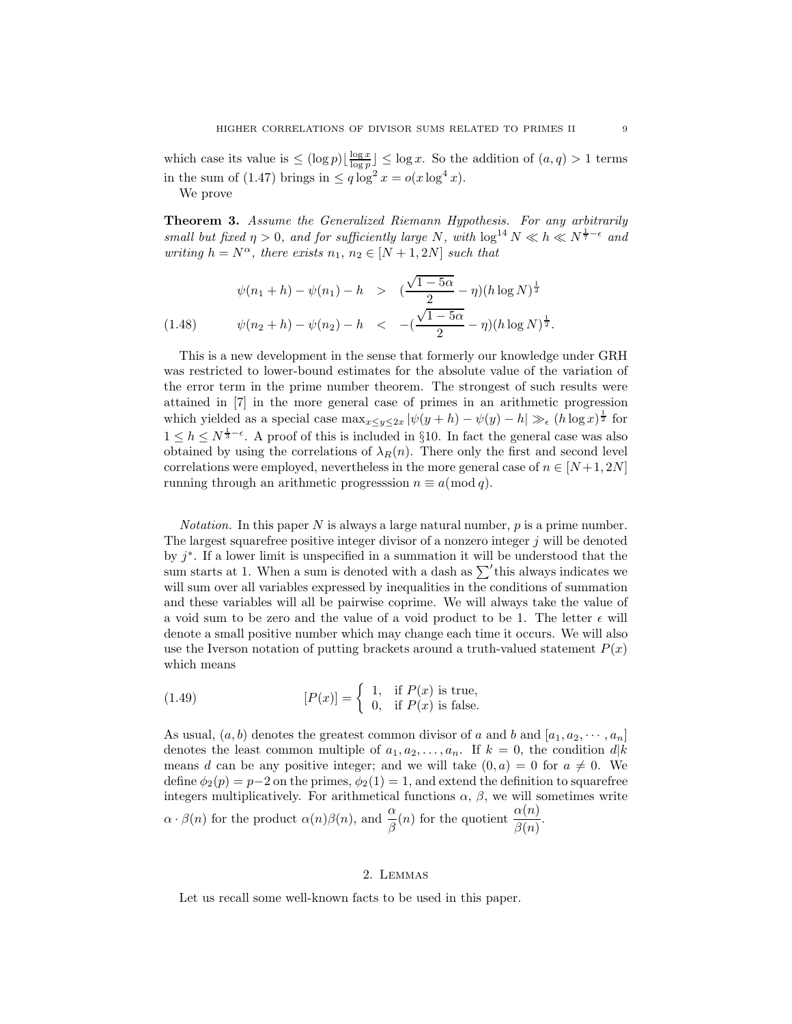which case its value is  $\leq (\log p) \lfloor \frac{\log x}{\log p} \rfloor \leq \log x$ . So the addition of  $(a, q) > 1$  terms in the sum of (1.47) brings in  $\leq q \log^2 x = o(x \log^4 x)$ .

We prove

Theorem 3. Assume the Generalized Riemann Hypothesis. For any arbitrarily small but fixed  $\eta > 0$ , and for sufficiently large N, with  $\log^{14} N \ll h \ll N^{\frac{1}{7}-\epsilon}$  and writing  $h = N^{\alpha}$ , there exists  $n_1, n_2 \in [N + 1, 2N]$  such that

$$
\psi(n_1 + h) - \psi(n_1) - h > \left(\frac{\sqrt{1 - 5\alpha}}{2} - \eta\right)(h \log N)^{\frac{1}{2}}
$$
\n
$$
(1.48) \qquad \psi(n_2 + h) - \psi(n_2) - h < -\left(\frac{\sqrt{1 - 5\alpha}}{2} - \eta\right)(h \log N)^{\frac{1}{2}}.
$$

This is a new development in the sense that formerly our knowledge under GRH was restricted to lower-bound estimates for the absolute value of the variation of the error term in the prime number theorem. The strongest of such results were attained in [7] in the more general case of primes in an arithmetic progression which yielded as a special case  $\max_{x \le y \le 2x} |\psi(y+h) - \psi(y) - h| \gg_{\epsilon} (h \log x)^{\frac{1}{2}}$  for  $1 \leq h \leq N^{\frac{1}{3}-\epsilon}$ . A proof of this is included in §10. In fact the general case was also obtained by using the correlations of  $\lambda_R(n)$ . There only the first and second level correlations were employed, nevertheless in the more general case of  $n \in [N+1, 2N]$ running through an arithmetic progresssion  $n \equiv a \pmod{q}$ .

*Notation*. In this paper N is always a large natural number,  $p$  is a prime number. The largest squarefree positive integer divisor of a nonzero integer  $j$  will be denoted by  $j^*$ . If a lower limit is unspecified in a summation it will be understood that the sum starts at 1. When a sum is denoted with a dash as  $\sum'$  this always indicates we will sum over all variables expressed by inequalities in the conditions of summation and these variables will all be pairwise coprime. We will always take the value of a void sum to be zero and the value of a void product to be 1. The letter  $\epsilon$  will denote a small positive number which may change each time it occurs. We will also use the Iverson notation of putting brackets around a truth-valued statement  $P(x)$ which means

(1.49) 
$$
[P(x)] = \begin{cases} 1, & \text{if } P(x) \text{ is true,} \\ 0, & \text{if } P(x) \text{ is false.} \end{cases}
$$

As usual,  $(a, b)$  denotes the greatest common divisor of a and b and  $[a_1, a_2, \dots, a_n]$ denotes the least common multiple of  $a_1, a_2, \ldots, a_n$ . If  $k = 0$ , the condition  $d|k$ means d can be any positive integer; and we will take  $(0, a) = 0$  for  $a \neq 0$ . We define  $\phi_2(p) = p-2$  on the primes,  $\phi_2(1) = 1$ , and extend the definition to squarefree integers multiplicatively. For arithmetical functions  $\alpha$ ,  $\beta$ , we will sometimes write  $\alpha \cdot \beta(n)$  for the product  $\alpha(n)\beta(n)$ , and  $\frac{\alpha}{\beta}(n)$  for the quotient  $\frac{\alpha(n)}{\beta(n)}$ .

### 2. Lemmas

Let us recall some well-known facts to be used in this paper.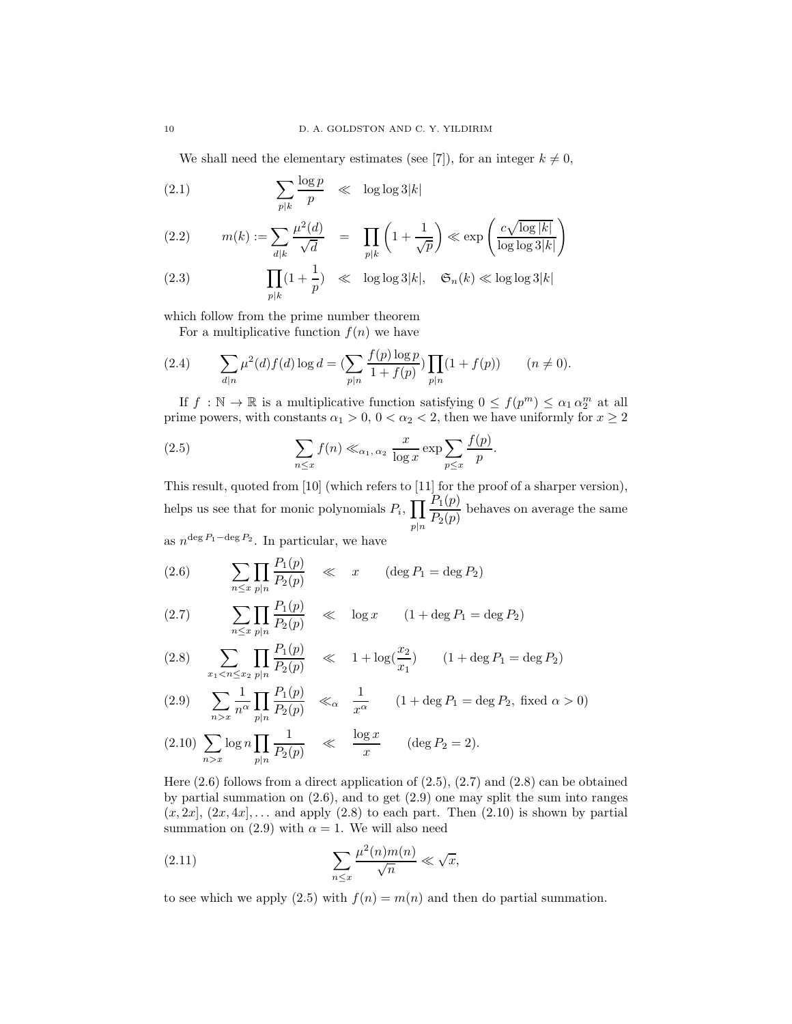We shall need the elementary estimates (see [7]), for an integer  $k \neq 0$ ,

$$
(2.1) \qquad \qquad \sum_{p|k} \frac{\log p}{p} \quad \ll \quad \log \log 3|k|
$$

(2.2) 
$$
m(k) := \sum_{d|k} \frac{\mu^2(d)}{\sqrt{d}} = \prod_{p|k} \left( 1 + \frac{1}{\sqrt{p}} \right) \ll \exp\left( \frac{c\sqrt{\log |k|}}{\log \log 3|k|} \right)
$$

(2.3) 
$$
\prod_{p|k} (1 + \frac{1}{p}) \ll \log \log 3|k|, \quad \mathfrak{S}_n(k) \ll \log \log 3|k|
$$

which follow from the prime number theorem

For a multiplicative function  $f(n)$  we have

(2.4) 
$$
\sum_{d|n} \mu^2(d) f(d) \log d = \left( \sum_{p|n} \frac{f(p) \log p}{1 + f(p)} \right) \prod_{p|n} (1 + f(p)) \qquad (n \neq 0).
$$

If  $f : \mathbb{N} \to \mathbb{R}$  is a multiplicative function satisfying  $0 \le f(p^m) \le \alpha_1 \alpha_2^m$  at all prime powers, with constants  $\alpha_1 > 0$ ,  $0 < \alpha_2 < 2$ , then we have uniformly for  $x \ge 2$ 

(2.5) 
$$
\sum_{n \leq x} f(n) \ll_{\alpha_1, \alpha_2} \frac{x}{\log x} \exp \sum_{p \leq x} \frac{f(p)}{p}.
$$

This result, quoted from [10] (which refers to [11] for the proof of a sharper version), helps us see that for monic polynomials  $P_i$ ,  $\prod$  $p|n$  $P_1(p)$  $\frac{P_1(p)}{P_2(p)}$  behaves on average the same

as  $n^{\deg P_1-\deg P_2}$ . In particular, we have

 $\mathbf{p} \neq \mathbf{p}$ 

(2.6) 
$$
\sum_{n \le x} \prod_{p|n} \frac{P_1(p)}{P_2(p)} \ll x \quad (\deg P_1 = \deg P_2)
$$

(2.7) 
$$
\sum_{n \le x} \prod_{p|n} \frac{P_1(p)}{P_2(p)} \ll \log x \qquad (1 + \deg P_1 = \deg P_2)
$$

$$
(2.8) \quad \sum_{x_1 < n \le x_2} \prod_{p \mid n} \frac{P_1(p)}{P_2(p)} \quad \ll \quad 1 + \log(\frac{x_2}{x_1}) \qquad (1 + \deg P_1 = \deg P_2)
$$

(2.9) 
$$
\sum_{n>x} \frac{1}{n^{\alpha}} \prod_{p|n} \frac{P_1(p)}{P_2(p)} \ll_{\alpha} \frac{1}{x^{\alpha}} \qquad (1 + \deg P_1 = \deg P_2, \text{ fixed } \alpha > 0)
$$

(2.10) 
$$
\sum_{n>x} \log n \prod_{p|n} \frac{1}{P_2(p)} \ll \frac{\log x}{x} \quad (\deg P_2 = 2).
$$

Here (2.6) follows from a direct application of (2.5), (2.7) and (2.8) can be obtained by partial summation on  $(2.6)$ , and to get  $(2.9)$  one may split the sum into ranges  $(x, 2x]$ ,  $(2x, 4x]$ , ... and apply  $(2.8)$  to each part. Then  $(2.10)$  is shown by partial summation on (2.9) with  $\alpha = 1$ . We will also need

(2.11) 
$$
\sum_{n \leq x} \frac{\mu^2(n)m(n)}{\sqrt{n}} \ll \sqrt{x},
$$

to see which we apply (2.5) with  $f(n) = m(n)$  and then do partial summation.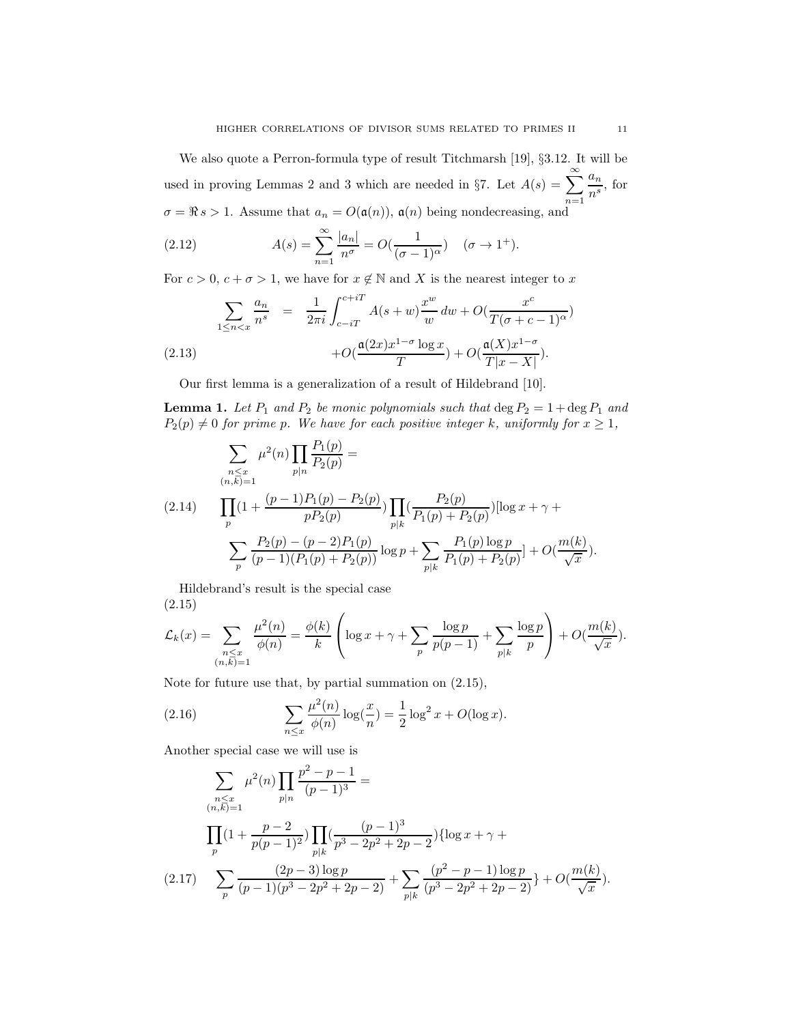We also quote a Perron-formula type of result Titchmarsh [19], §3.12. It will be used in proving Lemmas 2 and 3 which are needed in §7. Let  $A(s) = \sum_{n=1}^{\infty}$  $a_n$  $\frac{a_n}{n^s}$ , for  $\sigma = \Re s > 1$ . Assume that  $a_n = O(\mathfrak{a}(n))$ ,  $\mathfrak{a}(n)$  being nondecreasing, and

(2.12) 
$$
A(s) = \sum_{n=1}^{\infty} \frac{|a_n|}{n^{\sigma}} = O(\frac{1}{(\sigma - 1)^{\alpha}}) \quad (\sigma \to 1^{+}).
$$

For  $c > 0$ ,  $c + \sigma > 1$ , we have for  $x \notin \mathbb{N}$  and X is the nearest integer to x

$$
\sum_{1 \le n < x} \frac{a_n}{n^s} = \frac{1}{2\pi i} \int_{c-iT}^{c+iT} A(s+w) \frac{x^w}{w} dw + O(\frac{x^c}{T(\sigma + c - 1)^\alpha}) + O(\frac{\mathfrak{a}(2x)x^{1-\sigma} \log x}{T}) + O(\frac{\mathfrak{a}(X)x^{1-\sigma}}{T|x-X|}).
$$
\n(2.13)

Our first lemma is a generalization of a result of Hildebrand [10].

**Lemma 1.** Let  $P_1$  and  $P_2$  be monic polynomials such that  $\deg P_2 = 1 + \deg P_1$  and  $P_2(p) \neq 0$  for prime p. We have for each positive integer k, uniformly for  $x \geq 1$ ,

$$
\sum_{\substack{n \leq x \\ (n,k)=1}} \mu^{2}(n) \prod_{p|n} \frac{P_{1}(p)}{P_{2}(p)} =
$$
\n
$$
(2.14) \qquad \prod_{p} (1 + \frac{(p-1)P_{1}(p) - P_{2}(p)}{pP_{2}(p)}) \prod_{p|k} \left(\frac{P_{2}(p)}{P_{1}(p) + P_{2}(p)}\right) [\log x + \gamma + \sum_{p} \frac{P_{2}(p) - (p-2)P_{1}(p)}{(p-1)(P_{1}(p) + P_{2}(p))} \log p + \sum_{p|k} \frac{P_{1}(p) \log p}{P_{1}(p) + P_{2}(p)}] + O(\frac{m(k)}{\sqrt{x}}).
$$

Hildebrand's result is the special case (2.15)

$$
\mathcal{L}_k(x) = \sum_{\substack{n \leq x \\ (n,\overline{k})=1}} \frac{\mu^2(n)}{\phi(n)} = \frac{\phi(k)}{k} \left( \log x + \gamma + \sum_p \frac{\log p}{p(p-1)} + \sum_{p|k} \frac{\log p}{p} \right) + O(\frac{m(k)}{\sqrt{x}}).
$$

Note for future use that, by partial summation on (2.15),

(2.16) 
$$
\sum_{n \le x} \frac{\mu^2(n)}{\phi(n)} \log(\frac{x}{n}) = \frac{1}{2} \log^2 x + O(\log x).
$$

Another special case we will use is

$$
\sum_{\substack{n \le x \\ (n,k)=1}} \mu^2(n) \prod_{p|n} \frac{p^2 - p - 1}{(p-1)^3} =
$$
\n
$$
\prod_{p|n} (1 + \frac{p-2}{p(p-1)^2}) \prod_{p|k} (\frac{(p-1)^3}{p^3 - 2p^2 + 2p - 2}) \{ \log x + \gamma +
$$
\n
$$
(2.17) \sum_{p} \frac{(2p-3)\log p}{(p-1)(p^3 - 2p^2 + 2p - 2)} + \sum_{p|k} \frac{(p^2 - p - 1)\log p}{(p^3 - 2p^2 + 2p - 2)} + O(\frac{m(k)}{\sqrt{x}}).
$$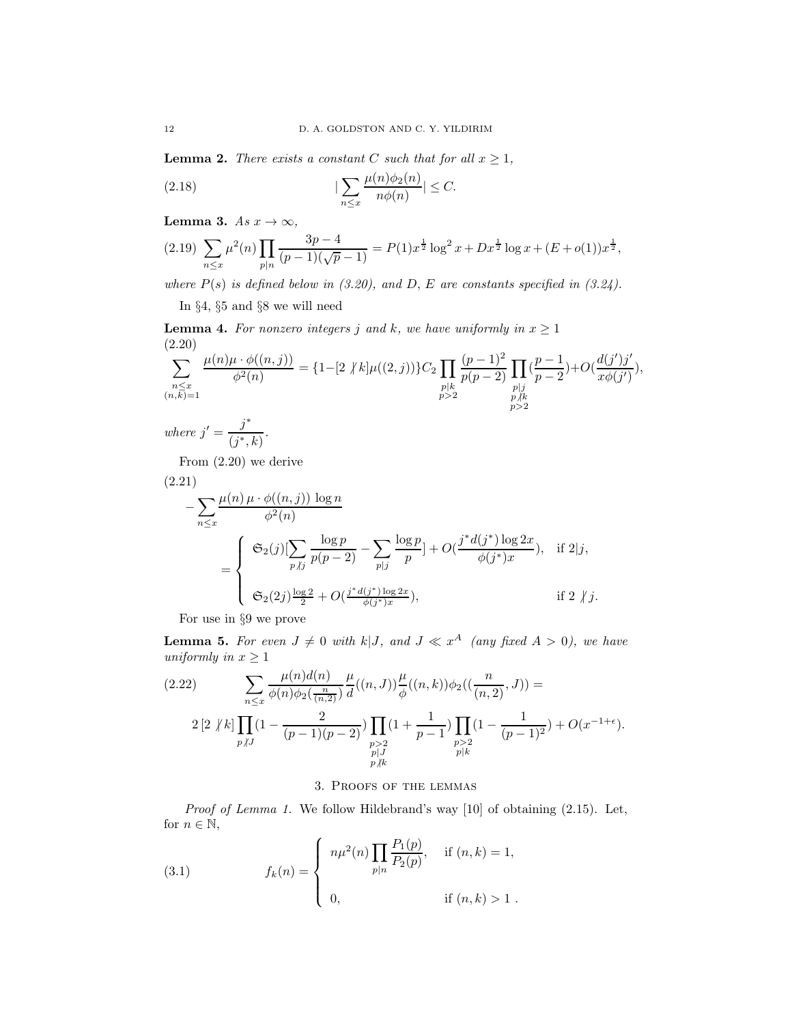**Lemma 2.** There exists a constant C such that for all  $x \ge 1$ ,

$$
(2.18)\qquad \qquad |\sum_{n\leq x}\frac{\mu(n)\phi_2(n)}{n\phi(n)}|\leq C.
$$

Lemma 3.  $As x \to \infty$ ,

$$
(2.19)\ \sum_{n\leq x}\mu^{2}(n)\prod_{p|n}\frac{3p-4}{(p-1)(\sqrt{p}-1)}=P(1)x^{\frac{1}{2}}\log^{2}x+Dx^{\frac{1}{2}}\log x+(E+o(1))x^{\frac{1}{2}},
$$

where  $P(s)$  is defined below in (3.20), and D, E are constants specified in (3.24).

In §4, §5 and §8 we will need

**Lemma 4.** For nonzero integers j and k, we have uniformly in  $x \ge 1$ (2.20)

$$
\sum_{\substack{n \leq x \\ (n,\vec{k})=1}} \frac{\mu(n)\mu \cdot \phi((n,j))}{\phi^2(n)} = \{1-[2 \nmid k]\mu((2,j))\}C_2 \prod_{\substack{p|k \\ p>2}} \frac{(p-1)^2}{p(p-2)} \prod_{\substack{p|j \\ p \neq k \\ p>2}} (\frac{p-1}{p-2}) + O(\frac{d(j')j'}{x\phi(j')}),
$$

where  $j' = \frac{j^*}{\sqrt{3}}$  $\frac{j}{(j^*,k)}$ .

From (2.20) we derive

$$
(2.21)
$$

$$
- \sum_{n \leq x} \frac{\mu(n) \mu \cdot \phi((n,j)) \log n}{\phi^2(n)}
$$
  
= 
$$
\begin{cases} \mathfrak{S}_2(j) \left[ \sum_{p \nmid j} \frac{\log p}{p(p-2)} - \sum_{p \mid j} \frac{\log p}{p} \right] + O(\frac{j^* d(j^*) \log 2x}{\phi(j^*) x}), & \text{if } 2 \mid j, \\ \mathfrak{S}_2(2j) \frac{\log 2}{2} + O(\frac{j^* d(j^*) \log 2x}{\phi(j^*) x}), & \text{if } 2 \nmid j. \end{cases}
$$

For use in §9 we prove

**Lemma 5.** For even  $J \neq 0$  with  $k|J$ , and  $J \ll x^A$  (any fixed  $A > 0$ ), we have uniformly in  $x \geq 1$ 

$$
(2.22) \qquad \sum_{n \leq x} \frac{\mu(n)d(n)}{\phi(n)\phi_2(\frac{n}{(n,2)})} \frac{\mu}{d}((n,J)) \frac{\mu}{\phi}((n,k))\phi_2((\frac{n}{(n,2)},J)) =
$$

$$
2 \left[2 \;/k\right] \prod_{p \;/J} (1 - \frac{2}{(p-1)(p-2)}) \prod_{\substack{p > 2 \\ p \mid J \\ p \nmid k}} (1 + \frac{1}{p-1}) \prod_{\substack{p > 2 \\ p \mid k}} (1 - \frac{1}{(p-1)^2}) + O(x^{-1+\epsilon}).
$$

### 3. Proofs of the lemmas

Proof of Lemma 1. We follow Hildebrand's way [10] of obtaining  $(2.15)$ . Let, for  $n \in \mathbb{N}$ ,

(3.1) 
$$
f_k(n) = \begin{cases} n\mu^2(n) \prod_{p|n} \frac{P_1(p)}{P_2(p)}, & \text{if } (n,k) = 1, \\ 0, & \text{if } (n,k) > 1. \end{cases}
$$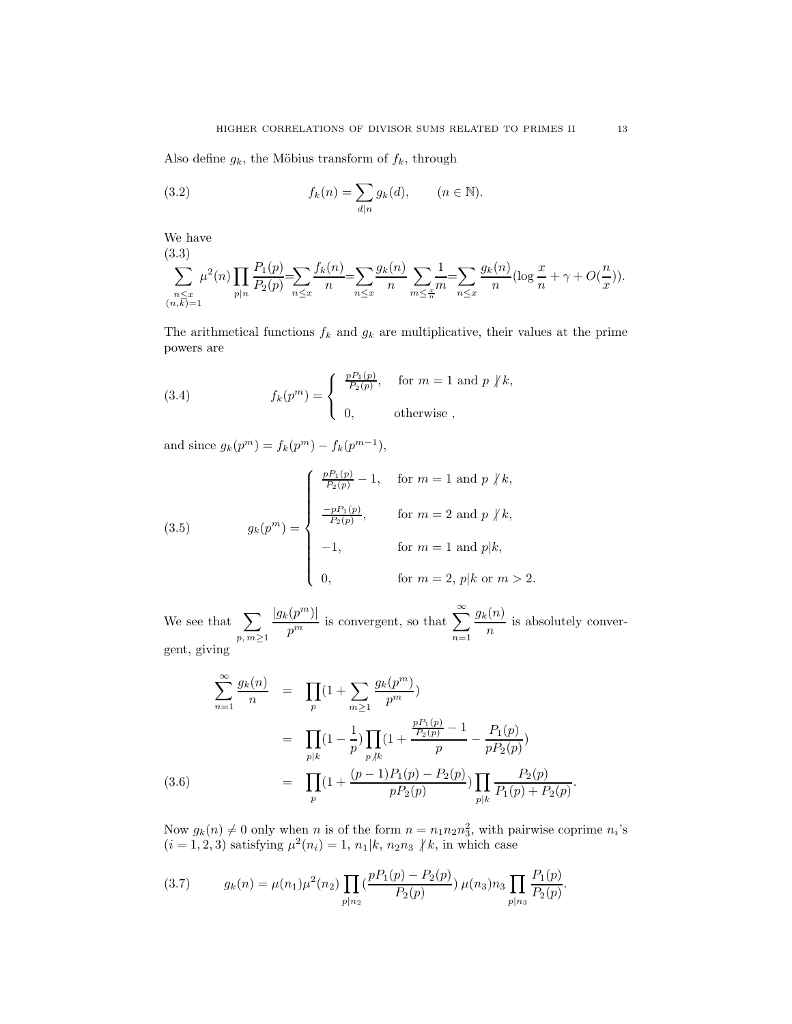Also define  $g_k$ , the Möbius transform of  $f_k$ , through

(3.2) 
$$
f_k(n) = \sum_{d|n} g_k(d), \qquad (n \in \mathbb{N}).
$$

We have (3.3)

$$
\sum_{\substack{n \leq x \\ (n,k)=1}}^{\infty} \mu^{2}(n) \prod_{p|n} \frac{P_{1}(p)}{P_{2}(p)} = \sum_{n \leq x} \frac{f_{k}(n)}{n} = \sum_{n \leq x} \frac{g_{k}(n)}{n} \sum_{m \leq \frac{x}{n}} \frac{1}{m} = \sum_{n \leq x} \frac{g_{k}(n)}{n} (\log \frac{x}{n} + \gamma + O(\frac{n}{x})).
$$

The arithmetical functions  $f_k$  and  $g_k$  are multiplicative, their values at the prime powers are

(3.4) 
$$
f_k(p^m) = \begin{cases} \frac{pP_1(p)}{P_2(p)}, & \text{for } m = 1 \text{ and } p \nmid k, \\ 0, & \text{otherwise}, \end{cases}
$$

and since  $g_k(p^m) = f_k(p^m) - f_k(p^{m-1}),$ 

(3.5) 
$$
g_k(p^m) = \begin{cases} \frac{pP_1(p)}{P_2(p)} - 1, & \text{for } m = 1 \text{ and } p \nmid k, \\ \frac{-pP_1(p)}{P_2(p)}, & \text{for } m = 2 \text{ and } p \nmid k, \\ -1, & \text{for } m = 1 \text{ and } p \mid k, \\ 0, & \text{for } m = 2, p \mid k \text{ or } m > 2. \end{cases}
$$

We see that  $\sum$  $p, m \geq 1$  $|g_k(p^m)|$  $\frac{p^m}{p^m}$  is convergent, so that  $\sum_{n=1}^{\infty}$  $n=1$  $g_k(n)$  $\frac{n}{n}$  is absolutely convergent, giving

$$
\sum_{n=1}^{\infty} \frac{g_k(n)}{n} = \prod_p (1 + \sum_{m\geq 1} \frac{g_k(p^m)}{p^m})
$$
  
\n
$$
= \prod_{p|k} (1 - \frac{1}{p}) \prod_{p \nmid k} (1 + \frac{\frac{pP_1(p)}{P_2(p)} - 1}{p} - \frac{P_1(p)}{pP_2(p)})
$$
  
\n(3.6) 
$$
= \prod_p (1 + \frac{(p-1)P_1(p) - P_2(p)}{pP_2(p)}) \prod_{p|k} \frac{P_2(p)}{P_1(p) + P_2(p)}.
$$

Now  $g_k(n) \neq 0$  only when n is of the form  $n = n_1 n_2 n_3^2$ , with pairwise coprime  $n_i$ 's  $(i = 1, 2, 3)$  satisfying  $\mu^2(n_i) = 1, n_1 | k, n_2 n_3 \nvert k$ , in which case

$$
(3.7) \t g_k(n) = \mu(n_1)\mu^2(n_2) \prod_{p|n_2} \left(\frac{pP_1(p) - P_2(p)}{P_2(p)}\right) \mu(n_3)n_3 \prod_{p|n_3} \frac{P_1(p)}{P_2(p)}.
$$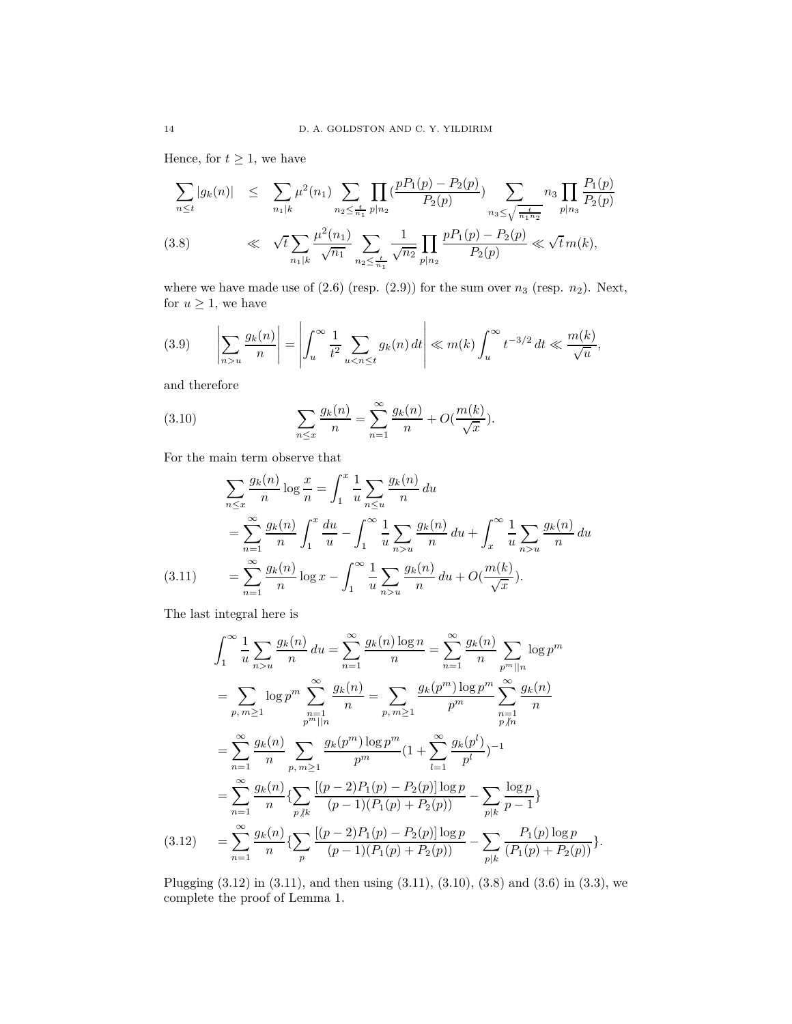Hence, for  $t \geq 1$ , we have

$$
\sum_{n\leq t} |g_k(n)| \leq \sum_{n_1|k} \mu^2(n_1) \sum_{n_2 \leq \frac{t}{n_1}} \prod_{p|n_2} \left(\frac{pP_1(p) - P_2(p)}{P_2(p)}\right) \sum_{n_3 \leq \sqrt{\frac{t}{n_1 n_2}}} n_3 \prod_{p|n_3} \frac{P_1(p)}{P_2(p)}
$$
\n
$$
\ll \sqrt{t} \sum_{n_1|k} \frac{\mu^2(n_1)}{\sqrt{n_1}} \sum_{n_2 \leq \frac{t}{n_1}} \frac{1}{\sqrt{n_2}} \prod_{p|n_2} \frac{pP_1(p) - P_2(p)}{P_2(p)} \ll \sqrt{t} \, m(k),
$$

where we have made use of  $(2.6)$  (resp.  $(2.9)$ ) for the sum over  $n_3$  (resp.  $n_2$ ). Next, for  $u\geq 1,$  we have

(3.9) 
$$
\left| \sum_{n>u} \frac{g_k(n)}{n} \right| = \left| \int_u^{\infty} \frac{1}{t^2} \sum_{u < n \le t} g_k(n) dt \right| \ll m(k) \int_u^{\infty} t^{-3/2} dt \ll \frac{m(k)}{\sqrt{u}},
$$

and therefore

(3.10) 
$$
\sum_{n \le x} \frac{g_k(n)}{n} = \sum_{n=1}^{\infty} \frac{g_k(n)}{n} + O(\frac{m(k)}{\sqrt{x}}).
$$

For the main term observe that

$$
\sum_{n \le x} \frac{g_k(n)}{n} \log \frac{x}{n} = \int_1^x \frac{1}{u} \sum_{n \le u} \frac{g_k(n)}{n} du
$$
  
= 
$$
\sum_{n=1}^\infty \frac{g_k(n)}{n} \int_1^x \frac{du}{u} - \int_1^\infty \frac{1}{u} \sum_{n > u} \frac{g_k(n)}{n} du + \int_x^\infty \frac{1}{u} \sum_{n > u} \frac{g_k(n)}{n} du
$$
  
(3.11) = 
$$
\sum_{n=1}^\infty \frac{g_k(n)}{n} \log x - \int_1^\infty \frac{1}{u} \sum_{n > u} \frac{g_k(n)}{n} du + O(\frac{m(k)}{\sqrt{x}}).
$$

The last integral here is

$$
\int_{1}^{\infty} \frac{1}{u} \sum_{n>u} \frac{g_{k}(n)}{n} du = \sum_{n=1}^{\infty} \frac{g_{k}(n) \log n}{n} = \sum_{n=1}^{\infty} \frac{g_{k}(n)}{n} \sum_{p^{m}||n} \log p^{m}
$$
  
\n
$$
= \sum_{p, m \ge 1} \log p^{m} \sum_{\substack{n=1 \ p^{m}||n}}^{\infty} \frac{g_{k}(n)}{n} = \sum_{p, m \ge 1} \frac{g_{k}(p^{m}) \log p^{m}}{p^{m}} \sum_{\substack{n=1 \ p \neq n}}^{\infty} \frac{g_{k}(n)}{n}
$$
  
\n
$$
= \sum_{n=1}^{\infty} \frac{g_{k}(n)}{n} \sum_{p, m \ge 1} \frac{g_{k}(p^{m}) \log p^{m}}{p^{m}} (1 + \sum_{l=1}^{\infty} \frac{g_{k}(p^{l})}{p^{l}})^{-1}
$$
  
\n
$$
= \sum_{n=1}^{\infty} \frac{g_{k}(n)}{n} \left\{ \sum_{p \neq k} \frac{[(p-2)P_{1}(p) - P_{2}(p)] \log p}{(p-1)(P_{1}(p) + P_{2}(p))} - \sum_{p|k} \frac{\log p}{p-1} \right\}
$$
  
\n(3.12) 
$$
= \sum_{n=1}^{\infty} \frac{g_{k}(n)}{n} \left\{ \sum_{p} \frac{[(p-2)P_{1}(p) - P_{2}(p)] \log p}{(p-1)(P_{1}(p) + P_{2}(p))} - \sum_{p|k} \frac{P_{1}(p) \log p}{(P_{1}(p) + P_{2}(p))} \right\}.
$$

Plugging (3.12) in (3.11), and then using (3.11), (3.10), (3.8) and (3.6) in (3.3), we complete the proof of Lemma 1.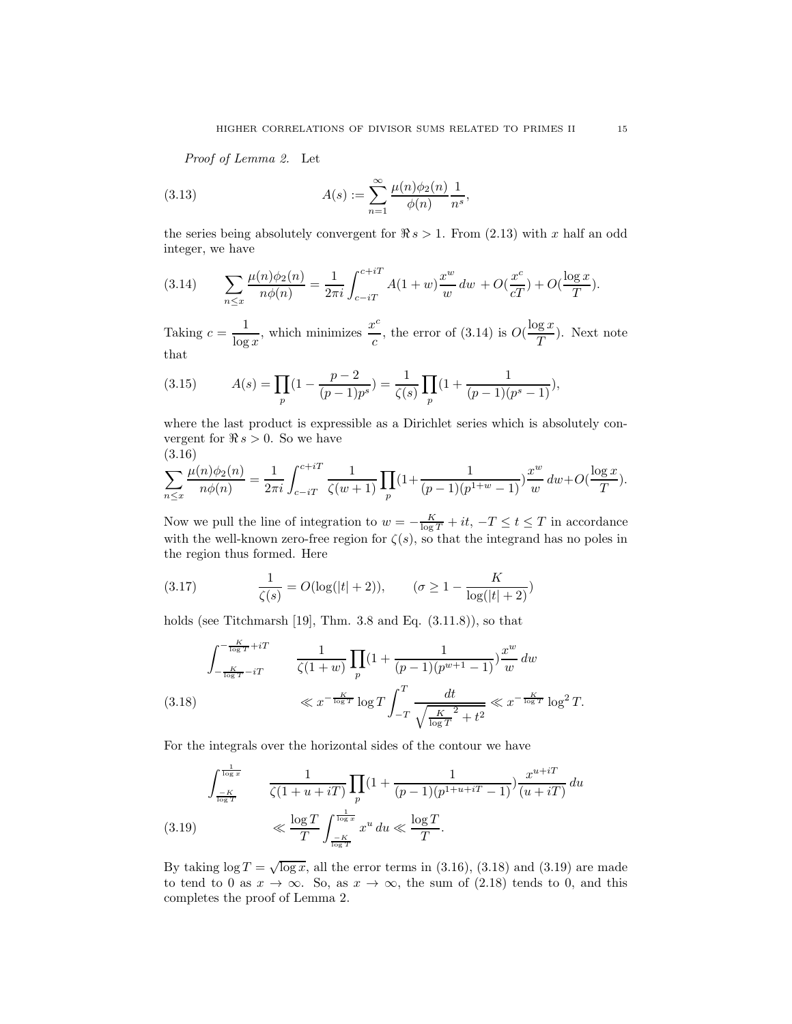Proof of Lemma 2. Let

(3.13) 
$$
A(s) := \sum_{n=1}^{\infty} \frac{\mu(n)\phi_2(n)}{\phi(n)} \frac{1}{n^s},
$$

the series being absolutely convergent for  $\Re s > 1$ . From (2.13) with x half an odd integer, we have

(3.14) 
$$
\sum_{n \le x} \frac{\mu(n)\phi_2(n)}{n\phi(n)} = \frac{1}{2\pi i} \int_{c-iT}^{c+iT} A(1+w) \frac{x^w}{w} dw + O(\frac{x^c}{cT}) + O(\frac{\log x}{T}).
$$

Taking  $c = \frac{1}{1}$  $\frac{1}{\log x}$ , which minimizes  $\frac{x^c}{c}$  $\frac{c}{c}$ , the error of (3.14) is  $O(\frac{\log x}{T})$  $\frac{e^{i\omega}}{T}$ . Next note that

(3.15) 
$$
A(s) = \prod_{p} \left(1 - \frac{p-2}{(p-1)p^s}\right) = \frac{1}{\zeta(s)} \prod_{p} \left(1 + \frac{1}{(p-1)(p^s-1)}\right),
$$

where the last product is expressible as a Dirichlet series which is absolutely convergent for  $\Re s > 0$ . So we have (3.16)

$$
\sum_{n \le x} \frac{\mu(n)\phi_2(n)}{n\phi(n)} = \frac{1}{2\pi i} \int_{c-iT}^{c+iT} \frac{1}{\zeta(w+1)} \prod_p (1 + \frac{1}{(p-1)(p^{1+w}-1)}) \frac{x^w}{w} dw + O(\frac{\log x}{T}).
$$

Now we pull the line of integration to  $w = -\frac{K}{\log T} + it$ ,  $-T \le t \le T$  in accordance with the well-known zero-free region for  $\zeta(s)$ , so that the integrand has no poles in the region thus formed. Here

(3.17) 
$$
\frac{1}{\zeta(s)} = O(\log(|t|+2)), \qquad (\sigma \ge 1 - \frac{K}{\log(|t|+2)})
$$

holds (see Titchmarsh [19], Thm.  $3.8$  and Eq.  $(3.11.8)$ ), so that

$$
\int_{-\frac{K}{\log T} - iT}^{-\frac{K}{\log T} + iT} \frac{1}{\zeta(1+w)} \prod_{p} (1 + \frac{1}{(p-1)(p^{w+1} - 1)}) \frac{x^w}{w} dw
$$
\n
$$
\ll x^{-\frac{K}{\log T}} \log T \int_{-T}^{T} \frac{dt}{\sqrt{\frac{K}{\log T}^2 + t^2}} \ll x^{-\frac{K}{\log T}} \log^2 T.
$$

For the integrals over the horizontal sides of the contour we have

$$
\int_{\frac{-K}{\log T}}^{\frac{1}{\log x}} \frac{1}{\zeta(1+u+iT)} \prod_{p} (1+\frac{1}{(p-1)(p^{1+u+iT}-1)}) \frac{x^{u+iT}}{(u+iT)} du
$$
\n(3.19) 
$$
\ll \frac{\log T}{T} \int_{\frac{-K}{\log T}}^{\frac{1}{\log x}} x^u du \ll \frac{\log T}{T}.
$$

By taking  $log T = \sqrt{log x}$ , all the error terms in (3.16), (3.18) and (3.19) are made to tend to 0 as  $x \to \infty$ . So, as  $x \to \infty$ , the sum of (2.18) tends to 0, and this completes the proof of Lemma 2.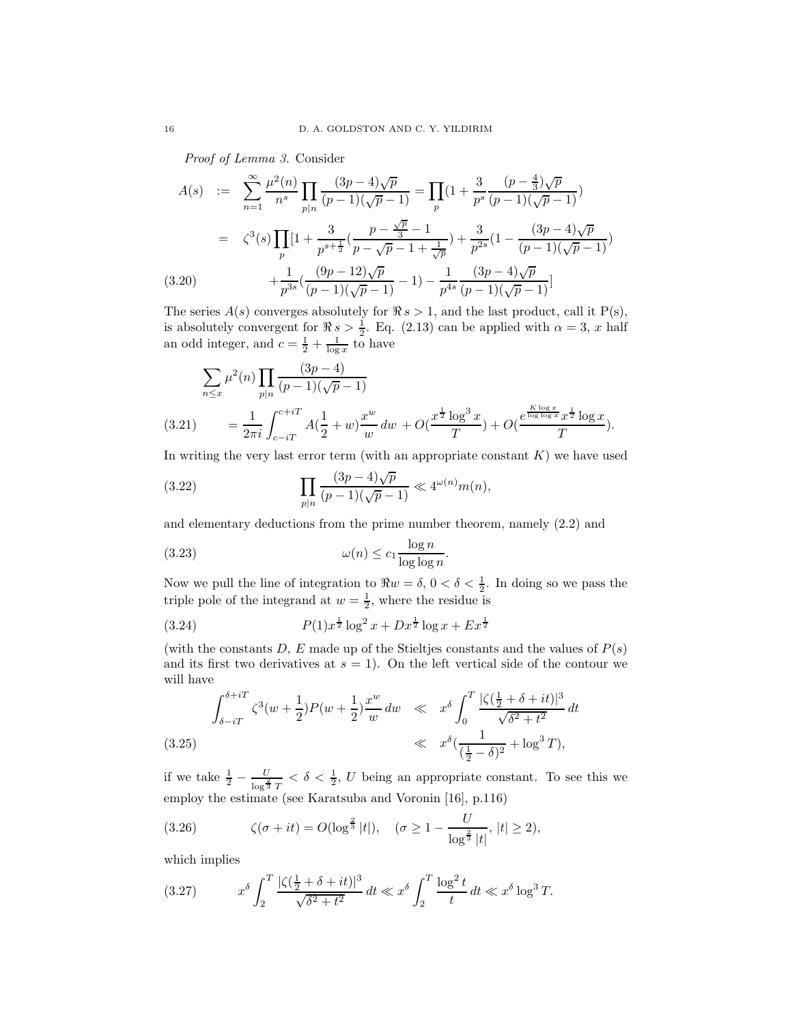Proof of Lemma 3. Consider

$$
A(s) := \sum_{n=1}^{\infty} \frac{\mu^2(n)}{n^s} \prod_{p|n} \frac{(3p-4)\sqrt{p}}{(p-1)(\sqrt{p}-1)} = \prod_{p} \left(1 + \frac{3}{p^s} \frac{(p-\frac{4}{3})\sqrt{p}}{(p-1)(\sqrt{p}-1)}\right)
$$
  

$$
= \zeta^3(s) \prod_{p} \left[1 + \frac{3}{p^{s+\frac{1}{2}}} \left(\frac{p-\frac{\sqrt{p}}{3}-1}{p-\sqrt{p}-1+\frac{1}{\sqrt{p}}}\right) + \frac{3}{p^{2s}} \left(1 - \frac{(3p-4)\sqrt{p}}{(p-1)(\sqrt{p}-1)}\right) + \frac{1}{p^{3s}} \left(\frac{(9p-12)\sqrt{p}}{(p-1)(\sqrt{p}-1)} - 1\right) - \frac{1}{p^{4s}} \frac{(3p-4)\sqrt{p}}{(p-1)(\sqrt{p}-1)} \right]
$$
  
(3.20)

The series  $A(s)$  converges absolutely for  $\Re s > 1$ , and the last product, call it P(s), is absolutely convergent for  $\Re s > \frac{1}{2}$ . Eq. (2.13) can be applied with  $\alpha = 3$ , x half an odd integer, and  $c = \frac{1}{2} + \frac{1}{\log x}$  to have

$$
\sum_{n \leq x} \mu^{2}(n) \prod_{p|n} \frac{(3p-4)}{(p-1)(\sqrt{p}-1)}
$$
\n(3.21) 
$$
= \frac{1}{2\pi i} \int_{c-iT}^{c+iT} A(\frac{1}{2}+w) \frac{x^{w}}{w} dw + O(\frac{x^{\frac{1}{2}} \log^{3} x}{T}) + O(\frac{e^{\frac{K \log x}{\log \log x}} x^{\frac{1}{2}} \log x}{T}).
$$

In writing the very last error term (with an appropriate constant  $K$ ) we have used

(3.22) 
$$
\prod_{p|n} \frac{(3p-4)\sqrt{p}}{(p-1)(\sqrt{p}-1)} \ll 4^{\omega(n)} m(n),
$$

and elementary deductions from the prime number theorem, namely (2.2) and

(3.23) 
$$
\omega(n) \le c_1 \frac{\log n}{\log \log n}.
$$

Now we pull the line of integration to  $\Re w = \delta, 0 < \delta < \frac{1}{2}$ . In doing so we pass the triple pole of the integrand at  $w = \frac{1}{2}$ , where the residue is

(3.24) 
$$
P(1)x^{\frac{1}{2}}\log^2 x + Dx^{\frac{1}{2}}\log x + Ex^{\frac{1}{2}}
$$

(with the constants D, E made up of the Stieltjes constants and the values of  $P(s)$ ) and its first two derivatives at  $s = 1$ ). On the left vertical side of the contour we will have

$$
\int_{\delta - iT}^{\delta + iT} \zeta^3(w + \frac{1}{2}) P(w + \frac{1}{2}) \frac{x^w}{w} dw \ll x^{\delta} \int_0^T \frac{|\zeta(\frac{1}{2} + \delta + it)|^3}{\sqrt{\delta^2 + t^2}} dt
$$
\n(3.25)\n
$$
\ll x^{\delta} \left( \frac{1}{(\frac{1}{2} - \delta)^2} + \log^3 T \right),
$$

if we take  $\frac{1}{2} - \frac{U}{\log^{\frac{2}{3}}}$  $\frac{U}{\log^{\frac{2}{3}}T} < \delta < \frac{1}{2}$ , U being an appropriate constant. To see this we employ the estimate (see Karatsuba and Voronin [16], p.116)

(3.26) 
$$
\zeta(\sigma + it) = O(\log^{\frac{2}{3}} |t|), \quad (\sigma \ge 1 - \frac{U}{\log^{\frac{2}{3}} |t|}, |t| \ge 2),
$$

which implies

(3.27) 
$$
x^{\delta} \int_{2}^{T} \frac{|\zeta(\frac{1}{2} + \delta + it)|^{3}}{\sqrt{\delta^{2} + t^{2}}} dt \ll x^{\delta} \int_{2}^{T} \frac{\log^{2} t}{t} dt \ll x^{\delta} \log^{3} T.
$$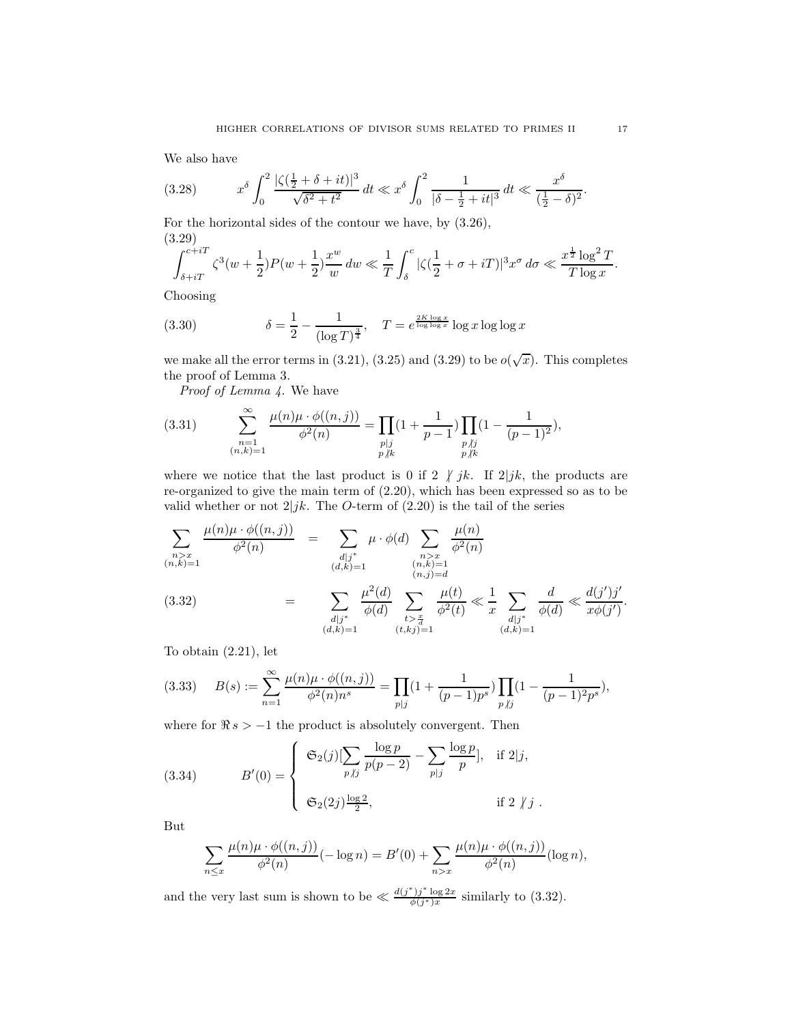We also have

$$
(3.28) \t x^{\delta} \int_0^2 \frac{|\zeta(\frac{1}{2} + \delta + it)|^3}{\sqrt{\delta^2 + t^2}} dt \ll x^{\delta} \int_0^2 \frac{1}{|\delta - \frac{1}{2} + it|^3} dt \ll \frac{x^{\delta}}{(\frac{1}{2} - \delta)^2}.
$$

For the horizontal sides of the contour we have, by (3.26), (3.29)

$$
\int_{\delta + iT}^{c + iT} \zeta^3(w + \frac{1}{2}) P(w + \frac{1}{2}) \frac{x^w}{w} dw \ll \frac{1}{T} \int_{\delta}^c |\zeta(\frac{1}{2} + \sigma + iT)|^3 x^{\sigma} d\sigma \ll \frac{x^{\frac{1}{2}} \log^2 T}{T \log x}.
$$

Choosing

(3.30) 
$$
\delta = \frac{1}{2} - \frac{1}{(\log T)^{\frac{3}{4}}}, \quad T = e^{\frac{2K \log x}{\log \log x}} \log x \log \log x
$$

we make all the error terms in (3.21), (3.25) and (3.29) to be  $o(\sqrt{x})$ . This completes the proof of Lemma 3.

Proof of Lemma 4. We have

(3.31) 
$$
\sum_{\substack{n=1 \ (n,k)=1}}^{\infty} \frac{\mu(n)\mu \cdot \phi((n,j))}{\phi^2(n)} = \prod_{\substack{p|j \ p \nmid k}} (1 + \frac{1}{p-1}) \prod_{\substack{p \nmid j \ p \nmid k}} (1 - \frac{1}{(p-1)^2}),
$$

where we notice that the last product is 0 if 2  $\int jk$ . If 2 $\int jk$ , the products are re-organized to give the main term of (2.20), which has been expressed so as to be valid whether or not  $2|jk$ . The O-term of (2.20) is the tail of the series

$$
\sum_{\substack{n>x\\(n,k)=1}}\frac{\mu(n)\mu \cdot \phi((n,j))}{\phi^2(n)} = \sum_{\substack{d|j^*\\(d,k)=1}}\mu \cdot \phi(d) \sum_{\substack{n>x\\(n,k)=1}}\frac{\mu(n)}{\phi^2(n)} \overline{\phi^2(n)}
$$
\n
$$
(3.32) = \sum_{\substack{d|j^*\\(d,k)=1}}\frac{\mu^2(d)}{\phi(d)} \sum_{\substack{t>\frac{x}{d}\\\{t>\frac{x}{d}\\\{t,kj=1}}}\frac{\mu(t)}{\phi^2(t)} \ll \frac{1}{x} \sum_{\substack{d|j^*\\(d,k)=1}}\frac{d}{\phi(d)} \ll \frac{d(j')j'}{x\phi(j')}.
$$

To obtain (2.21), let

$$
(3.33) \qquad B(s) := \sum_{n=1}^{\infty} \frac{\mu(n)\mu \cdot \phi((n,j))}{\phi^2(n)n^s} = \prod_{p|j} \left(1 + \frac{1}{(p-1)p^s}\right) \prod_{p \nmid j} \left(1 - \frac{1}{(p-1)^2 p^s}\right),
$$

where for  $\Re s > -1$  the product is absolutely convergent. Then

(3.34) 
$$
B'(0) = \begin{cases} \mathfrak{S}_2(j)[\sum_{p \mid j} \frac{\log p}{p(p-2)} - \sum_{p \mid j} \frac{\log p}{p}], & \text{if } 2 \mid j, \\ \mathfrak{S}_2(2j) \frac{\log 2}{2}, & \text{if } 2 \nmid j. \end{cases}
$$

But

$$
\sum_{n \leq x} \frac{\mu(n)\mu \cdot \phi((n,j))}{\phi^2(n)} (-\log n) = B'(0) + \sum_{n > x} \frac{\mu(n)\mu \cdot \phi((n,j))}{\phi^2(n)} (\log n),
$$

and the very last sum is shown to be  $\ll \frac{d(j^*)j^* \log 2x}{\phi(j^*)x}$  $\frac{y}{\phi(j^*)x}$  similarly to (3.32).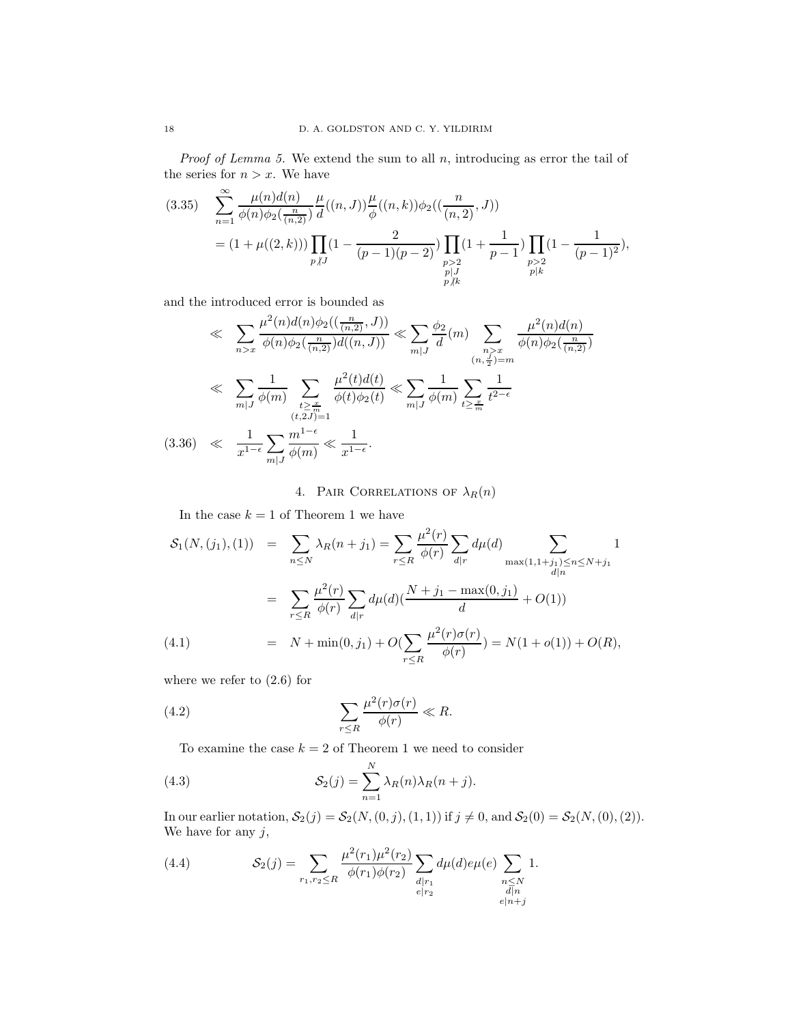*Proof of Lemma 5.* We extend the sum to all  $n$ , introducing as error the tail of the series for  $n > x$ . We have

$$
(3.35) \quad \sum_{n=1}^{\infty} \frac{\mu(n)d(n)}{\phi(n)\phi_2(\frac{n}{(n,2)})} \frac{\mu}{d}((n,J)) \frac{\mu}{\phi}((n,k))\phi_2((\frac{n}{(n,2)},J))
$$

$$
= (1 + \mu((2,k))) \prod_{\substack{p \mid J \\ p \mid J}} \left(1 - \frac{2}{(p-1)(p-2)}\right) \prod_{\substack{p > 2 \\ p \mid J \\ p \nmid k}} \left(1 + \frac{1}{p-1}\right) \prod_{\substack{p > 2 \\ p \mid k}} \left(1 - \frac{1}{(p-1)^2}\right),
$$

and the introduced error is bounded as

$$
\ll \sum_{n>x} \frac{\mu^2(n)d(n)\phi_2((\frac{n}{(n,2)},J))}{\phi(n)\phi_2(\frac{n}{(n,2)})d((n,J))} \ll \sum_{m|J} \frac{\phi_2}{d}(m) \sum_{\substack{n>x \ p_2 = m}} \frac{\mu^2(n)d(n)}{\phi(n)\phi_2(\frac{n}{(n,2)})}
$$
  

$$
\ll \sum_{m|J} \frac{1}{\phi(m)} \sum_{\substack{t \ge \frac{x}{m} \\ (t,2J)=1}} \frac{\mu^2(t)d(t)}{\phi(t)\phi_2(t)} \ll \sum_{m|J} \frac{1}{\phi(m)} \sum_{t \ge \frac{x}{m}} \frac{1}{t^{2-\epsilon}}
$$
  
(3.36) 
$$
\ll \frac{1}{x^{1-\epsilon}} \sum_{m|J} \frac{m^{1-\epsilon}}{\phi(m)} \ll \frac{1}{x^{1-\epsilon}}.
$$

4. PAIR CORRELATIONS OF  $\lambda_R(n)$ 

In the case  $k=1$  of Theorem 1 we have

$$
S_1(N,(j_1),(1)) = \sum_{n \le N} \lambda_R(n+j_1) = \sum_{r \le R} \frac{\mu^2(r)}{\phi(r)} \sum_{d|r} d\mu(d) \sum_{\substack{\max(1,1+j_1) \le n \le N+j_1 \\ d|n}} 1
$$
  

$$
= \sum_{r \le R} \frac{\mu^2(r)}{\phi(r)} \sum_{d|r} d\mu(d) (\frac{N+j_1 - \max(0,j_1)}{d} + O(1))
$$
  

$$
= N + \min(0,j_1) + O(\sum_{r \le R} \frac{\mu^2(r)\sigma(r)}{\phi(r)}) = N(1+o(1)) + O(R),
$$

where we refer to (2.6) for

(4.2) 
$$
\sum_{r \leq R} \frac{\mu^2(r)\sigma(r)}{\phi(r)} \ll R.
$$

To examine the case  $k = 2$  of Theorem 1 we need to consider

(4.3) 
$$
\mathcal{S}_2(j) = \sum_{n=1}^N \lambda_R(n) \lambda_R(n+j).
$$

In our earlier notation,  $S_2(j) = S_2(N, (0, j), (1, 1))$  if  $j \neq 0$ , and  $S_2(0) = S_2(N, (0), (2)).$ We have for any  $j$ ,

(4.4) 
$$
\mathcal{S}_2(j) = \sum_{r_1, r_2 \le R} \frac{\mu^2(r_1)\mu^2(r_2)}{\phi(r_1)\phi(r_2)} \sum_{\substack{d \mid r_1 \\ e \mid r_2}} d\mu(d)e\mu(e) \sum_{\substack{n \le N \\ d \mid n \\ e \mid n+j}} 1.
$$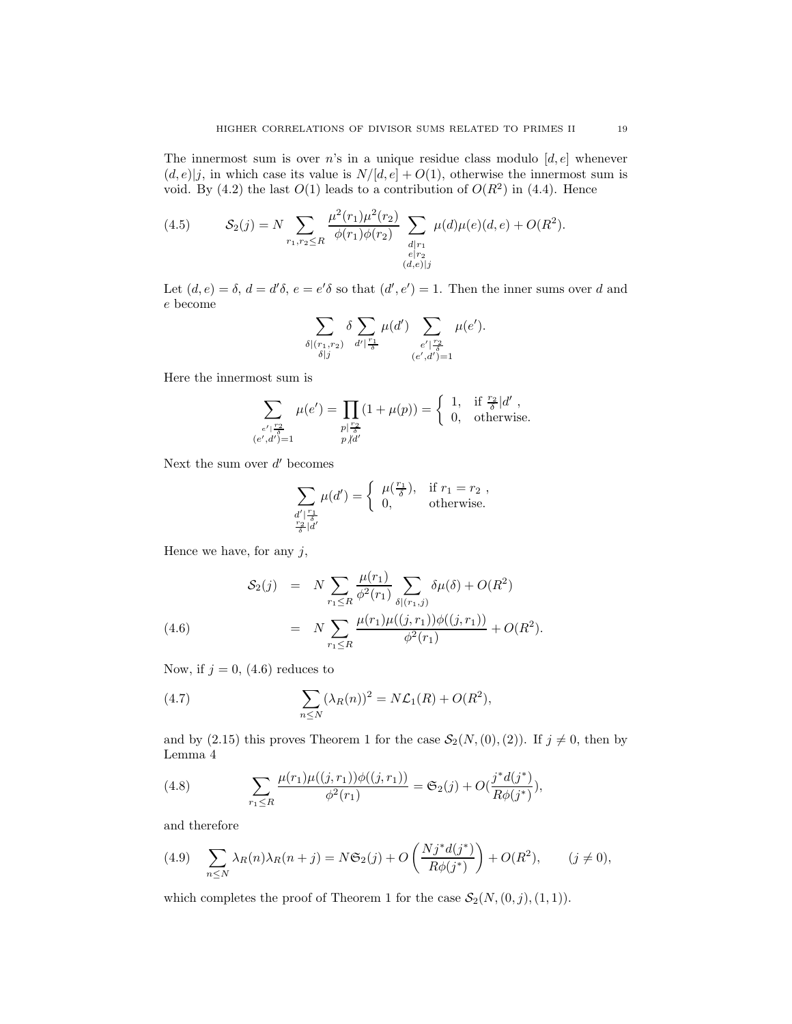The innermost sum is over  $n$ 's in a unique residue class modulo  $[d, e]$  whenever  $(d, e)|j$ , in which case its value is  $N/[d, e] + O(1)$ , otherwise the innermost sum is void. By (4.2) the last  $O(1)$  leads to a contribution of  $O(R^2)$  in (4.4). Hence

(4.5) 
$$
\mathcal{S}_2(j) = N \sum_{r_1, r_2 \le R} \frac{\mu^2(r_1)\mu^2(r_2)}{\phi(r_1)\phi(r_2)} \sum_{\substack{d \mid r_1 \\ e \mid r_2 \\ (d,e) \mid j}} \mu(d)\mu(e)(d,e) + O(R^2).
$$

Let  $(d, e) = \delta, d = d'\delta, e = e'\delta$  so that  $(d', e') = 1$ . Then the inner sums over d and e become

$$
\sum_{\substack{\delta \mid (r_1,r_2) \\ \delta \mid j}} \delta \sum_{d' \mid \frac{r_1}{\delta}} \mu(d') \sum_{\substack{e' \mid \frac{r_2}{\delta} \\ (e',d')=1}} \mu(e').
$$

Here the innermost sum is

$$
\sum_{\substack{e' \mid \frac{r_2}{\delta} \\ (e',d')=1}} \mu(e') = \prod_{\substack{p \mid \frac{r_2}{\delta} \\ p \nmid d'}} (1 + \mu(p)) = \begin{cases} 1, & \text{if } \frac{r_2}{\delta} | d' \\ 0, & \text{otherwise.} \end{cases}
$$

Next the sum over  $d'$  becomes

$$
\sum_{\substack{d' \mid \frac{r_1}{\delta} \\ \frac{r_2}{\delta} \mid d' }} \mu(d') = \begin{cases} \mu(\frac{r_1}{\delta}), & \text{if } r_1 = r_2 , \\ 0, & \text{otherwise.} \end{cases}
$$

Hence we have, for any  $j$ ,

(4.6) 
$$
\mathcal{S}_2(j) = N \sum_{r_1 \le R} \frac{\mu(r_1)}{\phi^2(r_1)} \sum_{\delta | (r_1, j)} \delta \mu(\delta) + O(R^2)
$$

$$
= N \sum_{r_1 \le R} \frac{\mu(r_1) \mu((j, r_1)) \phi((j, r_1))}{\phi^2(r_1)} + O(R^2).
$$

Now, if  $j = 0$ , (4.6) reduces to

(4.7) 
$$
\sum_{n \le N} (\lambda_R(n))^2 = N \mathcal{L}_1(R) + O(R^2),
$$

and by (2.15) this proves Theorem 1 for the case  $S_2(N,(0),(2))$ . If  $j \neq 0$ , then by Lemma 4

(4.8) 
$$
\sum_{r_1 \leq R} \frac{\mu(r_1)\mu((j, r_1))\phi((j, r_1))}{\phi^2(r_1)} = \mathfrak{S}_2(j) + O(\frac{j^*d(j^*)}{R\phi(j^*)}),
$$

and therefore

(4.9) 
$$
\sum_{n \leq N} \lambda_R(n) \lambda_R(n+j) = N \mathfrak{S}_2(j) + O\left(\frac{N j^* d(j^*)}{R \phi(j^*)}\right) + O(R^2), \qquad (j \neq 0),
$$

which completes the proof of Theorem 1 for the case  $\mathcal{S}_2(N,(0,j),(1,1))$ .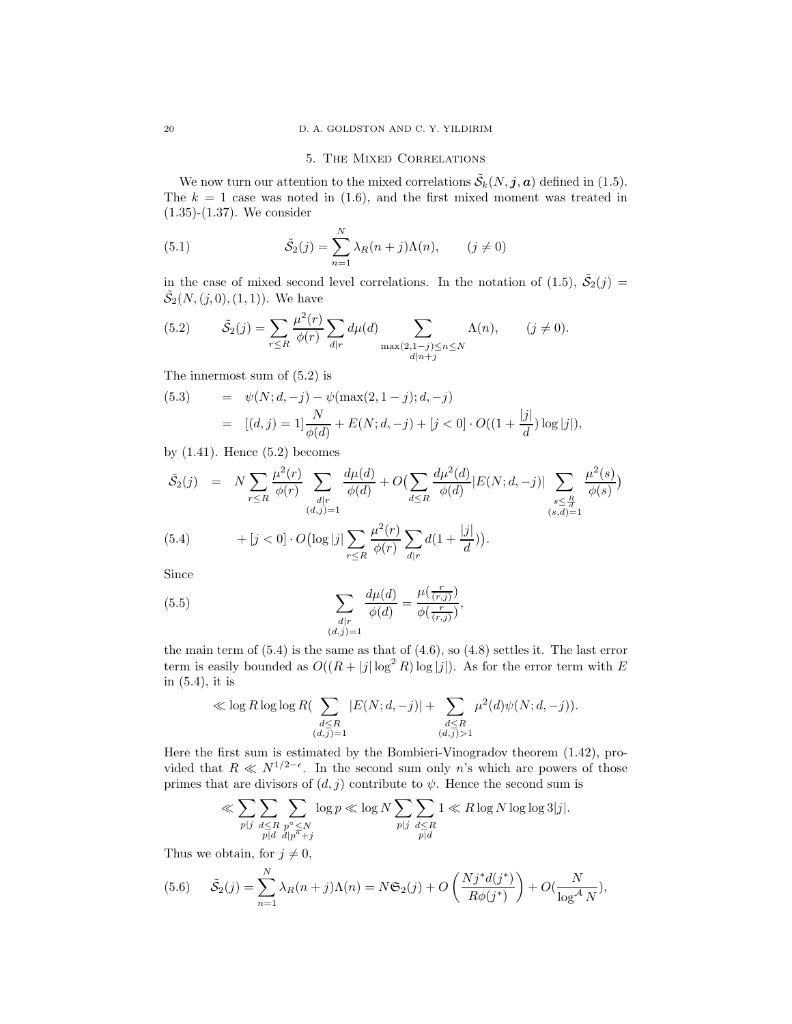### 5. THE MIXED CORRELATIONS

We now turn our attention to the mixed correlations  $\tilde{\mathcal{S}}_k(N, \mathbf{j}, \mathbf{a})$  defined in (1.5). The  $k = 1$  case was noted in (1.6), and the first mixed moment was treated in (1.35)-(1.37). We consider

(5.1) 
$$
\tilde{S}_2(j) = \sum_{n=1}^N \lambda_R(n+j)\Lambda(n), \qquad (j \neq 0)
$$

in the case of mixed second level correlations. In the notation of (1.5),  $\tilde{S}_2(j) =$  $\tilde{S}_2(N,(j,0),(1,1)).$  We have

(5.2) 
$$
\tilde{\mathcal{S}}_2(j) = \sum_{r \leq R} \frac{\mu^2(r)}{\phi(r)} \sum_{d|r} d\mu(d) \sum_{\substack{\max(2,1-j) \leq n \leq N \\ d|n+j}} \Lambda(n), \qquad (j \neq 0).
$$

The innermost sum of (5.2) is

(5.3) = 
$$
\psi(N; d, -j) - \psi(\max(2, 1 - j); d, -j)
$$
  
=  $[(d, j) = 1] \frac{N}{\phi(d)} + E(N; d, -j) + [j < 0] \cdot O((1 + \frac{|j|}{d}) \log |j|),$ 

by  $(1.41)$ . Hence  $(5.2)$  becomes

$$
\tilde{S}_2(j) = N \sum_{r \le R} \frac{\mu^2(r)}{\phi(r)} \sum_{\substack{d|r \ (d,j)=1}} \frac{d\mu(d)}{\phi(d)} + O\left(\sum_{d \le R} \frac{d\mu^2(d)}{\phi(d)} |E(N; d, -j)| \sum_{\substack{s \le \frac{R}{d} \\ (s, d) = 1}} \frac{\mu^2(s)}{\phi(s)}\right)
$$
\n
$$
(5.4) \qquad + [j < 0] \cdot O\left(\log|j| \sum_{r \le R} \frac{\mu^2(r)}{\phi(r)} \sum_{d|r} d\left(1 + \frac{|j|}{d}\right)\right).
$$

Since

(5.5) 
$$
\sum_{\substack{d|r \ (d,j)=1}} \frac{d\mu(d)}{\phi(d)} = \frac{\mu(\frac{r}{(r,j)})}{\phi(\frac{r}{(r,j)})},
$$

the main term of  $(5.4)$  is the same as that of  $(4.6)$ , so  $(4.8)$  settles it. The last error term is easily bounded as  $O((R + |j| \log^2 R) \log |j|)$ . As for the error term with E in (5.4), it is

$$
\ll \log R \log \log R \left( \sum_{\substack{d \leq R \\ (d,j)=1}} |E(N;d, -j)| + \sum_{\substack{d \leq R \\ (d,j)>1}} \mu^2(d) \psi(N;d, -j) \right).
$$

Here the first sum is estimated by the Bombieri-Vinogradov theorem (1.42), provided that  $R \ll N^{1/2-\epsilon}$ . In the second sum only n's which are powers of those primes that are divisors of  $(d, j)$  contribute to  $\psi$ . Hence the second sum is

$$
\ll \sum_{p|j} \sum_{\substack{d \le R \\ p \mid d}} \sum_{\substack{p^a \le N \\ p^a \text{ d}/p^a + j}} \log p \ll \log N \sum_{p|j} \sum_{\substack{d \le R \\ p \mid d}} 1 \ll R \log N \log \log 3|j|.
$$

Thus we obtain, for  $j \neq 0$ ,

(5.6) 
$$
\tilde{S}_2(j) = \sum_{n=1}^N \lambda_R(n+j)\Lambda(n) = N\mathfrak{S}_2(j) + O\left(\frac{Nj^*d(j^*)}{R\phi(j^*)}\right) + O(\frac{N}{\log^4 N}),
$$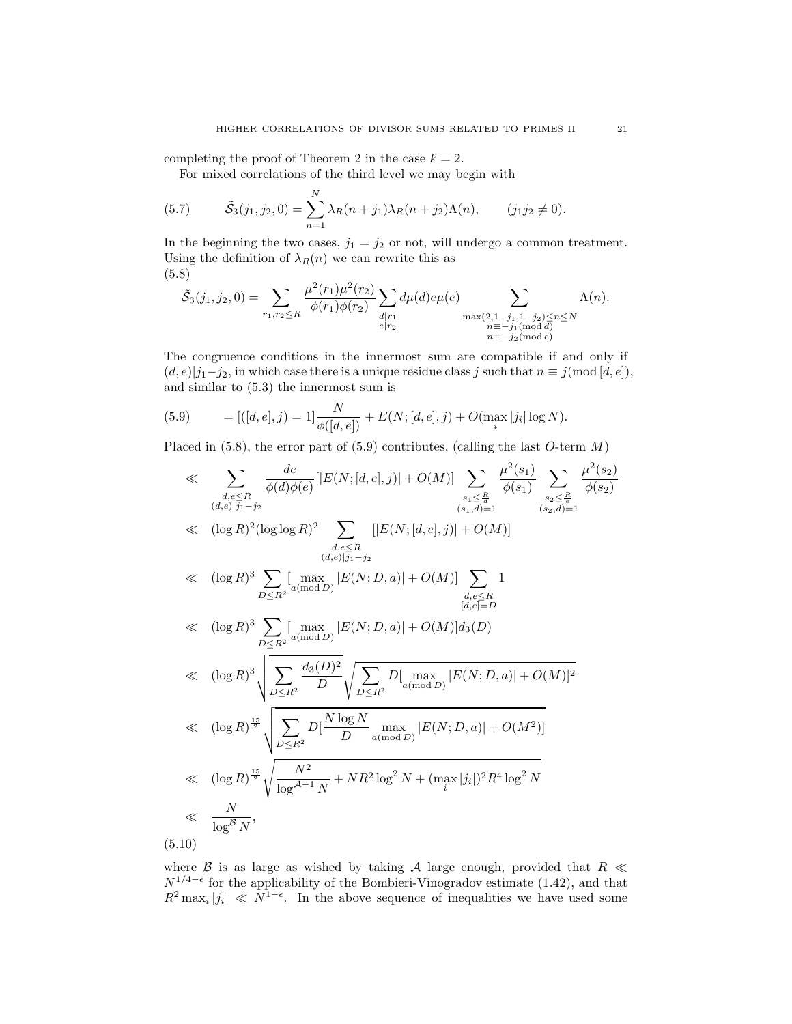completing the proof of Theorem 2 in the case  $k = 2$ .

For mixed correlations of the third level we may begin with

(5.7) 
$$
\tilde{S}_3(j_1, j_2, 0) = \sum_{n=1}^N \lambda_R(n+j_1)\lambda_R(n+j_2)\Lambda(n), \qquad (j_1 j_2 \neq 0).
$$

In the beginning the two cases,  $j_1 = j_2$  or not, will undergo a common treatment. Using the definition of  $\lambda_R(n)$  we can rewrite this as (5.8)

$$
\tilde{S}_3(j_1, j_2, 0) = \sum_{r_1, r_2 \le R} \frac{\mu^2(r_1)\mu^2(r_2)}{\phi(r_1)\phi(r_2)} \sum_{\substack{d \mid r_1 \\ e \mid r_2}} d\mu(d)e\mu(e) \sum_{\substack{\max(2, 1 - j_1, 1 - j_2) \le n \le N \\ n \equiv -j_1(\text{mod }d) \\ n \equiv -j_2(\text{mod }e)}} \Lambda(n).
$$

The congruence conditions in the innermost sum are compatible if and only if  $(d, e)|j_1-j_2|$ , in which case there is a unique residue class j such that  $n \equiv j \pmod{[d, e]},$ and similar to (5.3) the innermost sum is

(5.9) 
$$
= [([d, e], j) = 1] \frac{N}{\phi([d, e])} + E(N; [d, e], j) + O(\max_{i} |j_{i}| \log N).
$$

Placed in  $(5.8)$ , the error part of  $(5.9)$  contributes, (calling the last O-term M)

$$
\ll \sum_{\substack{d,e \leq R \\ (d,e)|j_1-j_2}} \frac{de}{\phi(d)\phi(e)} [|E(N; [d,e], j)| + O(M)] \sum_{\substack{s_1 \leq \frac{R}{2} \\ (s_1,d)=1}} \frac{\mu^2(s_1)}{\phi(s_1)} \sum_{\substack{s_2 \leq \frac{R}{2} \\ (s_2,d)=1}} \frac{\mu^2(s_2)}{\phi(s_2)}
$$
\n
$$
\ll (\log R)^2 (\log \log R)^2 \sum_{\substack{d,e \leq R \\ (d,e)|j_1-j_2}} [|E(N; [d,e], j)| + O(M)]
$$
\n
$$
\ll (\log R)^3 \sum_{D \leq R^2} [\max_{a(\text{mod } D)} |E(N; D, a)| + O(M)] \sum_{\substack{d,e \leq R \\ [d,e]=D}} 1
$$
\n
$$
\ll (\log R)^3 \sum_{D \leq R^2} [\max_{a(\text{mod } D)} |E(N; D, a)| + O(M)] d_3(D)
$$
\n
$$
\ll (\log R)^3 \sqrt{\sum_{D \leq R^2} \frac{d_3(D)^2}{D} \sqrt{\sum_{D \leq R^2} D[\max_{a(\text{mod } D)} |E(N; D, a)| + O(M)]^2}}
$$
\n
$$
\ll (\log R)^{\frac{15}{2}} \sqrt{\sum_{D \leq R^2} D[\frac{N \log N}{D} \max_{a(\text{mod } D)} |E(N; D, a)| + O(M^2)]}
$$
\n
$$
\ll (\log R)^{\frac{15}{2}} \sqrt{\sum_{\log A=1} \frac{N^2}{N} + NR^2 \log^2 N + (\max_{i} |j_i|)^2 R^4 \log^2 N}
$$
\n
$$
\ll \frac{N}{\log^B N}, \tag{5.10}
$$

where  $\beta$  is as large as wished by taking A large enough, provided that  $R \ll$  $N^{1/4-\epsilon}$  for the applicability of the Bombieri-Vinogradov estimate (1.42), and that  $R^2 \max_i |j_i| \ll N^{1-\epsilon}$ . In the above sequence of inequalities we have used some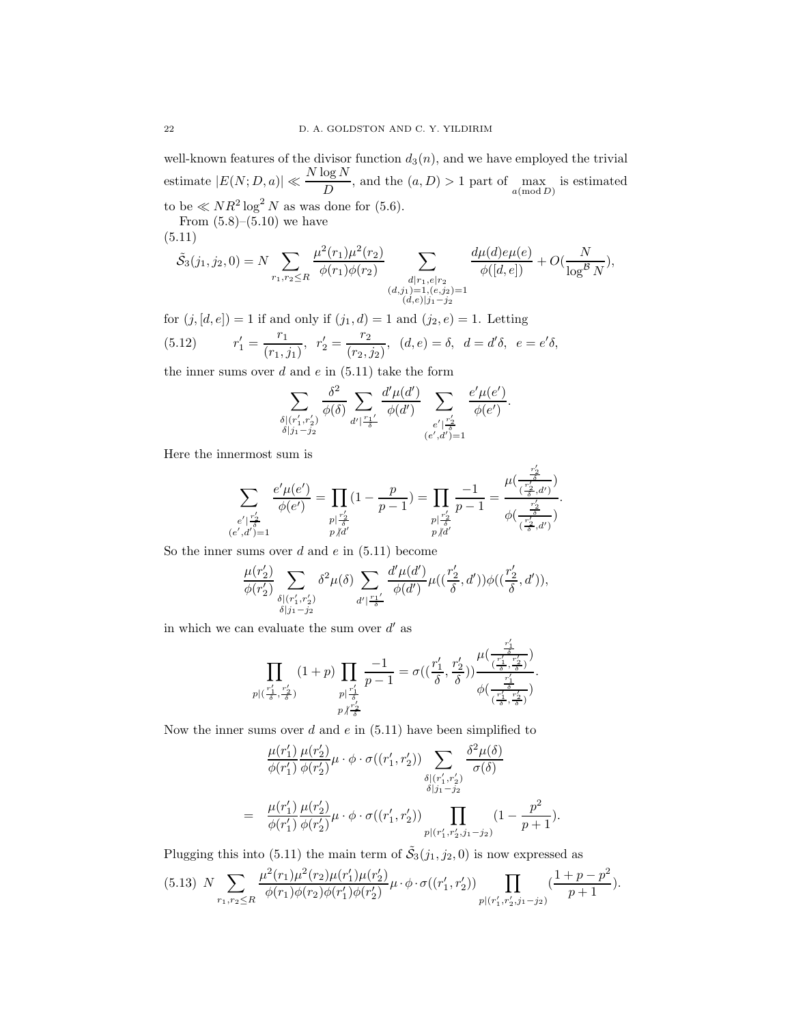well-known features of the divisor function  $d_3(n)$ , and we have employed the trivial estimate  $|E(N;D,a)| \ll \frac{N \log N}{D}$ , and the  $(a, D) > 1$  part of  $\max_{a(\text{mod } D)}$  is estimated to be  $\ll NR^2 \log^2 N$  as was done for (5.6).

From  $(5.8)$ – $(5.10)$  we have (5.11)

 $\tilde{S}_3(j_1, j_2, 0) = N \sum$  $r_1,r_2 \leq R$  $\mu^2(r_1)\mu^2(r_2)$  $\phi(r_1)\phi(r_2)$  $\sum$  $\begin{array}{c}\nd|r_1,e|r_2\(d,j_1)=1,(e,j_2)=1\\(d,e)|j_1-j_2\end{array}$  $\frac{d\mu(d)e\mu(e)}{\phi([d,e])}+O(\frac{N}{\log^{B}})$  $\log^{\mathcal{D}} N$ ),

for  $(j, [d, e]) = 1$  if and only if  $(j_1, d) = 1$  and  $(j_2, e) = 1$ . Letting  $\frac{r_1}{a_1}, r'_2 = \frac{r_2}{(r_2, r_3)}, (d, e) = \delta, d = d'$ 

(5.12) 
$$
r'_1 = \frac{1}{(r_1, j_1)}, r'_2 = \frac{2}{(r_2, j_2)}, (d, e) = \delta, d = d'\delta, e = e'\delta,
$$

the inner sums over  $d$  and  $e$  in  $(5.11)$  take the form

$$
\sum_{\substack{\delta | (r'_1, r'_2) \\ \delta | j_1 - j_2}} \frac{\delta^2}{\phi(\delta)} \sum_{d' | \frac{r_1 \prime}{\delta}} \frac{d' \mu(d')}{\phi(d')} \sum_{\substack{e' | \frac{r'_2}{\delta} \\ (e',d') = 1}} \frac{e' \mu(e')}{\phi(e')}.
$$

Here the innermost sum is

$$
\sum_{\substack{e' \mid \frac{r'_2}{\delta} \\ (e',d')=1}} \frac{e' \mu(e')}{\phi(e')} = \prod_{\substack{p \mid \frac{r'_2}{\delta} \\ p \nmid d'}} (1 - \frac{p}{p-1}) = \prod_{\substack{p \mid \frac{r'_2}{\delta} \\ p \nmid d'}} \frac{-1}{p-1} = \frac{\mu(\frac{r'_2}{(\frac{r'_2}{\delta},d')})}{\phi(\frac{r'_2}{(\frac{r'_2}{\delta},d')})}.
$$

So the inner sums over  $d$  and  $e$  in  $(5.11)$  become

$$
\frac{\mu(r'_2)}{\phi(r'_2)} \sum_{\substack{\delta | (r'_1, r'_2) \\ \delta | j_1 - j_2}} \delta^2 \mu(\delta) \sum_{d' | \frac{r_1 t'}{\delta}} \frac{d' \mu(d')}{\phi(d')} \mu((\frac{r'_2}{\delta}, d')) \phi((\frac{r'_2}{\delta}, d')),
$$

in which we can evaluate the sum over  $d'$  as

$$
\prod_{\substack{p | (\frac{r'_1}{\delta}, \frac{r'_2}{\delta}) \\ p | (\frac{r'_1}{\delta}, \frac{r'_2}{\delta})}} \frac{(1+p) \prod_{\substack{p | \frac{r'_1}{\delta} \\ p \nmid \frac{r'_2}{\delta}}} \frac{-1}{p-1} = \sigma((\frac{r'_1}{\delta}, \frac{r'_2}{\delta})) \frac{\mu(\frac{r'_1}{\delta}, \frac{r'_2}{\delta})}{\phi(\frac{r'_1}{\delta}, \frac{r'_2}{\delta})}.
$$

Now the inner sums over d and  $e$  in  $(5.11)$  have been simplified to

$$
\frac{\mu(r'_1)}{\phi(r'_1)} \frac{\mu(r'_2)}{\phi(r'_2)} \mu \cdot \phi \cdot \sigma((r'_1, r'_2)) \sum_{\substack{\delta | (r'_1, r'_2) \\ \delta | j_1 - j_2}} \frac{\delta^2 \mu(\delta)}{\sigma(\delta)}
$$
\n
$$
= \frac{\mu(r'_1)}{\phi(r'_1)} \frac{\mu(r'_2)}{\phi(r'_2)} \mu \cdot \phi \cdot \sigma((r'_1, r'_2)) \prod_{p | (r'_1, r'_2, j_1 - j_2)} (1 - \frac{p^2}{p + 1}).
$$

Plugging this into (5.11) the main term of  $\tilde{S}_3(j_1, j_2, 0)$  is now expressed as

$$
(5.13) N \sum_{r_1, r_2 \le R} \frac{\mu^2(r_1)\mu^2(r_2)\mu(r_1')\mu(r_2')}{\phi(r_1)\phi(r_2)\phi(r_1')\phi(r_2')} \mu \cdot \phi \cdot \sigma((r_1', r_2')) \prod_{p|(r_1', r_2', j_1 - j_2)} \left(\frac{1 + p - p^2}{p + 1}\right).
$$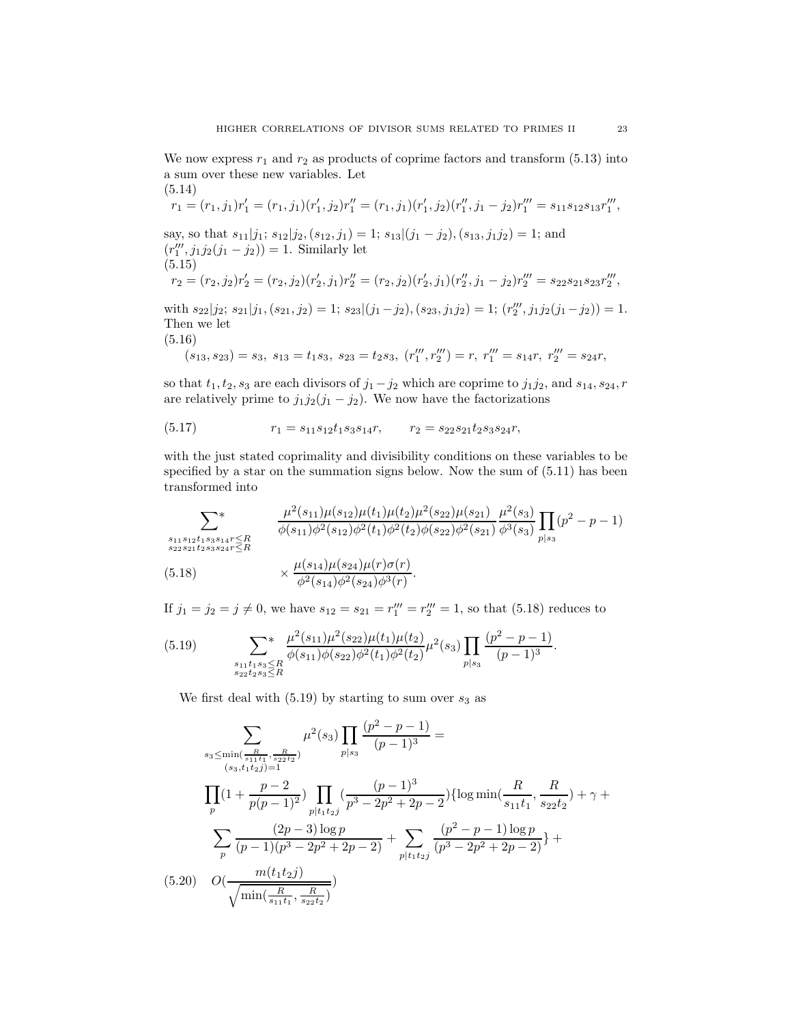We now express  $r_1$  and  $r_2$  as products of coprime factors and transform (5.13) into a sum over these new variables. Let (5.14)

$$
r_1 = (r_1, j_1)r'_1 = (r_1, j_1)(r'_1, j_2)r''_1 = (r_1, j_1)(r'_1, j_2)(r''_1, j_1 - j_2)r''_1 = s_{11}s_{12}s_{13}r''_1,
$$
  
\nsay, so that  $s_{11}|j_1; s_{12}|j_2, (s_{12}, j_1) = 1; s_{13}|(j_1 - j_2), (s_{13}, j_1j_2) = 1$ ; and  
\n
$$
(r''_1, j_1j_2(j_1 - j_2)) = 1.
$$
 Similarly let  
\n(5.15)  
\n
$$
r_2 = (r_2, j_2)r'_2 = (r_2, j_2)(r'_2, j_1)r''_2 = (r_2, j_2)(r'_2, j_1)(r''_2, j_1 - j_2)r''_2 = s_{22}s_{21}s_{23}r''_2,
$$
  
\nwith  $s_{22}|j_2; s_{21}|j_1, (s_{21}, j_2) = 1; s_{23}|(j_1 - j_2), (s_{23}, j_1j_2) = 1; (r'''_2, j_1j_2(j_1 - j_2)) = 1.$   
\nThen we let

Then we let (5.16)

$$
(s_{13}, s_{23}) = s_3, \ s_{13} = t_1 s_3, \ s_{23} = t_2 s_3, \ (r_1''' , r_2''') = r, \ r_1''' = s_{14} r, \ r_2''' = s_{24} r,
$$

so that  $t_1, t_2, s_3$  are each divisors of  $j_1 - j_2$  which are coprime to  $j_1 j_2$ , and  $s_{14}, s_{24}, r$ are relatively prime to  $j_1j_2(j_1 - j_2)$ . We now have the factorizations

(5.17) 
$$
r_1 = s_{11}s_{12}t_1s_3s_{14}r, \qquad r_2 = s_{22}s_{21}t_2s_3s_{24}r,
$$

with the just stated coprimality and divisibility conditions on these variables to be specified by a star on the summation signs below. Now the sum of  $(5.11)$  has been transformed into

$$
\sum_{\substack{s_{11}s_{12}t_{1}s_{3}s_{14}r\leq R\\s_{22}s_{21}t_{2}s_{3}s_{24}r\leq R}} \frac{\mu^{2}(s_{11})\mu(s_{12})\mu(t_{1})\mu(t_{2})\mu^{2}(s_{22})\mu(s_{21})}{\phi(s_{11})\phi^{2}(s_{12})\phi^{2}(t_{1})\phi^{2}(t_{2})\phi(s_{22})\phi^{2}(s_{21})} \frac{\mu^{2}(s_{3})}{\phi^{3}(s_{3})} \prod_{p|s_{3}} (p^{2}-p-1)
$$
\n(5.18)\n
$$
\times \frac{\mu(s_{14})\mu(s_{24})\mu(r)\sigma(r)}{\phi^{2}(s_{14})\phi^{2}(s_{24})\phi^{3}(r)}.
$$

If  $j_1 = j_2 = j \neq 0$ , we have  $s_{12} = s_{21} = r_1''' = r_2''' = 1$ , so that (5.18) reduces to

(5.19) 
$$
\sum_{\substack{s_{11}t_1s_3\leq R\\s_{22}t_2s_3\leq R}} \frac{\mu^2(s_{11})\mu^2(s_{22})\mu(t_1)\mu(t_2)}{\phi(s_{11})\phi(s_{22})\phi^2(t_1)\phi^2(t_2)}\mu^2(s_3) \prod_{p|s_3} \frac{(p^2-p-1)}{(p-1)^3}.
$$

We first deal with  $(5.19)$  by starting to sum over  $s_3$  as

$$
\sum_{\substack{s_3 \le \min\left(\frac{R}{s_1t_1}, \frac{R}{s_2t_2}\right) \\ (s_3, t_1t_2j) = 1}} \mu^2(s_3) \prod_{p|s_3} \frac{(p^2 - p - 1)}{(p - 1)^3} =
$$
\n
$$
\prod_{\substack{s_3, t_1t_2j \ge 1 \\ p}} \left(1 + \frac{p - 2}{p(p - 1)^2}\right) \prod_{p|t_1t_2j} \left(\frac{(p - 1)^3}{p^3 - 2p^2 + 2p - 2}\right) \{\log \min\left(\frac{R}{s_{11}t_1}, \frac{R}{s_{22}t_2}\right) + \gamma + \sum_{p \mid t_1t_2j} \frac{(2p - 3)\log p}{(p - 1)(p^3 - 2p^2 + 2p - 2)} + \sum_{p|t_1t_2j} \frac{(p^2 - p - 1)\log p}{(p^3 - 2p^2 + 2p - 2)}\} +
$$
\n
$$
(5.20) \quad O\left(\frac{m(t_1t_2j)}{\sqrt{\min\left(\frac{R}{s_{11}t_1}, \frac{R}{s_{22}t_2}\right)}}\right)
$$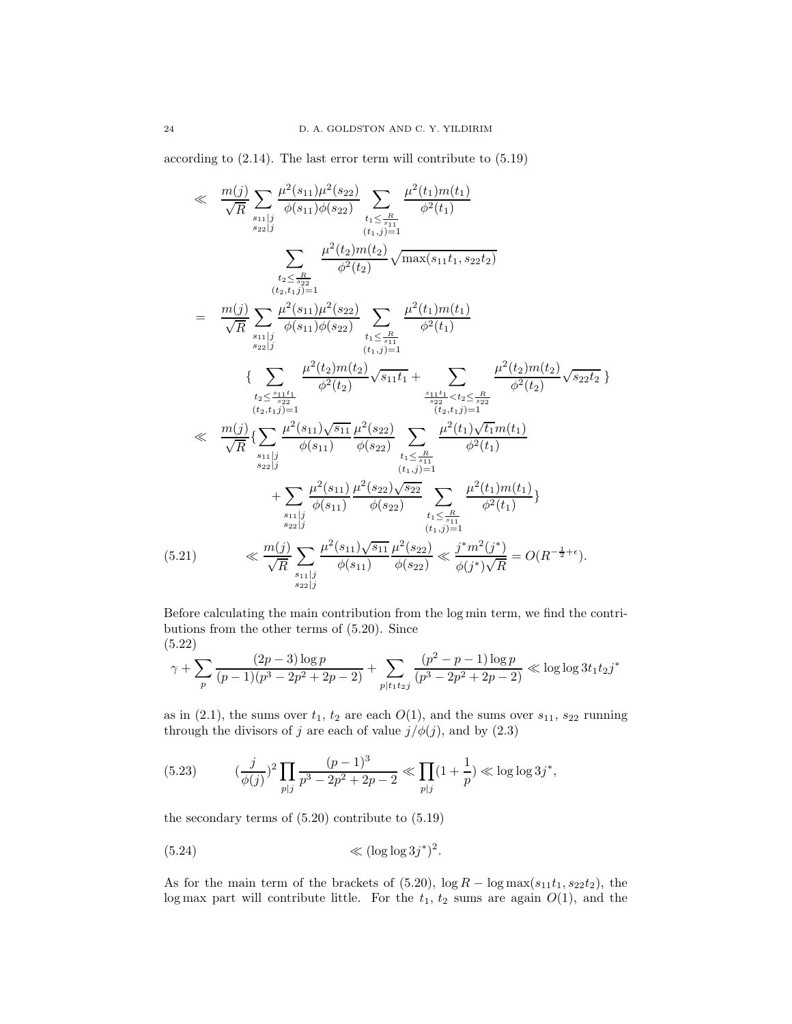according to (2.14). The last error term will contribute to (5.19)

$$
\ll \frac{m(j)}{\sqrt{R}} \sum_{\substack{s_{11}|j \ \text{odd } s_{22}|j}} \frac{\mu^2(s_{11})\mu^2(s_{22})}{\phi(s_{11})\phi(s_{22})} \sum_{\substack{t_1 \leq \frac{R}{s_{11}} \\ (t_1,j)=1}} \frac{\mu^2(t_2)m(t_2)}{\phi^2(t_1)} \sqrt{\max(s_{11}t_1, s_{22}t_2)} \frac{\mu^2(t_2)m(t_2)}{\phi^2(t_2)} \sqrt{\max(s_{11}t_1, s_{22}t_2)} \frac{\mu^2(t_2)m(t_2)}{\phi^2(t_2)}}{\phi^2(t_2)} \sum_{\substack{s_{12}|j \ \text{odd } s_{22}|j}} \frac{\mu^2(s_{11})\mu^2(s_{22})}{\phi^2(t_2)}} \sum_{\substack{t_1 \leq \frac{R}{s_{11}}} \\ (t_1,j)=1}} \frac{\mu^2(t_2)m(t_2)}{\phi^2(t_2)} \sqrt{s_{11}t_1} + \sum_{\substack{s_{12}|j \ \text{odd } s_{22}|j}} \frac{\mu^2(t_2)m(t_2)}{\phi^2(t_2)} \sqrt{s_{22}t_2} \} \frac{\mu^2(t_2)m(t_2)}{\phi^2(t_2)} \sqrt{s_{22}t_2} \} \ll \frac{m(j)}{\sqrt{R}} \{\sum_{\substack{s_{11}|j \ \text{odd } s_{12}|j}} \frac{\mu^2(s_{11})\sqrt{s_{11}}} {\phi(s_{11})} \frac{\mu^2(s_{22})}{\phi(s_{22})} \sum_{\substack{t_1 \leq \frac{R}{s_{11}}} \\ (t_1,t_1)=1} \frac{\mu^2(t_1)\sqrt{t_1}m(t_1)}{\phi^2(t_1)} \frac{\mu^2(s_{11})\mu^2(s_{22})\sqrt{s_{22}}} {\phi^2(t_1)}} \sum_{\substack{t_1 \leq \frac{R}{s_{11}}} \\ (t_1,t_2)=1} \frac{\mu^2(t_1)m(t_1)}{\phi^2(t_1)} \} \ll \frac{m(j)}{\sqrt{R}} \sum_{\substack{s_{21}|j \ \text{odd } s_{22}|j}} \frac{\mu^2(s_{11})\sqrt{s_{11}}} {\phi(s_{22})} \sum_{\substack{t_1 \leq \frac{
$$

Before calculating the main contribution from the log min term, we find the contributions from the other terms of (5.20). Since (5.22)

$$
\gamma + \sum_{p} \frac{(2p-3)\log p}{(p-1)(p^3 - 2p^2 + 2p - 2)} + \sum_{p \mid t_1 t_2 j} \frac{(p^2 - p - 1)\log p}{(p^3 - 2p^2 + 2p - 2)} \ll \log \log 3t_1 t_2 j^*
$$

as in (2.1), the sums over  $t_1$ ,  $t_2$  are each  $O(1)$ , and the sums over  $s_{11}$ ,  $s_{22}$  running through the divisors of j are each of value  $j/\phi(j)$ , and by  $(2.3)$ 

(5.23) 
$$
(\frac{j}{\phi(j)})^2 \prod_{p|j} \frac{(p-1)^3}{p^3 - 2p^2 + 2p - 2} \ll \prod_{p|j} (1 + \frac{1}{p}) \ll \log \log 3j^*,
$$

the secondary terms of (5.20) contribute to (5.19)

(5.24) ≪ (log log 3j ∗ ) 2 .

As for the main term of the brackets of  $(5.20)$ ,  $\log R - \log \max(s_{11}t_1, s_{22}t_2)$ , the log max part will contribute little. For the  $t_1$ ,  $t_2$  sums are again  $O(1)$ , and the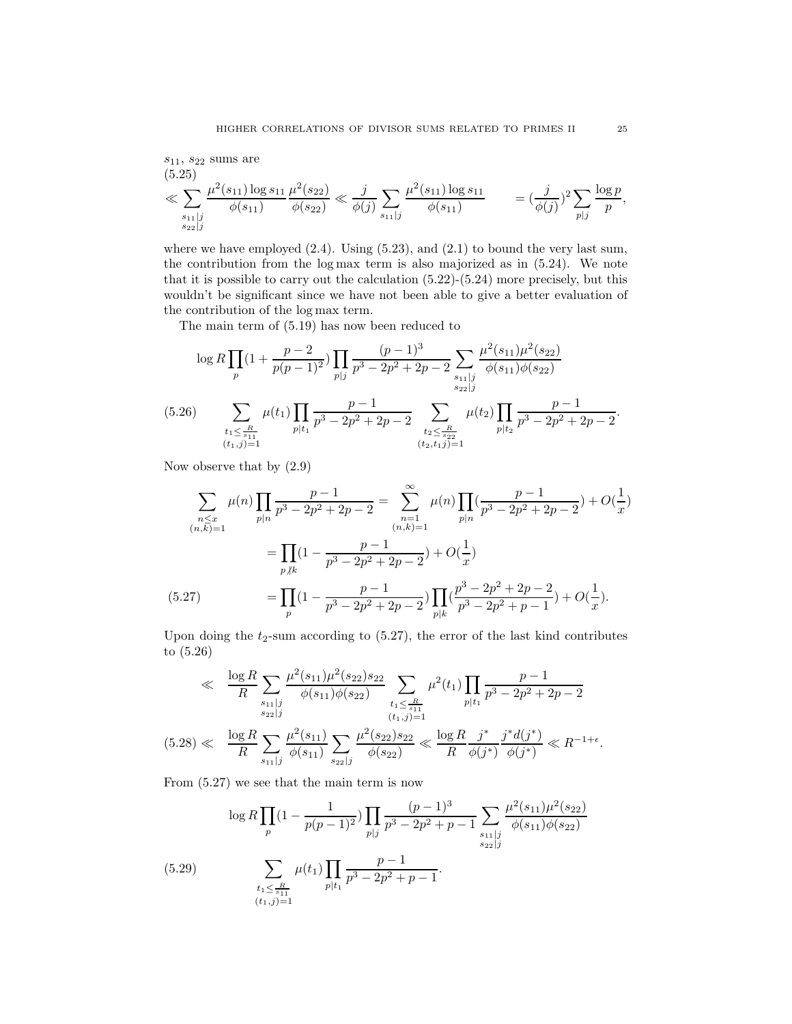$$
\begin{aligned} & s_{11}, \, s_{22} \, \text{sums are} \\ & \quad (5.25) \\ & \ll \sum_{\substack{s_{11} \mid j \\ s_{22} \mid j}} \frac{\mu^2(s_{11}) \log s_{11}}{\phi(s_{11})} \frac{\mu^2(s_{22})}{\phi(s_{22})} \ll \frac{j}{\phi(j)} \sum_{s_{11} \mid j} \frac{\mu^2(s_{11}) \log s_{11}}{\phi(s_{11})} \end{aligned} \qquad = \left(\frac{j}{\phi(j)}\right)^2 \sum_{p \mid j} \frac{\log p}{p},
$$

where we have employed  $(2.4)$ . Using  $(5.23)$ , and  $(2.1)$  to bound the very last sum, the contribution from the log max term is also majorized as in (5.24). We note that it is possible to carry out the calculation  $(5.22)-(5.24)$  more precisely, but this wouldn't be significant since we have not been able to give a better evaluation of the contribution of the log max term.

The main term of (5.19) has now been reduced to

$$
\log R \prod_{p} (1 + \frac{p-2}{p(p-1)^2}) \prod_{p|j} \frac{(p-1)^3}{p^3 - 2p^2 + 2p - 2} \sum_{\substack{s_{11}|j \ s_{22}|j}} \frac{\mu^2(s_{11})\mu^2(s_{22})}{\phi(s_{11})\phi(s_{22})}
$$
\n
$$
(5.26) \qquad \sum_{\substack{t_1 \leq \frac{R}{s_{11}} \\ (t_1,j) = 1}} \mu(t_1) \prod_{p|t_1} \frac{p-1}{p^3 - 2p^2 + 2p - 2} \sum_{\substack{t_2 \leq \frac{R}{s_{22}}} \\ (t_2, t_1,j) = 1} \mu(t_2) \prod_{p|t_2} \frac{p-1}{p^3 - 2p^2 + 2p - 2}.
$$

Now observe that by (2.9)

$$
\sum_{\substack{n \leq x \\ (n,k)=1}} \mu(n) \prod_{p|n} \frac{p-1}{p^3 - 2p^2 + 2p - 2} = \sum_{\substack{n=1 \\ (n,k)=1}}^{\infty} \mu(n) \prod_{p|n} \left(\frac{p-1}{p^3 - 2p^2 + 2p - 2}\right) + O\left(\frac{1}{x}\right)
$$
\n
$$
= \prod_{p|k} \left(1 - \frac{p-1}{p^3 - 2p^2 + 2p - 2}\right) + O\left(\frac{1}{x}\right)
$$
\n
$$
(5.27) \qquad \qquad = \prod_{p} \left(1 - \frac{p-1}{p^3 - 2p^2 + 2p - 2}\right) \prod_{p|k} \left(\frac{p^3 - 2p^2 + 2p - 2}{p^3 - 2p^2 + p - 1}\right) + O\left(\frac{1}{x}\right).
$$

Upon doing the  $t_2$ -sum according to  $(5.27)$ , the error of the last kind contributes to (5.26)

$$
\ll \frac{\log R}{R} \sum_{\substack{s_{11}|j \ s_{22}|j}} \frac{\mu^2(s_{11})\mu^2(s_{22})s_{22}}{\phi(s_{11})\phi(s_{22})} \sum_{\substack{t_1 \leq \frac{R}{s_{11}} \\ (t_1,j)=1}} \mu^2(t_1) \prod_{p|t_1} \frac{p-1}{p^3 - 2p^2 + 2p - 2}
$$
\n
$$
(5.28) \ll \frac{\log R}{R} \sum_{s_{11}|j} \frac{\mu^2(s_{11})}{\phi(s_{11})} \sum_{s_{22}|j} \frac{\mu^2(s_{22})s_{22}}{\phi(s_{22})} \ll \frac{\log R}{R} \frac{j^*}{\phi(j^*)} \frac{j^* d(j^*)}{\phi(j^*)} \ll R^{-1+\epsilon}.
$$

From (5.27) we see that the main term is now

$$
\log R \prod_{p} (1 - \frac{1}{p(p-1)^2}) \prod_{p|j} \frac{(p-1)^3}{p^3 - 2p^2 + p - 1} \sum_{\substack{s_{11}|j \ s_{22}|j}} \frac{\mu^2(s_{11})\mu^2(s_{22})}{\phi(s_{11})\phi(s_{22})}
$$
\n
$$
\sum_{\substack{t_1 \leq \frac{R}{s_{11}} \\ (t_1,j)=1}} \mu(t_1) \prod_{p|t_1} \frac{p-1}{p^3 - 2p^2 + p - 1}.
$$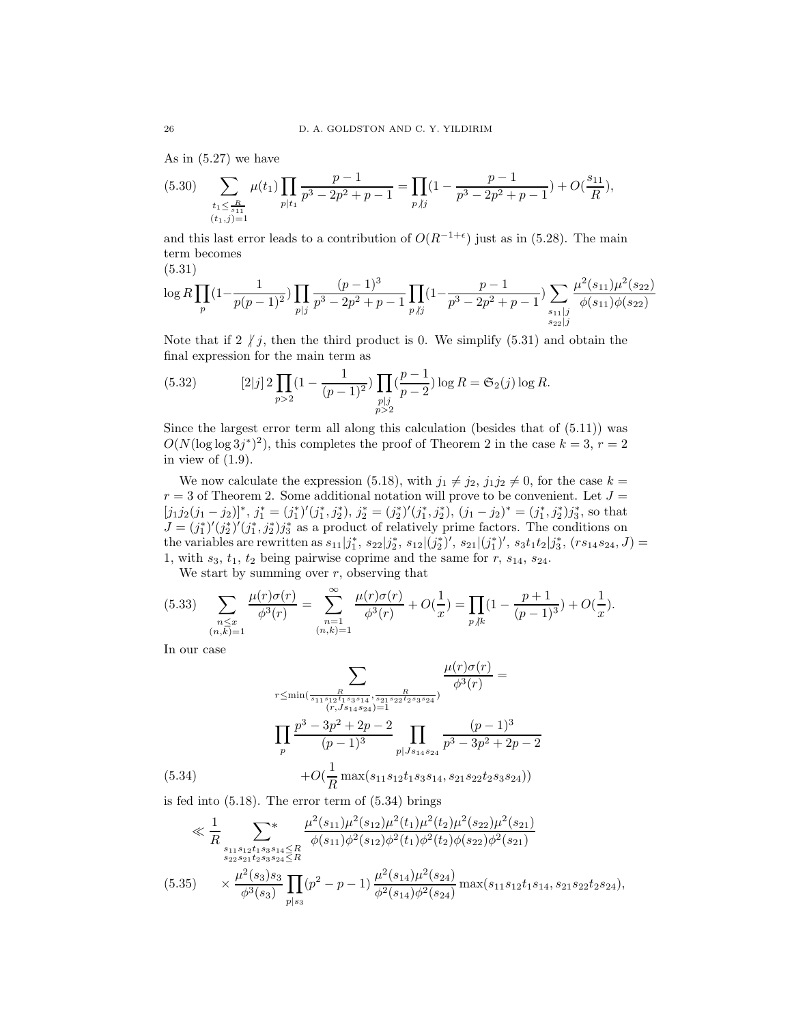As in (5.27) we have

$$
(5.30) \quad \sum_{\substack{t_1 \leq \frac{R}{s_{11}} \\ (t_1,j)=1}} \mu(t_1) \prod_{p|t_1} \frac{p-1}{p^3 - 2p^2 + p - 1} = \prod_{p \nmid j} (1 - \frac{p-1}{p^3 - 2p^2 + p - 1}) + O(\frac{s_{11}}{R}),
$$

and this last error leads to a contribution of  $O(R^{-1+\epsilon})$  just as in (5.28). The main term becomes

(5.31)

$$
\log R \prod_{p} (1 - \frac{1}{p(p-1)^2}) \prod_{p \mid j} \frac{(p-1)^3}{p^3 - 2p^2 + p - 1} \prod_{p \mid j} (1 - \frac{p-1}{p^3 - 2p^2 + p - 1}) \sum_{\substack{s_{11} \mid j \\ s_{22} \mid j}} \frac{\mu^2(s_{11}) \mu^2(s_{22})}{\phi(s_{11}) \phi(s_{22})}
$$

Note that if 2  $\hat{I}$  j, then the third product is 0. We simplify (5.31) and obtain the final expression for the main term as

(5.32) 
$$
[2|j] \, 2 \prod_{p>2} (1 - \frac{1}{(p-1)^2}) \prod_{\substack{p|j \\ p>2}} (\frac{p-1}{p-2}) \log R = \mathfrak{S}_2(j) \log R.
$$

Since the largest error term all along this calculation (besides that of  $(5.11)$ ) was  $O(N(\log \log 3j^*)^2)$ , this completes the proof of Theorem 2 in the case  $k = 3, r = 2$ in view of  $(1.9)$ .

We now calculate the expression (5.18), with  $j_1 \neq j_2$ ,  $j_1j_2 \neq 0$ , for the case  $k =$  $r = 3$  of Theorem 2. Some additional notation will prove to be convenient. Let  $J =$  $[j_1j_2(j_1-j_2)]^*, j_1^* = (j_1^*)' (j_1^*, j_2^*), j_2^* = (j_2^*)' (j_1^*, j_2^*), (j_1-j_2)^* = (j_1^*, j_2^*) j_3^*,$  so that  $J = (j_1^*)' (j_2^*)' (j_1^*, j_2^*) j_3^*$  as a product of relatively prime factors. The conditions on the variables are rewritten as  $s_{11}|j_1^*, s_{22}|j_2^*, s_{12}|(j_2^*)'$ ,  $s_{21}|(j_1^*)'$ ,  $s_3t_1t_2|j_3^*,$   $(rs_{14}s_{24}, J)$  = 1, with  $s_3$ ,  $t_1$ ,  $t_2$  being pairwise coprime and the same for r,  $s_{14}$ ,  $s_{24}$ .

We start by summing over  $r$ , observing that

$$
(5.33) \quad \sum_{\substack{n \leq x \\ (n,k)=1}} \frac{\mu(r)\sigma(r)}{\phi^3(r)} = \sum_{\substack{n=1 \\ (n,k)=1}}^{\infty} \frac{\mu(r)\sigma(r)}{\phi^3(r)} + O(\frac{1}{x}) = \prod_{p \nmid k} (1 - \frac{p+1}{(p-1)^3}) + O(\frac{1}{x}).
$$

In our case

$$
\sum_{r \leq \min(\frac{R}{s_{11}s_{12}t_{1}s_{3}s_{14}}, \frac{R}{s_{21}s_{22}t_{2}s_{3}s_{24}})} \frac{\mu(r)\sigma(r)}{\phi^{3}(r)} =
$$
\n
$$
\prod_{p} \frac{p^{3} - 3p^{2} + 2p - 2}{(p-1)^{3}} \prod_{p | Js_{14}s_{24}} \frac{(p-1)^{3}}{p^{3} - 3p^{2} + 2p - 2}
$$
\n(5.34)\n
$$
+ O(\frac{1}{R} \max(s_{11}s_{12}t_{1}s_{3}s_{14}, s_{21}s_{22}t_{2}s_{3}s_{24}))
$$

is fed into (5.18). The error term of (5.34) brings

$$
\ll \frac{1}{R} \sum_{\substack{s_{11}s_{12}t_{1}s_{3}s_{14} \leq R \\ s_{22}s_{21}t_{2}s_{3}s_{24} \leq R}} \frac{\mu^{2}(s_{11})\mu^{2}(s_{12})\mu^{2}(t_{1})\mu^{2}(t_{2})\mu^{2}(s_{22})\mu^{2}(s_{21})}{\phi(s_{11})\phi^{2}(s_{12})\phi^{2}(t_{1})\phi^{2}(t_{2})\phi(s_{22})\phi^{2}(s_{21})}
$$
\n
$$
(5.35) \times \frac{\mu^{2}(s_{3})s_{3}}{\phi^{3}(s_{3})} \prod_{p|s_{3}} (p^{2} - p - 1) \frac{\mu^{2}(s_{14})\mu^{2}(s_{24})}{\phi^{2}(s_{14})\phi^{2}(s_{24})} \max(s_{11}s_{12}t_{1}s_{14}, s_{21}s_{22}t_{2}s_{24}),
$$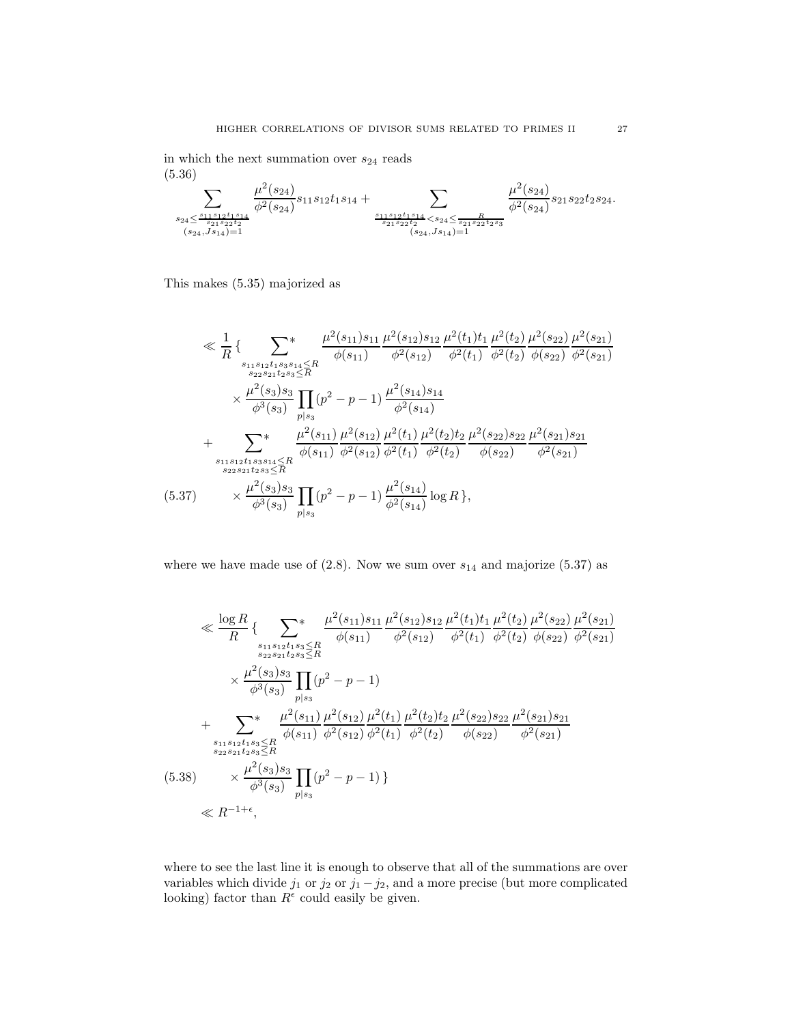in which the next summation over  $\mathfrak{s}_{24}$  reads (5.36)

$$
\sum_{\substack{s_{24}\leq \frac{s_{11}s_{12}t_1s_{14}}{s_{21}s_{22}t_2}} \atop{(s_{24},j_{s_{14}})=1}} \frac{\mu^2(s_{24})}{\phi^2(s_{24})} s_{11}s_{12}t_1s_{14} + \sum_{\substack{s_{11}s_{12}t_1s_{14} \\ s_{21}s_{22}t_2 \\ (s_{24},j_{s_{14}})=1}} \frac{\mu^2(s_{24})}{\phi^2(s_{24})} s_{21}s_{22}t_2s_{24}.
$$

This makes (5.35) majorized as

$$
\ll \frac{1}{R} \left\{ \sum_{\substack{s_{11}s_{12}t_{1}s_{3}s_{14} \leq R \\ s_{22}s_{21}t_{2}s_{3} \leq R}} \frac{\mu^{2}(s_{11})s_{11}}{\phi(s_{11})} \frac{\mu^{2}(s_{12})s_{12}}{\phi^{2}(t_{1})} \frac{\mu^{2}(t_{2})}{\phi^{2}(t_{2})} \frac{\mu^{2}(s_{22})}{\phi(s_{22})} \frac{\mu^{2}(s_{21})}{\phi^{2}(s_{21})} \right\}
$$

$$
\times \frac{\mu^{2}(s_{3})s_{3}}{\phi^{3}(s_{3})} \prod_{p|s_{3}} (p^{2} - p - 1) \frac{\mu^{2}(s_{14})s_{14}}{\phi^{2}(s_{14})}
$$

$$
+ \sum_{\substack{s_{11}s_{12}t_{1}s_{3}s_{14} \leq R \\ s_{22}s_{21}t_{2}s_{3} \leq R}} \frac{\mu^{2}(s_{11})}{\phi(s_{11})} \frac{\mu^{2}(s_{12})}{\phi^{2}(s_{12})} \frac{\mu^{2}(t_{1})}{\phi^{2}(t_{1})} \frac{\mu^{2}(t_{2})t_{2}}{\phi^{2}(t_{2})} \frac{\mu^{2}(s_{22})s_{22}}{\phi(s_{22})} \frac{\mu^{2}(s_{21})s_{21}}{\phi^{2}(s_{21})}
$$

$$
(5.37) \times \frac{\mu^{2}(s_{3})s_{3}}{\phi^{3}(s_{3})} \prod_{p|s_{3}} (p^{2} - p - 1) \frac{\mu^{2}(s_{14})}{\phi^{2}(s_{14})} \log R \},
$$

where we have made use of  $(2.8)$ . Now we sum over  $s_{14}$  and majorize  $(5.37)$  as

$$
\ll \frac{\log R}{R} \{ \sum_{\substack{s_{11}s_{12}t_{1}s_{3} \leq R \\ s_{22}s_{21}t_{2s_{3} \leq R}}}\frac{\mu^{2}(s_{11})s_{11}}{\phi(s_{11})} \frac{\mu^{2}(s_{12})s_{12}}{\phi^{2}(s_{12})} \frac{\mu^{2}(t_{1})t_{1}}{\phi^{2}(t_{2})} \frac{\mu^{2}(s_{22})}{\phi(s_{22})} \frac{\mu^{2}(s_{21})}{\phi^{2}(s_{21})}
$$
\n
$$
\times \frac{\mu^{2}(s_{3})s_{3}}{\phi^{3}(s_{3})} \prod_{p|s_{3}}(p^{2} - p - 1)
$$
\n+ 
$$
\sum_{\substack{s_{11}s_{12}t_{1}s_{3} \leq R \\ s_{22}s_{21}t_{2s_{3} \leq R}}}\frac{\mu^{2}(s_{11})}{\phi(s_{11})} \frac{\mu^{2}(s_{12})}{\phi^{2}(s_{12})} \frac{\mu^{2}(t_{1})}{\phi^{2}(t_{1})} \frac{\mu^{2}(t_{2})t_{2}}{\phi^{2}(t_{2})} \frac{\mu^{2}(s_{21})s_{21}}{\phi(s_{22})} \frac{\mu^{2}(s_{21})s_{21}}{\phi^{2}(s_{21})}
$$
\n(5.38) 
$$
\times \frac{\mu^{2}(s_{3})s_{3}}{\phi^{3}(s_{3})} \prod_{p|s_{3}}(p^{2} - p - 1) \}
$$
\n
$$
\ll R^{-1+\epsilon},
$$

where to see the last line it is enough to observe that all of the summations are over variables which divide  $j_1$  or  $j_2$  or  $j_1 - j_2$ , and a more precise (but more complicated looking) factor than  $R^{\epsilon}$  could easily be given.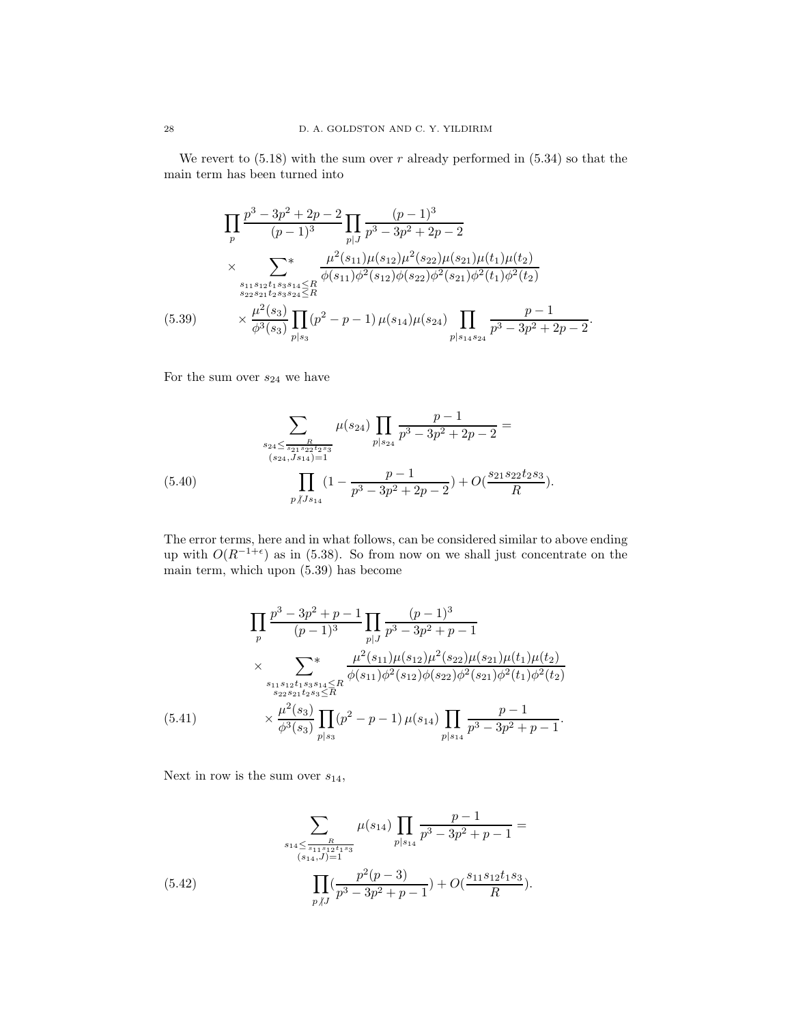We revert to  $(5.18)$  with the sum over r already performed in  $(5.34)$  so that the main term has been turned into

$$
\prod_{p} \frac{p^3 - 3p^2 + 2p - 2}{(p-1)^3} \prod_{p|J} \frac{(p-1)^3}{p^3 - 3p^2 + 2p - 2}
$$
\n
$$
\times \sum_{\substack{s_{11}s_{12}t_1s_3s_{14} \le R \\ s_{22}s_{21}t_2s_3s_{24} \le R}} \frac{\mu^2(s_{11})\mu(s_{12})\mu^2(s_{22})\mu(s_{21})\mu(t_1)\mu(t_2)}{\phi(s_{11})\phi^2(s_{12})\phi(s_{22})\phi^2(s_{21})\phi^2(t_1)\phi^2(t_2)}
$$
\n(5.39) 
$$
\times \frac{\mu^2(s_3)}{\phi^3(s_3)} \prod_{p|s_3} (p^2 - p - 1) \mu(s_{14})\mu(s_{24}) \prod_{p|s_{14}s_{24}} \frac{p - 1}{p^3 - 3p^2 + 2p - 2}.
$$

For the sum over  $s_{24}$  we have

$$
\sum_{\substack{s_{24} \le \frac{R}{s_{21}s_{22}s_3} \\ (s_{24}, s_{34})=1}} \mu(s_{24}) \prod_{p|s_{24}} \frac{p-1}{p^3 - 3p^2 + 2p - 2} = \frac{\sum_{\substack{s_{24} \le \frac{R}{s_{24}, s_{24}}\\ (s_{24}, s_{34})=1}} \mu(s_{24}) \prod_{p|s_{24}} \frac{p-1}{p^3 - 3p^2 + 2p - 2} + O(\frac{s_{21}s_{22}t_{2}s_3}{R}).
$$

The error terms, here and in what follows, can be considered similar to above ending up with  $O(R^{-1+\epsilon})$  as in (5.38). So from now on we shall just concentrate on the main term, which upon (5.39) has become

$$
\prod_{p} \frac{p^3 - 3p^2 + p - 1}{(p-1)^3} \prod_{p|J} \frac{(p-1)^3}{p^3 - 3p^2 + p - 1}
$$
\n
$$
\times \sum_{\substack{s_{11}s_{12}t_{1}s_{3}s_{14} \le R \\ s_{22}s_{21}t_{2s_{3}} \le R}} \frac{\mu^2(s_{11})\mu(s_{12})\mu^2(s_{22})\mu(s_{21})\mu(t_{1})\mu(t_{2})}{\phi(s_{11})\phi^2(s_{12})\phi(s_{22})\phi^2(s_{21})\phi^2(t_{1})\phi^2(t_{2})}
$$
\n(5.41) 
$$
\times \frac{\mu^2(s_3)}{\phi^3(s_3)} \prod_{p|s_3} (p^2 - p - 1) \mu(s_{14}) \prod_{p|s_{14}} \frac{p - 1}{p^3 - 3p^2 + p - 1}.
$$

Next in row is the sum over  $s_{14}$ ,

(5.42) 
$$
\sum_{\substack{s_{14} \leq \frac{R}{s_{11}s_{12}t_{1}s_{3}} \\ (s_{14}, J)=1}} \mu(s_{14}) \prod_{p|s_{14}} \frac{p-1}{p^{3}-3p^{2}+p-1} = \prod_{p \mid J} (\frac{p^{2}(p-3)}{p^{3}-3p^{2}+p-1}) + O(\frac{s_{11}s_{12}t_{1}s_{3}}{R}).
$$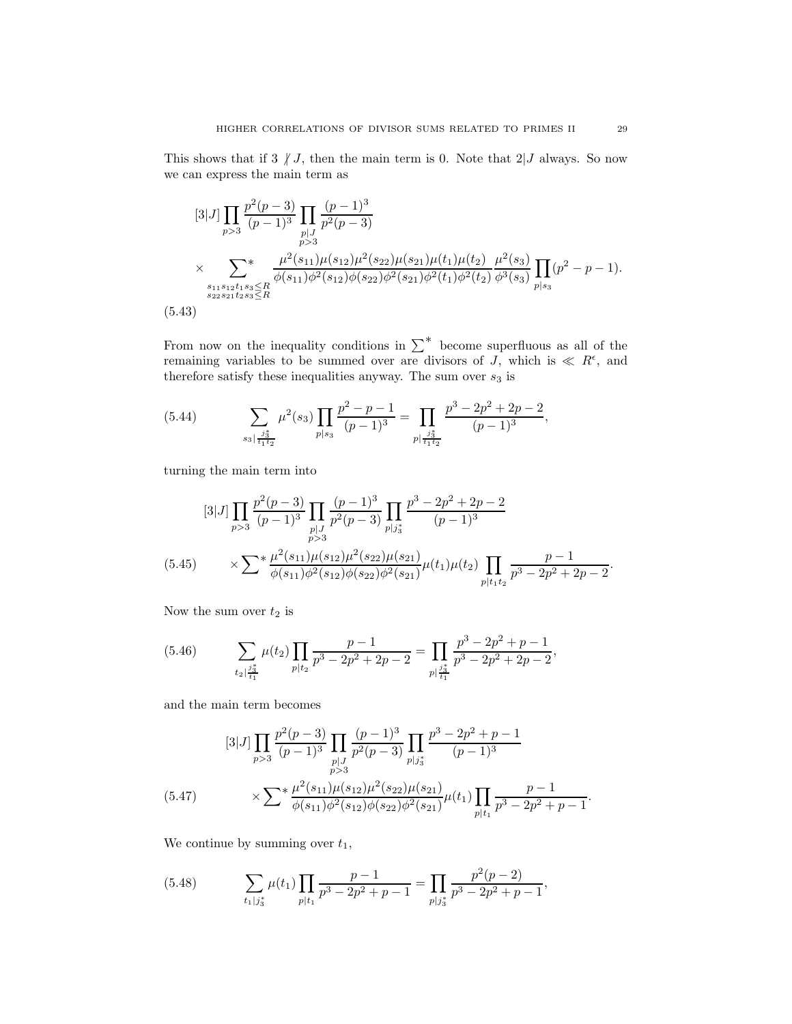This shows that if 3  $\vert J \vert$ , then the main term is 0. Note that 2  $\vert J \vert$  always. So now we can express the main term as

$$
[3|J] \prod_{p>3} \frac{p^2(p-3)}{(p-1)^3} \prod_{\substack{p|J \ p>3}} \frac{(p-1)^3}{p^2(p-3)}
$$
  
 
$$
\times \sum_{\substack{s_{11}s_{12}t_{1}s_{3} \le R \\ s_{22}s_{21}t_{2}s_{3} \le R}} \frac{\mu^2(s_{11})\mu(s_{12})\mu^2(s_{22})\mu(s_{21})\mu(t_1)\mu(t_2)}{\phi(s_{11})\phi^2(s_{12})\phi(s_{22})\phi^2(s_{21})\phi^2(t_1)\phi^2(t_2)} \frac{\mu^2(s_3)}{\phi^3(s_3)} \prod_{p|s_3} (p^2 - p - 1).
$$
  
(5.43)

From now on the inequality conditions in  $\sum^*$  become superfluous as all of the remaining variables to be summed over are divisors of J, which is  $\ll R^{\epsilon}$ , and therefore satisfy these inequalities anyway. The sum over  $s_3$  is

(5.44) 
$$
\sum_{s_3 \mid \frac{j_3^*}{t_1 t_2}} \mu^2(s_3) \prod_{p \mid s_3} \frac{p^2 - p - 1}{(p - 1)^3} = \prod_{p \mid \frac{j_3^*}{t_1 t_2}} \frac{p^3 - 2p^2 + 2p - 2}{(p - 1)^3},
$$

turning the main term into

$$
[3|J] \prod_{p>3} \frac{p^2(p-3)}{(p-1)^3} \prod_{\substack{p|J \ p>3}} \frac{(p-1)^3}{p^2(p-3)} \prod_{p|J_{3}^*} \frac{p^3 - 2p^2 + 2p - 2}{(p-1)^3}
$$
  

$$
(5.45) \qquad \times \sum^* \frac{\mu^2(s_{11})\mu(s_{12})\mu^2(s_{22})\mu(s_{21})}{\phi(s_{11})\phi^2(s_{12})\phi(s_{22})\phi^2(s_{21})} \mu(t_1)\mu(t_2) \prod_{p|t_1t_2} \frac{p-1}{p^3 - 2p^2 + 2p - 2}.
$$

Now the sum over  $t_2$  is

(5.46) 
$$
\sum_{t_2 \mid \frac{j_3^*}{t_1}} \mu(t_2) \prod_{p \mid t_2} \frac{p-1}{p^3 - 2p^2 + 2p - 2} = \prod_{p \mid \frac{j_3^*}{t_1}} \frac{p^3 - 2p^2 + p - 1}{p^3 - 2p^2 + 2p - 2},
$$

and the main term becomes

$$
\begin{aligned}\n & [3|J] \prod_{p>3} \frac{p^2(p-3)}{(p-1)^3} \prod_{\substack{p|J\\p>3}} \frac{(p-1)^3}{p^2(p-3)} \prod_{\substack{p|J^*\\p>3}} \frac{p^3 - 2p^2 + p - 1}{(p-1)^3} \\
 &\times \sum^* \frac{\mu^2(s_{11})\mu(s_{12})\mu^2(s_{22})\mu(s_{21})}{\phi(s_{11})\phi^2(s_{12})\phi(s_{22})\phi^2(s_{21})} \mu(t_1) \prod_{p|t_1} \frac{p-1}{p^3 - 2p^2 + p - 1}.\n \end{aligned}
$$

We continue by summing over  $t_1$ ,

(5.48) 
$$
\sum_{t_1|j_3^*} \mu(t_1) \prod_{p|t_1} \frac{p-1}{p^3 - 2p^2 + p - 1} = \prod_{p|j_3^*} \frac{p^2(p-2)}{p^3 - 2p^2 + p - 1},
$$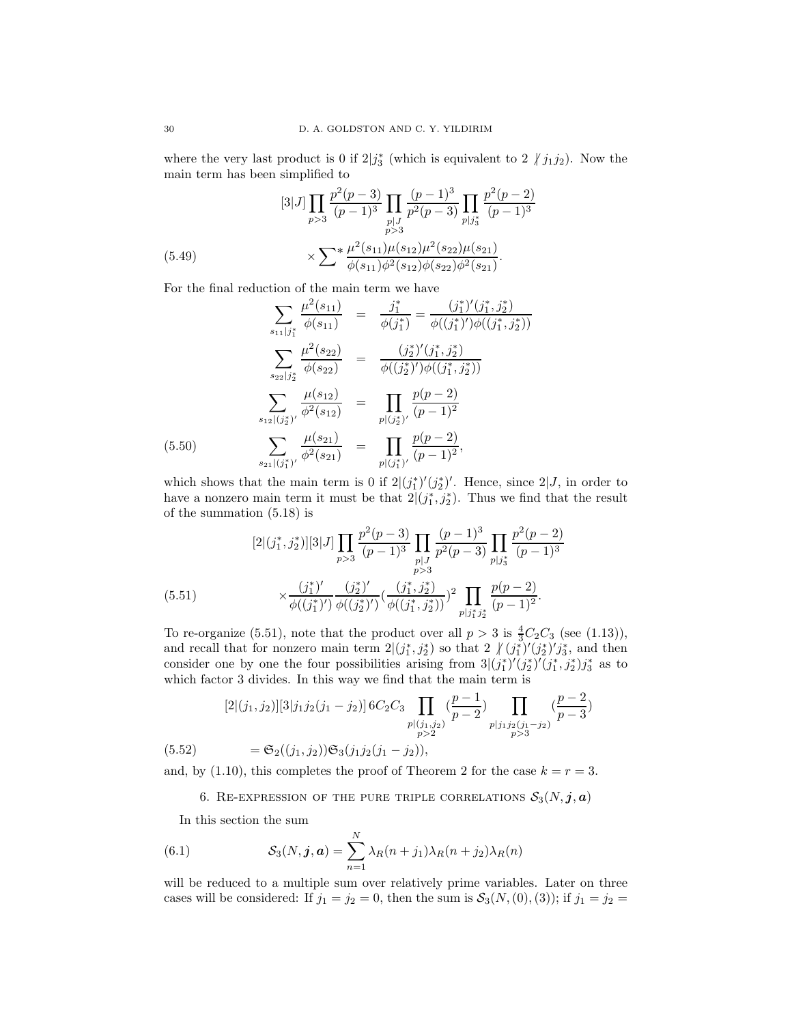where the very last product is 0 if  $2|j_3^*$  (which is equivalent to  $2 \nmid j_1 j_2$ ). Now the main term has been simplified to

(5.49) 
$$
[3|J] \prod_{p>3} \frac{p^2(p-3)}{(p-1)^3} \prod_{\substack{p|J \ p>3}} \frac{(p-1)^3}{p^2(p-3)} \prod_{\substack{p|J_3^* \ p>3}} \frac{p^2(p-2)}{(p-1)^3}
$$

$$
\times \sum^* \frac{\mu^2(s_{11})\mu(s_{12})\mu^2(s_{22})\mu(s_{21})}{\phi(s_{11})\phi^2(s_{12})\phi(s_{22})\phi^2(s_{21})}.
$$

For the final reduction of the main term we have

$$
\sum_{s_{11}|j_{1}^{*}} \frac{\mu^{2}(s_{11})}{\phi(s_{11})} = \frac{j_{1}^{*}}{\phi(j_{1}^{*})} = \frac{(j_{1}^{*})'(j_{1}^{*}, j_{2}^{*})}{\phi((j_{1}^{*})')\phi((j_{1}^{*}, j_{2}^{*}))}
$$
\n
$$
\sum_{s_{22}|j_{2}^{*}} \frac{\mu^{2}(s_{22})}{\phi(s_{22})} = \frac{(j_{2}^{*})'(j_{1}^{*}, j_{2}^{*})}{\phi((j_{2}^{*})')\phi((j_{1}^{*}, j_{2}^{*}))}
$$
\n
$$
\sum_{s_{12}|(j_{2}^{*})'} \frac{\mu(s_{12})}{\phi^{2}(s_{12})} = \prod_{p|(j_{2}^{*})'} \frac{p(p-2)}{(p-1)^{2}}
$$
\n(5.50)\n
$$
\sum_{s_{21}|(j_{1}^{*})'} \frac{\mu(s_{21})}{\phi^{2}(s_{21})} = \prod_{p|(j_{1}^{*})'} \frac{p(p-2)}{(p-1)^{2}},
$$

which shows that the main term is 0 if  $2|(j_1^*)'(j_2^*)'$ . Hence, since  $2|J$ , in order to have a nonzero main term it must be that  $2|(j_1^*, j_2^*)$ . Thus we find that the result of the summation (5.18) is

$$
\begin{split} [2|(j_1^*, j_2^*)][3|J] \prod_{p>3} \frac{p^2(p-3)}{(p-1)^3} \prod_{\substack{p|J \ p>3}} \frac{(p-1)^3}{p^2(p-3)} \prod_{\substack{p|j_3^* \\ p>3}} \frac{p^2(p-2)}{(p-1)^3} \\ &\times \frac{(j_1^*)'}{\phi((j_1^*)')} \frac{(j_2^*)'}{\phi((j_2^*)')} \left(\frac{(j_1^*, j_2^*)}{\phi((j_1^*, j_2^*))}\right)^2 \prod_{p|j_1^*, j_2^*} \frac{p(p-2)}{(p-1)^2} .\end{split}
$$

To re-organize (5.51), note that the product over all  $p > 3$  is  $\frac{4}{3}C_2C_3$  (see (1.13)), and recall that for nonzero main term  $2|(j_1^*, j_2^*)$  so that  $2 \frac{\sqrt{(j_1^*)'}(j_2^*)'}{j_3^*}$ , and then consider one by one the four possibilities arising from  $3|(j_1^*)'(j_2^*)'(j_1^*,j_2^*)j_3^*$  as to which factor 3 divides. In this way we find that the main term is

$$
[2|(j_1, j_2)][3|j_1j_2(j_1 - j_2)] 6C_2C_3 \prod_{\substack{p|(j_1, j_2) \\ p>2}} \left(\frac{p-1}{p-2}\right) \prod_{\substack{p|j_1j_2(j_1 - j_2) \\ p>3}} \left(\frac{p-2}{p-3}\right)
$$
  
(5.52) 
$$
= \mathfrak{S}_2((j_1, j_2))\mathfrak{S}_3(j_1j_2(j_1 - j_2)),
$$

and, by (1.10), this completes the proof of Theorem 2 for the case  $k = r = 3$ .

6. RE-EXPRESSION OF THE PURE TRIPLE CORRELATIONS  $S_3(N, j, a)$ 

In this section the sum

(6.1) 
$$
\mathcal{S}_3(N, \mathbf{j}, \mathbf{a}) = \sum_{n=1}^N \lambda_R(n+j_1) \lambda_R(n+j_2) \lambda_R(n)
$$

will be reduced to a multiple sum over relatively prime variables. Later on three cases will be considered: If  $j_1 = j_2 = 0$ , then the sum is  $S_3(N, (0), (3))$ ; if  $j_1 = j_2 =$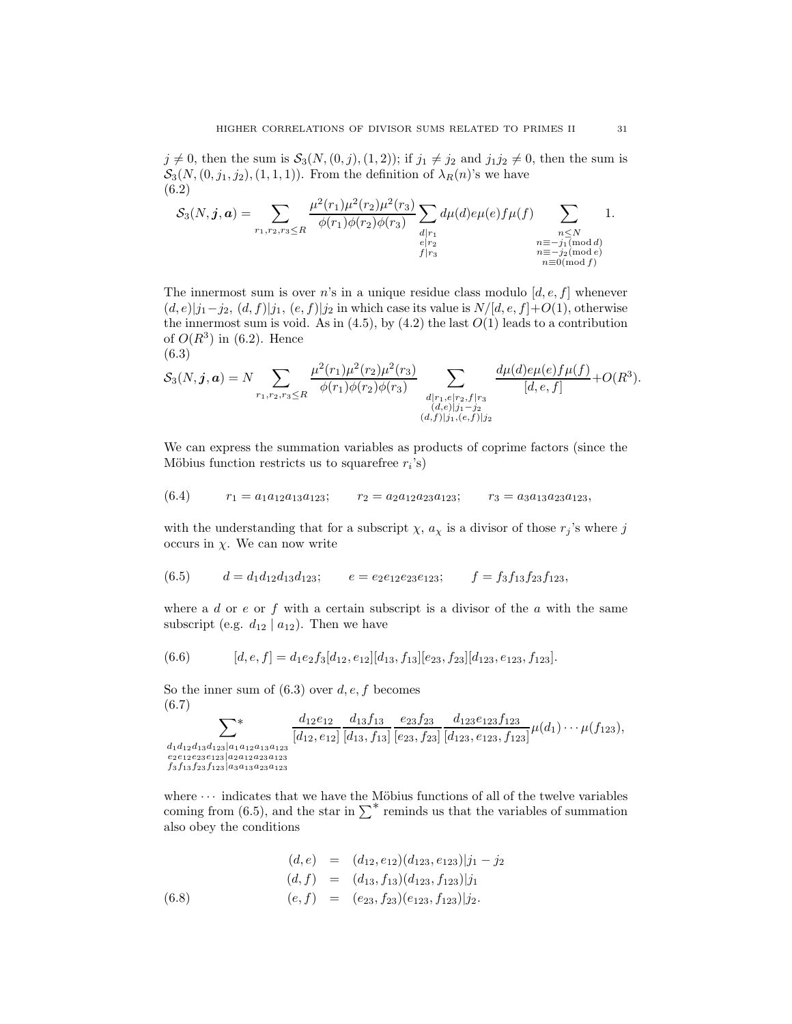$j \neq 0$ , then the sum is  $S_3(N, (0, j), (1, 2))$ ; if  $j_1 \neq j_2$  and  $j_1j_2 \neq 0$ , then the sum is  $S_3(N,(0, j_1, j_2), (1, 1, 1))$ . From the definition of  $\lambda_R(n)$ 's we have (6.2)

$$
S_3(N, \mathbf{j}, \mathbf{a}) = \sum_{r_1, r_2, r_3 \le R} \frac{\mu^2(r_1)\mu^2(r_2)\mu^2(r_3)}{\phi(r_1)\phi(r_2)\phi(r_3)} \sum_{\substack{d \mid r_1 \\ e \mid r_2}} d\mu(d)e\mu(e)f\mu(f) \sum_{\substack{n \le N \\ n \equiv -j_1(\text{mod }d) \\ n \equiv 0(\text{mod }f)}} 1.
$$

The innermost sum is over n's in a unique residue class modulo  $[d, e, f]$  whenever  $(d, e)|j_1-j_2, (d, f)|j_1, (e, f)|j_2$  in which case its value is  $N/[d, e, f]+O(1)$ , otherwise the innermost sum is void. As in  $(4.5)$ , by  $(4.2)$  the last  $O(1)$  leads to a contribution of  $O(R^3)$  in (6.2). Hence (6.3)

$$
S_3(N, \mathbf{j}, \mathbf{a}) = N \sum_{r_1, r_2, r_3 \le R} \frac{\mu^2(r_1)\mu^2(r_2)\mu^2(r_3)}{\phi(r_1)\phi(r_2)\phi(r_3)} \sum_{\substack{d \mid r_1, e \mid r_2, f \mid r_3 \\ (d,e) \mid j_1 - j_2 \\ (d,f) \mid j_1, (e,f)}} \frac{d\mu(d)e\mu(e)f\mu(f)}{[d,e,f]} + O(R^3).
$$

We can express the summation variables as products of coprime factors (since the Möbius function restricts us to squarefree  $r_i$ 's)

$$
(6.4) \t\t r_1 = a_1 a_{12} a_{13} a_{123}; \t\t r_2 = a_2 a_{12} a_{23} a_{123}; \t\t r_3 = a_3 a_{13} a_{23} a_{123},
$$

with the understanding that for a subscript  $\chi$ ,  $a_{\chi}$  is a divisor of those  $r_j$ 's where j occurs in  $\chi$ . We can now write

$$
(6.5) \qquad d = d_1 d_{12} d_{13} d_{123}; \qquad e = e_2 e_{12} e_{23} e_{123}; \qquad f = f_3 f_{13} f_{23} f_{123},
$$

where a d or  $e$  or  $f$  with a certain subscript is a divisor of the  $a$  with the same subscript (e.g.  $d_{12} | a_{12}$ ). Then we have

$$
(6.6) \qquad [d,e,f] = d_1 e_2 f_3 [d_{12}, e_{12}][d_{13}, f_{13}][e_{23}, f_{23}][d_{123}, e_{123}, f_{123}].
$$

So the inner sum of  $(6.3)$  over d, e, f becomes (6.7)  $\overline{J}$  f

X\* d1d12d13d123|a1a12a13a<sup>123</sup> e2e12e23e123|a2a12a23a<sup>123</sup> f3f13f23f123|a3a13a23a<sup>123</sup> d12e<sup>12</sup> [d12, e12] [d13, f13] e23f<sup>23</sup> [e23, f23] d123e123f<sup>123</sup> [d123, e123, f123] µ(d1)· · · µ(f123),

where  $\cdots$  indicates that we have the Möbius functions of all of the twelve variables coming from (6.5), and the star in  $\sum^*$  reminds us that the variables of summation also obey the conditions

(6.8)  
\n
$$
(d, e) = (d_{12}, e_{12})(d_{123}, e_{123})|j_1 - j_2
$$
\n
$$
(d, f) = (d_{13}, f_{13})(d_{123}, f_{123})|j_1
$$
\n
$$
(6.8)
$$
\n
$$
(e, f) = (e_{23}, f_{23})(e_{123}, f_{123})|j_2.
$$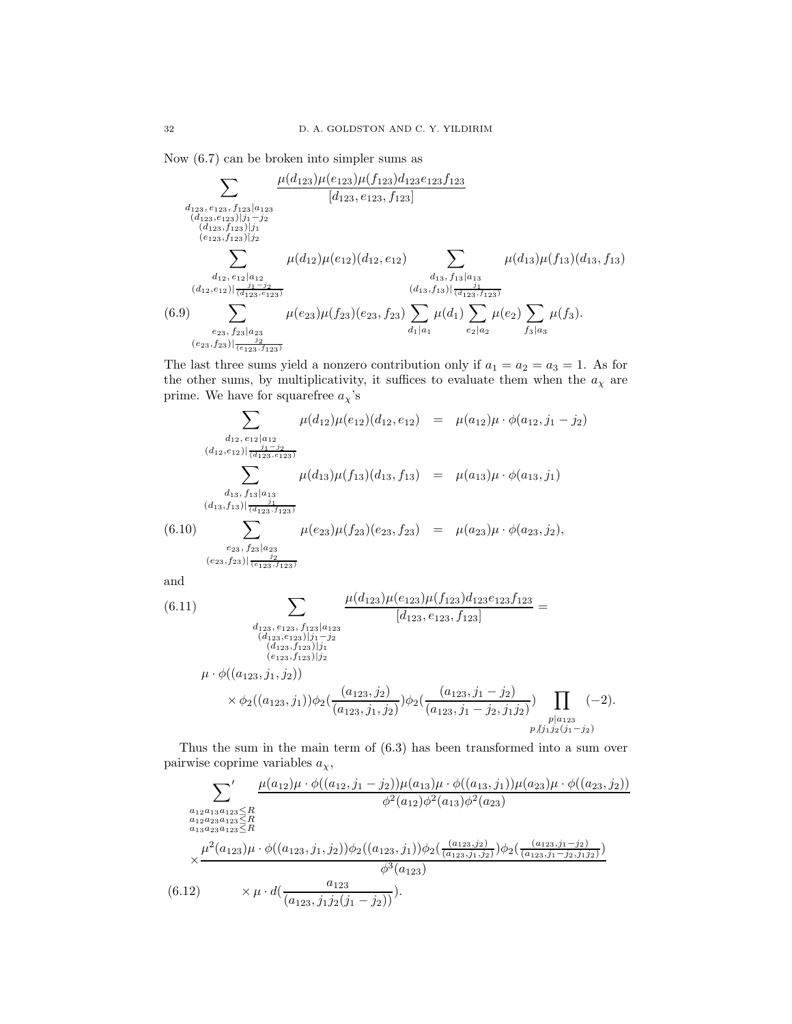Now (6.7) can be broken into simpler sums as

$$
\sum_{\substack{d_{123}, e_{123}, f_{123} \mid a_{123} \\ (d_{123}, e_{123}) \mid j_1 - j_2 \\ (d_{123}, f_{123}) \mid j_1 - j_2 \\ (e_{123}, f_{123}) \mid j_1 - j_2}} \frac{\mu(d_{123}, \mu(e_{123}, f_{123})} [d_{123}, e_{123}, f_{123}]}{{[d_{123}, e_{123}}]_{j_1}} \\ \sum_{\substack{d_{12}, e_{12} \mid a_{12} \\ (d_{12}, e_{12}) \mid \frac{j_1 - j_2}{(d_{123}, e_{123})}} \mu(d_{12}) \mu(e_{12}) (d_{12}, e_{12})} \sum_{\substack{d_{13}, f_{13} \mid a_{13} \\ (d_{13}, f_{13}) \mid \frac{j_1}{(d_{123}, f_{123})}} \mu(d_{13}) \mu(f_{13}) (d_{13}, f_{13})}
$$
\n(6.9) 
$$
\sum_{\substack{e_{23}, f_{23} \mid a_{23} \\ (e_{23}, f_{23}) \mid \frac{j_2}{(e_{123}, f_{123})}} \mu(e_{23}) \mu(f_{23}) (e_{23}, f_{23}) \sum_{\substack{d_1 \mid a_1 \\ e_1 \mid a_1}} \mu(d_1) \sum_{\substack{e_2 \mid a_2 \\ e_2 \mid a_2}} \mu(e_2) \sum_{\substack{f_3 \mid a_3 \\ f_3 \mid a_3}} \mu(f_3).
$$

The last three sums yield a nonzero contribution only if  $a_1 = a_2 = a_3 = 1$ . As for the other sums, by multiplicativity, it suffices to evaluate them when the  $a_{\chi}$  are prime. We have for squarefree  $a_{\chi}$ 's

$$
\sum_{\substack{d_{12}, e_{12} \mid a_{12} \\ (d_{12}, e_{12}) \mid \frac{j_1 - j_2 \\ (d_{12}, e_{12}) \mid (d_{12}, e_{12})}} \mu(d_{12}) \mu(e_{12})(d_{12}, e_{12}) = \mu(a_{12})\mu \cdot \phi(a_{12}, j_1 - j_2)}
$$
\n
$$
\sum_{\substack{d_{13}, f_{13} \mid a_{13} \\ (d_{13}, f_{13}) \mid \frac{j_1}{(d_{123}, f_{123})}} \mu(d_{13})\mu(f_{13})(d_{13}, f_{13}) = \mu(a_{13})\mu \cdot \phi(a_{13}, j_1)
$$
\n
$$
(6.10) \sum_{\substack{e_{23}, f_{23} \mid a_{23} \\ (e_{23}, f_{23}) \mid \frac{j_2}{(e_{123}, f_{123})}} \mu(e_{23})\mu(f_{23})(e_{23}, f_{23}) = \mu(a_{23})\mu \cdot \phi(a_{23}, j_2),
$$

and

$$
(6.11) \qquad \qquad \sum_{\substack{d_{123}, e_{123}, f_{123} \mid a_{123} \\ (d_{123}, e_{123}), j_1 - j_2 \\ (d_{123}, f_{123}) \mid j_1 - j_2 \\ (e_{123}, f_{123}) \mid j_1}} \frac{\mu(d_{123})\mu(e_{123})\mu(f_{123})d_{123}e_{123}f_{123}}{[d_{123}, e_{123}, f_{123}]} = \qquad \qquad (d_{123}, e_{123}, f_{123})
$$
\n
$$
\mu \cdot \phi((a_{123}, j_1, j_2)) \times \phi_2((a_{123}, j_1, j_2))\phi_2(\frac{(a_{123}, j_1 - j_2)}{(a_{123}, j_1 - j_2, j_1 j_2)}) \prod_{\substack{p \mid a_{123} \\ p \nmid j_1 j_2(j_1 - j_2) \\ p \nmid j_1 j_2(j_1 - j_2)}} (-2).
$$

Thus the sum in the main term of (6.3) has been transformed into a sum over pairwise coprime variables  $a_{\chi}$ ,

$$
\sum_{\substack{a_{12}a_{13}a_{123} \le R \\ a_{12}a_{23}a_{123} \le R \\ a_{13}a_{23}a_{123} \le R \\ \times \frac{\mu^2(a_{12})\mu \cdot \phi((a_{12},j_1-j_2))\mu(a_{13})\mu \cdot \phi((a_{13},j_1))\mu(a_{23})\mu \cdot \phi((a_{23},j_2))}{\phi^2(a_{12})\phi^2(a_{13})\phi^2(a_{23})} \times \frac{\mu^2(a_{123})\mu \cdot \phi((a_{123},j_1,j_2))\phi_2((a_{123},j_1))\phi_2(\frac{(a_{123},j_2)}{(a_{123},j_1,j_2)})\phi_2(\frac{(a_{123},j_1-j_2)}{(a_{123},j_1-j_2,j_1,j_2)})}{\phi^3(a_{123})}
$$
\n(6.12) 
$$
\times \mu \cdot d(\frac{a_{123}}{(a_{123},j_1j_2(j_1-j_2))}).
$$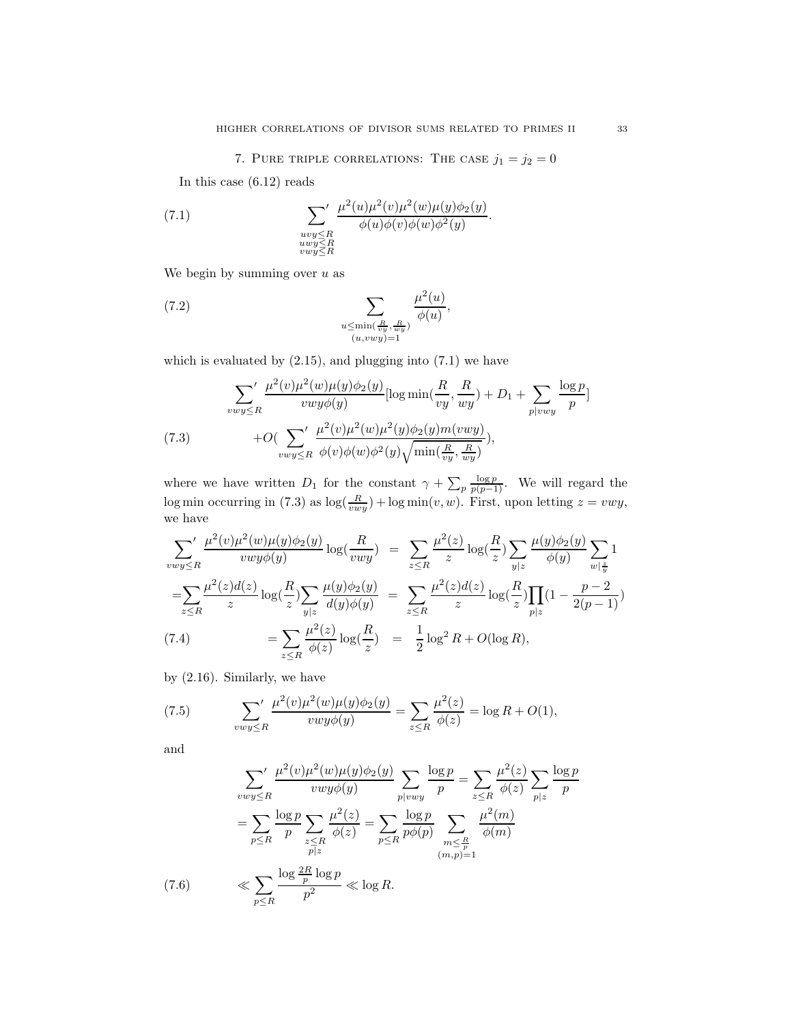7. PURE TRIPLE CORRELATIONS: THE CASE  $j_1 = j_2 = 0$ 

.

In this case (6.12) reads

(7.1) 
$$
\sum_{\substack{uvy \leq R \\ uvy \leq R \\ vwy \leq R}}' \frac{\mu^2(u)\mu^2(v)\mu^2(w)\mu(y)\phi_2(y)}{\phi(u)\phi(v)\phi(w)\phi^2(y)}
$$

We begin by summing over  $u$  as

(7.2) 
$$
\sum_{\substack{u \le \min(\frac{R}{vy}, \frac{R}{wy}) \\ (u,vwy)=1}} \frac{\mu^2(u)}{\phi(u)},
$$

which is evaluated by  $(2.15)$ , and plugging into  $(7.1)$  we have

$$
\sum_{vwy\leq R} \frac{\mu^2(v)\mu^2(w)\mu(y)\phi_2(y)}{vwy\phi(y)} [\log \min(\frac{R}{vy}, \frac{R}{wy}) + D_1 + \sum_{p|vwy} \frac{\log p}{p}]
$$
  
(7.3) 
$$
+ O(\sum_{vwy\leq R} \frac{\mu^2(v)\mu^2(w)\mu^2(y)\phi_2(y)m(vwy)}{\phi(v)\phi(w)\phi^2(y)\sqrt{\min(\frac{R}{vy}, \frac{R}{wy})}}),
$$

where we have written  $D_1$  for the constant  $\gamma + \sum_{p} \frac{\log p}{p(p-1)}$ . We will regard the log min occurring in (7.3) as  $\log(\frac{R}{vwy}) + \log \min(v, w)$ . First, upon letting  $z = vwy$ , we have

$$
\sum_{vwy\leq R} \frac{\mu^2(v)\mu^2(w)\mu(y)\phi_2(y)}{vwy\phi(y)} \log(\frac{R}{vwy}) = \sum_{z\leq R} \frac{\mu^2(z)}{z} \log(\frac{R}{z}) \sum_{y|z} \frac{\mu(y)\phi_2(y)}{\phi(y)} \sum_{w|\frac{z}{y}} 1
$$
  
\n
$$
= \sum_{z\leq R} \frac{\mu^2(z)d(z)}{z} \log(\frac{R}{z}) \sum_{y|z} \frac{\mu(y)\phi_2(y)}{d(y)\phi(y)} = \sum_{z\leq R} \frac{\mu^2(z)d(z)}{z} \log(\frac{R}{z}) \prod_{p|z} (1 - \frac{p-2}{2(p-1)})
$$
  
\n(7.4) 
$$
= \sum_{z\leq R} \frac{\mu^2(z)}{\phi(z)} \log(\frac{R}{z}) = \frac{1}{2} \log^2 R + O(\log R),
$$

by (2.16). Similarly, we have

(7.5) 
$$
\sum_{vwy\leq R} \frac{\mu^2(v)\mu^2(w)\mu(y)\phi_2(y)}{vwy\phi(y)} = \sum_{z\leq R} \frac{\mu^2(z)}{\phi(z)} = \log R + O(1),
$$

and

$$
\sum_{vwy\leq R} \frac{\mu^2(v)\mu^2(w)\mu(y)\phi_2(y)}{vwy\phi(y)} \sum_{p|vwy} \frac{\log p}{p} = \sum_{z\leq R} \frac{\mu^2(z)}{\phi(z)} \sum_{p|z} \frac{\log p}{p}
$$

$$
= \sum_{p\leq R} \frac{\log p}{p} \sum_{\substack{z\leq R \\ p|z}} \frac{\mu^2(z)}{\phi(z)} = \sum_{p\leq R} \frac{\log p}{p\phi(p)} \sum_{\substack{m\leq \frac{R}{p} \\ (m,p)=1}} \frac{\mu^2(m)}{\phi(m)}
$$

$$
\ll \sum_{p\leq R} \frac{\log \frac{2R}{p} \log p}{p^2} \ll \log R.
$$
(7.6)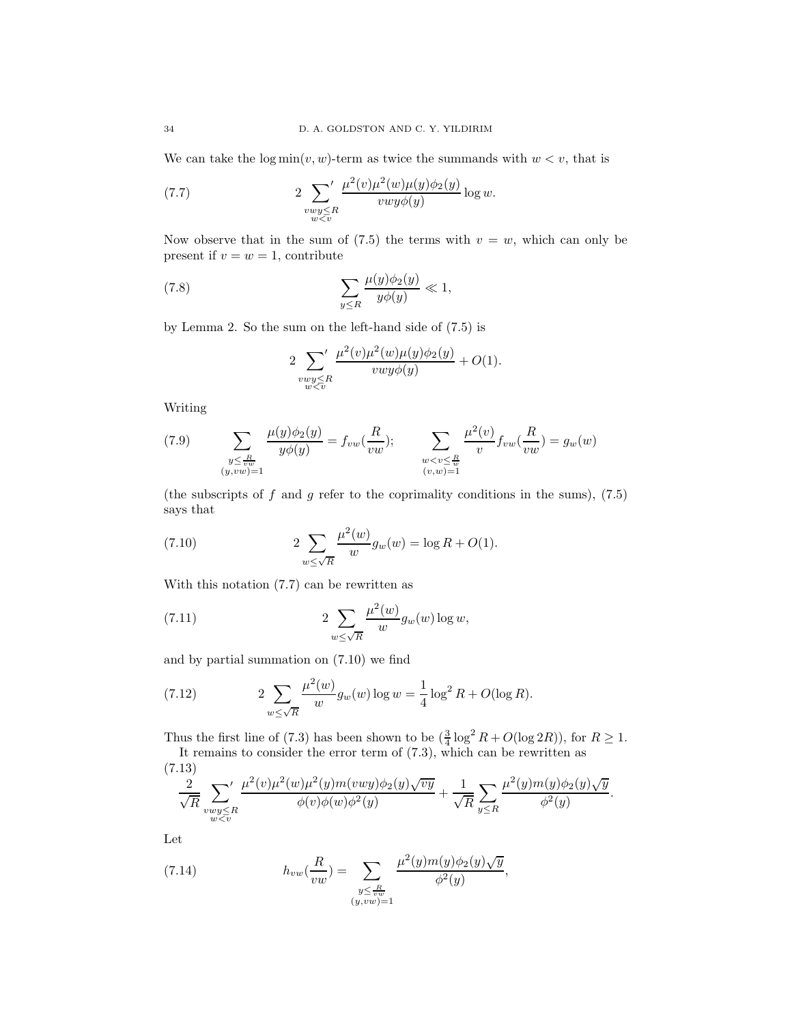We can take the  $\log \min(v, w)$ -term as twice the summands with  $w < v$ , that is

(7.7) 
$$
2 \sum_{\substack{vwy \leq R \\ w \leq v}}' \frac{\mu^{2}(v)\mu^{2}(w)\mu(y)\phi_{2}(y)}{vwy\phi(y)} \log w.
$$

Now observe that in the sum of  $(7.5)$  the terms with  $v = w$ , which can only be present if  $v = w = 1$ , contribute

(7.8) 
$$
\sum_{y\leq R} \frac{\mu(y)\phi_2(y)}{y\phi(y)} \ll 1,
$$

by Lemma 2. So the sum on the left-hand side of (7.5) is

$$
2\sum_{\substack{vwy\leq R\\w\leq v}}\frac{\mu^2(v)\mu^2(w)\mu(y)\phi_2(y)}{vwy\phi(y)}+O(1).
$$

Writing

(7.9) 
$$
\sum_{\substack{y \leq \frac{R}{vw} \\ (y,vw) = 1}} \frac{\mu(y)\phi_2(y)}{y\phi(y)} = f_{vw}(\frac{R}{vw}); \qquad \sum_{\substack{w < v \leq \frac{R}{w} \\ (v,w) = 1}} \frac{\mu^2(v)}{v} f_{vw}(\frac{R}{vw}) = g_w(w)
$$

(the subscripts of f and g refer to the coprimality conditions in the sums),  $(7.5)$ says that

(7.10) 
$$
2 \sum_{w \le \sqrt{R}} \frac{\mu^2(w)}{w} g_w(w) = \log R + O(1).
$$

With this notation (7.7) can be rewritten as

(7.11) 
$$
2\sum_{w\leq\sqrt{R}}\frac{\mu^2(w)}{w}g_w(w)\log w,
$$

and by partial summation on (7.10) we find

(7.12) 
$$
2 \sum_{w \le \sqrt{R}} \frac{\mu^2(w)}{w} g_w(w) \log w = \frac{1}{4} \log^2 R + O(\log R).
$$

Thus the first line of (7.3) has been shown to be  $(\frac{3}{4} \log^2 R + O(\log 2R))$ , for  $R \ge 1$ . It remains to consider the error term of  $(7.3)$ , which can be rewritten as

$$
\frac{2}{\sqrt{R}} \sum_{\substack{vwy \le R \\ w < v}} \frac{\mu^2(v)\mu^2(w)\mu^2(y)m(vwy)\phi_2(y)\sqrt{vy}}{\phi(v)\phi(w)\phi^2(y)} + \frac{1}{\sqrt{R}} \sum_{y \le R} \frac{\mu^2(y)m(y)\phi_2(y)\sqrt{y}}{\phi^2(y)}.
$$

Let

(7.14) 
$$
h_{vw}(\frac{R}{vw}) = \sum_{\substack{y \leq \frac{R}{vw} \\ (y, vw) = 1}} \frac{\mu^2(y)m(y)\phi_2(y)\sqrt{y}}{\phi^2(y)},
$$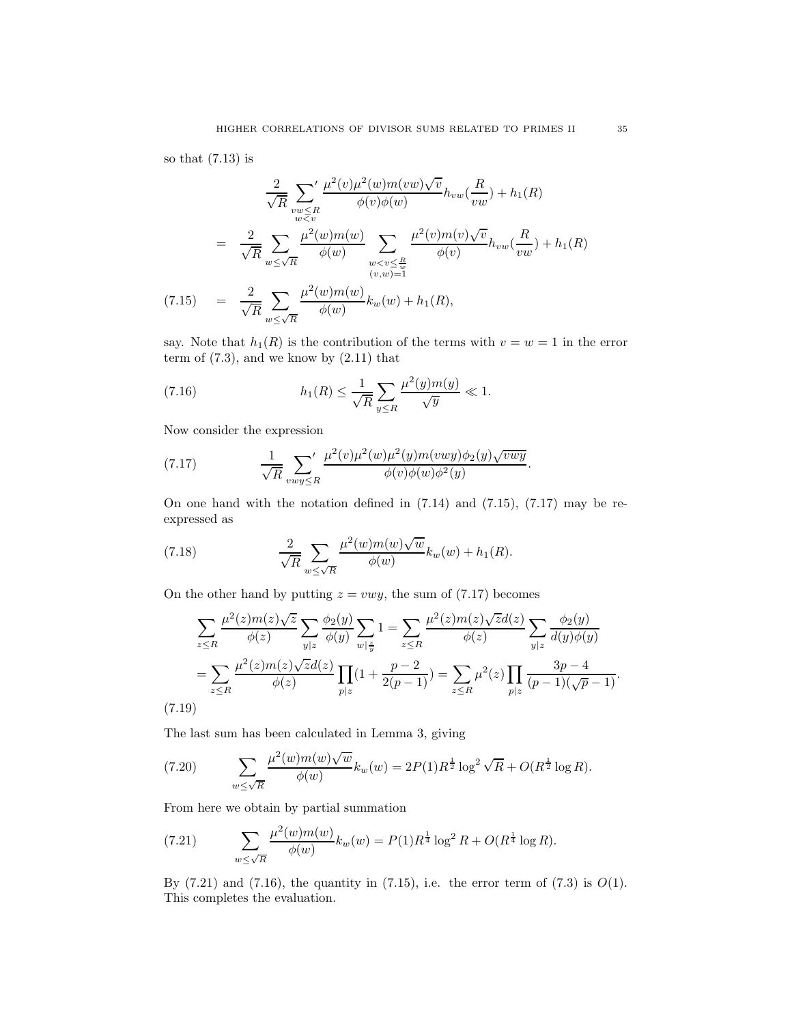so that (7.13) is

$$
\frac{2}{\sqrt{R}} \sum_{\substack{vw \le R \\ w \le v}}' \frac{\mu^2(v)\mu^2(w)m(vw)\sqrt{v}}{\phi(v)\phi(w)} h_{vw}(\frac{R}{vw}) + h_1(R)
$$
\n
$$
= \frac{2}{\sqrt{R}} \sum_{w \le \sqrt{R}} \frac{\mu^2(w)m(w)}{\phi(w)} \sum_{\substack{w < v \le \frac{R}{w} \\ (v,w)=1}} \frac{\mu^2(v)m(v)\sqrt{v}}{\phi(v)} h_{vw}(\frac{R}{vw}) + h_1(R)
$$
\n(7.15) 
$$
= \frac{2}{\sqrt{R}} \sum_{w \le \sqrt{R}} \frac{\mu^2(w)m(w)}{\phi(w)} k_w(w) + h_1(R),
$$

say. Note that  $h_1(R)$  is the contribution of the terms with  $v = w = 1$  in the error term of  $(7.3)$ , and we know by  $(2.11)$  that

(7.16) 
$$
h_1(R) \leq \frac{1}{\sqrt{R}} \sum_{y \leq R} \frac{\mu^2(y)m(y)}{\sqrt{y}} \ll 1.
$$

Now consider the expression

(7.17) 
$$
\frac{1}{\sqrt{R}} \sum_{vwy \leq R} \frac{\mu^2(v)\mu^2(w)\mu^2(y)m(vwy)\phi_2(y)\sqrt{vwy}}{\phi(v)\phi(w)\phi^2(y)}.
$$

On one hand with the notation defined in (7.14) and (7.15), (7.17) may be reexpressed as

(7.18) 
$$
\frac{2}{\sqrt{R}} \sum_{w \le \sqrt{R}} \frac{\mu^2(w) m(w) \sqrt{w}}{\phi(w)} k_w(w) + h_1(R).
$$

On the other hand by putting  $z = vwy$ , the sum of (7.17) becomes

$$
\sum_{z \le R} \frac{\mu^2(z) m(z) \sqrt{z}}{\phi(z)} \sum_{y|z} \frac{\phi_2(y)}{\phi(y)} \sum_{w|\frac{z}{y}} 1 = \sum_{z \le R} \frac{\mu^2(z) m(z) \sqrt{z} d(z)}{\phi(z)} \sum_{y|z} \frac{\phi_2(y)}{d(y) \phi(y)} \n= \sum_{z \le R} \frac{\mu^2(z) m(z) \sqrt{z} d(z)}{\phi(z)} \prod_{p|z} (1 + \frac{p-2}{2(p-1)}) = \sum_{z \le R} \mu^2(z) \prod_{p|z} \frac{3p-4}{(p-1)(\sqrt{p}-1)}.
$$
\n(7.19)

The last sum has been calculated in Lemma 3, giving

(7.20) 
$$
\sum_{w \le \sqrt{R}} \frac{\mu^2(w)m(w)\sqrt{w}}{\phi(w)} k_w(w) = 2P(1)R^{\frac{1}{2}}\log^2 \sqrt{R} + O(R^{\frac{1}{2}}\log R).
$$

From here we obtain by partial summation

(7.21) 
$$
\sum_{w \le \sqrt{R}} \frac{\mu^2(w)m(w)}{\phi(w)} k_w(w) = P(1)R^{\frac{1}{4}} \log^2 R + O(R^{\frac{1}{4}} \log R).
$$

By  $(7.21)$  and  $(7.16)$ , the quantity in  $(7.15)$ , i.e. the error term of  $(7.3)$  is  $O(1)$ . This completes the evaluation.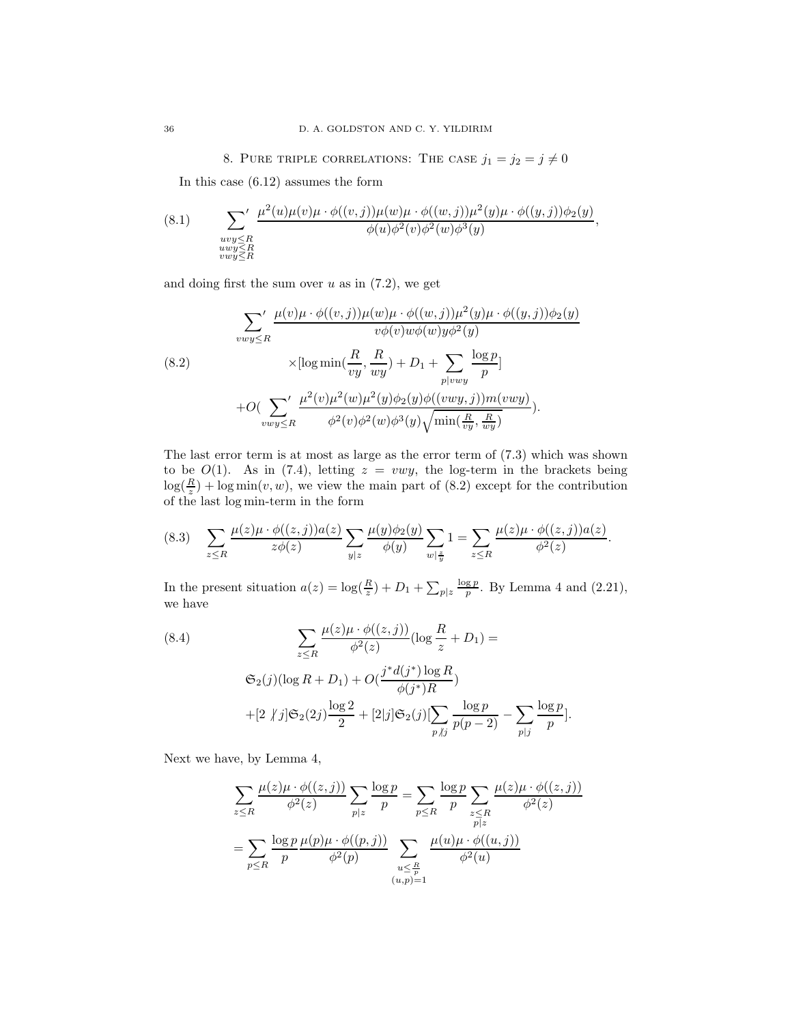8. PURE TRIPLE CORRELATIONS: THE CASE  $j_1 = j_2 = j \neq 0$ 

In this case (6.12) assumes the form

(8.1) 
$$
\sum_{\substack{uvy\leq R \\ uvy\leq R \\ vwy\leq R}} \frac{\mu^2(u)\mu(v)\mu \cdot \phi((v,j))\mu(w)\mu \cdot \phi((w,j))\mu^2(y)\mu \cdot \phi((y,j))\phi_2(y)}{\phi(u)\phi^2(v)\phi^2(w)\phi^3(y)},
$$

and doing first the sum over  $u$  as in  $(7.2)$ , we get

(8.2)  

$$
\sum_{vwy\leq R} ' \frac{\mu(v)\mu \cdot \phi((v,j))\mu(w)\mu \cdot \phi((w,j))\mu^2(y)\mu \cdot \phi((y,j))\phi_2(y)}{v\phi(v)w\phi(w)y\phi^2(y)}
$$
  

$$
\times [\log \min(\frac{R}{vy}, \frac{R}{wy}) + D_1 + \sum_{p|vwy} \frac{\log p}{p}]
$$

$$
+ O(\sum_{vwy\leq R} ' \frac{\mu^2(v)\mu^2(w)\mu^2(y)\phi_2(y)\phi((vwy,j))m(vwy)}{\phi^2(v)\phi^2(w)\phi^3(y)\sqrt{\min(\frac{R}{vy}, \frac{R}{wy})}}).
$$

The last error term is at most as large as the error term of (7.3) which was shown to be  $O(1)$ . As in (7.4), letting  $z = vwy$ , the log-term in the brackets being  $\log(\frac{R}{z}) + \log \min(v, w)$ , we view the main part of (8.2) except for the contribution of the last log min-term in the form

$$
(8.3) \quad \sum_{z\leq R} \frac{\mu(z)\mu \cdot \phi((z,j))a(z)}{z\phi(z)} \sum_{y|z} \frac{\mu(y)\phi_2(y)}{\phi(y)} \sum_{w|\frac{z}{y}} 1 = \sum_{z\leq R} \frac{\mu(z)\mu \cdot \phi((z,j))a(z)}{\phi^2(z)}.
$$

In the present situation  $a(z) = \log(\frac{R}{z}) + D_1 + \sum_{p|z} \frac{\log p}{p}$ . By Lemma 4 and (2.21), we have

(8.4)  
\n
$$
\sum_{z \le R} \frac{\mu(z)\mu \cdot \phi((z,j))}{\phi^2(z)} (\log \frac{R}{z} + D_1) =
$$
\n
$$
\mathfrak{S}_2(j) (\log R + D_1) + O(\frac{j^* d(j^*) \log R}{\phi(j^*) R})
$$
\n
$$
+ [2 \nmid j] \mathfrak{S}_2(2j) \frac{\log 2}{2} + [2|j] \mathfrak{S}_2(j) [\sum_{p \mid j} \frac{\log p}{p(p-2)} - \sum_{p \mid j} \frac{\log p}{p}].
$$

Next we have, by Lemma 4,

$$
\sum_{z \leq R} \frac{\mu(z)\mu \cdot \phi((z,j))}{\phi^2(z)} \sum_{p|z} \frac{\log p}{p} = \sum_{p \leq R} \frac{\log p}{p} \sum_{\substack{z \leq R \\ p|z}} \frac{\mu(z)\mu \cdot \phi((z,j))}{\phi^2(z)}
$$

$$
= \sum_{p \leq R} \frac{\log p}{p} \frac{\mu(p)\mu \cdot \phi((p,j))}{\phi^2(p)} \sum_{\substack{u \leq \frac{R}{p} \\ (u,p)=1}} \frac{\mu(u)\mu \cdot \phi((u,j))}{\phi^2(u)}
$$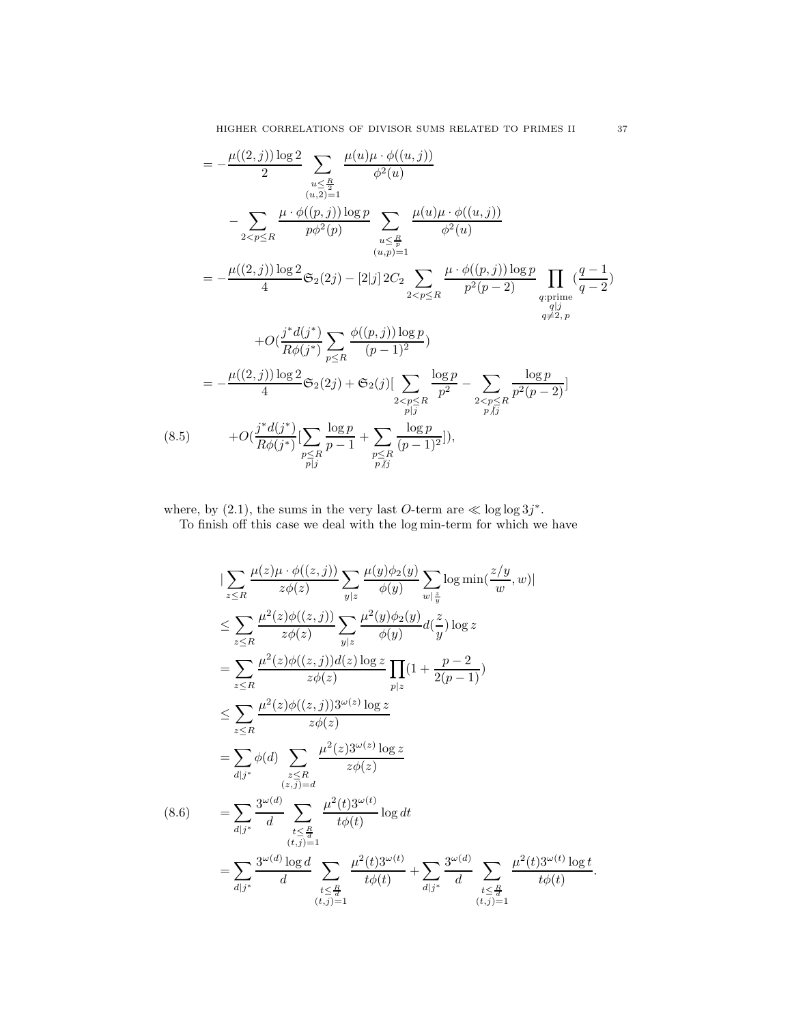$$
= -\frac{\mu((2,j))\log 2}{2} \sum_{\substack{u \leq \frac{R}{2} \\ (u,2)=1}} \frac{\mu(u)\mu \cdot \phi((u,j))}{\phi^2(u)}
$$
  

$$
- \sum_{2 < p \leq R} \frac{\mu \cdot \phi((p,j))\log p}{p\phi^2(p)} \sum_{\substack{u \leq \frac{R}{p} \\ (u,p)=1}} \frac{\mu(u)\mu \cdot \phi((u,j))}{\phi^2(u)}
$$
  

$$
= -\frac{\mu((2,j))\log 2}{4} \mathfrak{S}_2(2j) - [2|j] 2C_2 \sum_{2 < p \leq R} \frac{\mu \cdot \phi((p,j))\log p}{p^2(p-2)} \prod_{\substack{q:\text{prime} \\ q \neq 2, p}} \frac{(q-1)}{q^2}
$$
  

$$
+ O(\frac{j^*d(j^*)}{R\phi(j^*)} \sum_{p \leq R} \frac{\phi((p,j))\log p}{(p-1)^2})
$$
  

$$
= -\frac{\mu((2,j))\log 2}{4} \mathfrak{S}_2(2j) + \mathfrak{S}_2(j) [\sum_{\substack{p \leq R \\ p \mid j}} \frac{\log p}{p^2} - \sum_{\substack{2 < p \leq R \\ p \nmid j}} \frac{\log p}{p^2(p-2)}]
$$
  

$$
+ O(\frac{j^*d(j^*)}{R\phi(j^*)} [\sum_{\substack{p \leq R \\ p \mid j}} \frac{\log p}{p-1} + \sum_{\substack{p \leq R \\ p \nmid j}} \frac{\log p}{(p-1)^2} ]
$$

where, by (2.1), the sums in the very last O-term are  $\ll \log \log 3j^*$ .

To finish off this case we deal with the log min-term for which we have

$$
\begin{split}\n&|\sum_{z\leq R} \frac{\mu(z)\mu \cdot \phi((z,j))}{z\phi(z)} \sum_{y|z} \frac{\mu(y)\phi_2(y)}{\phi(y)} \sum_{w|\frac{z}{y}} \log \min(\frac{z/y}{w}, w)| \\
&\leq \sum_{z\leq R} \frac{\mu^2(z)\phi((z,j))}{z\phi(z)} \sum_{y|z} \frac{\mu^2(y)\phi_2(y)}{\phi(y)} d(\frac{z}{y}) \log z \\
&= \sum_{z\leq R} \frac{\mu^2(z)\phi((z,j))d(z) \log z}{z\phi(z)} \prod_{p|z} (1 + \frac{p-2}{2(p-1)}) \\
&\leq \sum_{z\leq R} \frac{\mu^2(z)\phi((z,j))3^{\omega(z)} \log z}{z\phi(z)} \\
&= \sum_{d|j^*} \phi(d) \sum_{\substack{z\leq R \\ (z,j)=d \\ (t,j)=1}} \frac{\mu^2(z)3^{\omega(z)} \log z}{z\phi(z)} \\
&= \sum_{d|j^*} \frac{3^{\omega(d)}}{d} \sum_{\substack{t\leq \frac{R}{d} \\ (t,j)=1}} \frac{\mu^2(t)3^{\omega(t)}}{t\phi(t)} \log dt \\
&= \sum_{d|j^*} \frac{3^{\omega(d)} \log d}{d} \sum_{\substack{t\leq \frac{R}{d} \\ (t,j)=1}} \frac{\mu^2(t)3^{\omega(t)}}{t\phi(t)} + \sum_{d|j^*} \frac{3^{\omega(d)}}{d} \sum_{\substack{t\leq \frac{R}{d} \\ (t,j)=1}} \frac{\mu^2(t)3^{\omega(t)}}{t\phi(t)} \log t.\n\end{split}
$$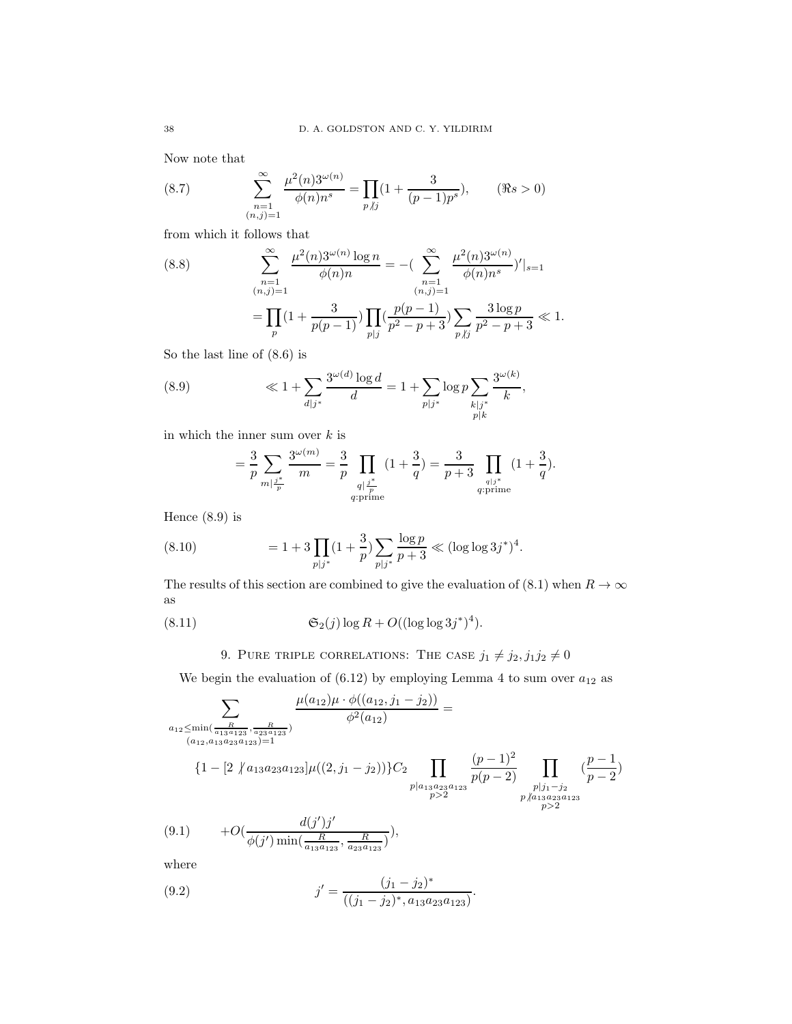Now note that

(8.7) 
$$
\sum_{\substack{n=1 \ (n,j)=1}}^{\infty} \frac{\mu^2(n) 3^{\omega(n)}}{\phi(n) n^s} = \prod_{p \nmid j} (1 + \frac{3}{(p-1)p^s}), \quad (\Re s > 0)
$$

from which it follows that

(8.8) 
$$
\sum_{\substack{n=1 \ (n,j)=1}}^{\infty} \frac{\mu^2(n) 3^{\omega(n)} \log n}{\phi(n) n} = -\left( \sum_{\substack{n=1 \ (n,j)=1}}^{\infty} \frac{\mu^2(n) 3^{\omega(n)}}{\phi(n) n^s} \right)' \Big|_{s=1}
$$

$$
= \prod_p (1 + \frac{3}{p(p-1)}) \prod_{p|j} \left( \frac{p(p-1)}{p^2 - p + 3} \right) \sum_{p \mid j} \frac{3 \log p}{p^2 - p + 3} \ll 1.
$$

So the last line of (8.6) is

(8.9) 
$$
\ll 1 + \sum_{d|j^*} \frac{3^{\omega(d)} \log d}{d} = 1 + \sum_{p|j^*} \log p \sum_{\substack{k|j^* \ p|k}} \frac{3^{\omega(k)}}{k},
$$

in which the inner sum over  $k$  is

$$
= \frac{3}{p} \sum_{m \mid \frac{j^*}{p}} \frac{3^{\omega(m)}}{m} = \frac{3}{p} \prod_{\substack{q \mid \frac{j^*}{p} \\ q \text{ prime}}} (1 + \frac{3}{q}) = \frac{3}{p+3} \prod_{\substack{q \mid j^* \\ q \text{ prime}}} (1 + \frac{3}{q}).
$$

Hence (8.9) is

(8.10) 
$$
= 1 + 3 \prod_{p \mid j^*} (1 + \frac{3}{p}) \sum_{p \mid j^*} \frac{\log p}{p+3} \ll (\log \log 3j^*)^4.
$$

The results of this section are combined to give the evaluation of (8.1) when  $R \to \infty$ as

(8.11) 
$$
\mathfrak{S}_2(j) \log R + O((\log \log 3j^*)^4).
$$

# 9. PURE TRIPLE CORRELATIONS: THE CASE  $j_1 \neq j_2, j_1j_2 \neq 0$

We begin the evaluation of  $(6.12)$  by employing Lemma 4 to sum over  $a_{12}$  as

$$
\sum_{\substack{a_{12} \le \min(\frac{R}{a_{13}a_{123}}, \frac{R}{a_{23}a_{123}}) \\ (a_{12}, a_{13}a_{23}a_{123})=1}} \frac{\mu(a_{12})\mu \cdot \phi((a_{12}, j_1 - j_2))}{\phi^2(a_{12})} = \frac{\phi^2(a_{12})}{\phi^2(a_{12})} = \frac{\phi^2(a_{12})}{\phi^2(a_{12})} \prod_{\substack{p \mid a_{13}a_{23}a_{123} \\ p > 2}} \frac{(p-1)^2}{p(p-2)} \prod_{\substack{p \mid j_1 - j_2 \\ p > 2}} \frac{(p-1)^2}{p-2}
$$
\n
$$
(9.1) \qquad + O\left(\frac{d(j')j'}{\phi(j')\min(\frac{R}{a_{13}a_{123}}, \frac{R}{a_{23}a_{123}})}\right),
$$

where

(9.2) 
$$
j' = \frac{(j_1 - j_2)^*}{((j_1 - j_2)^*, a_{13}a_{23}a_{123})}.
$$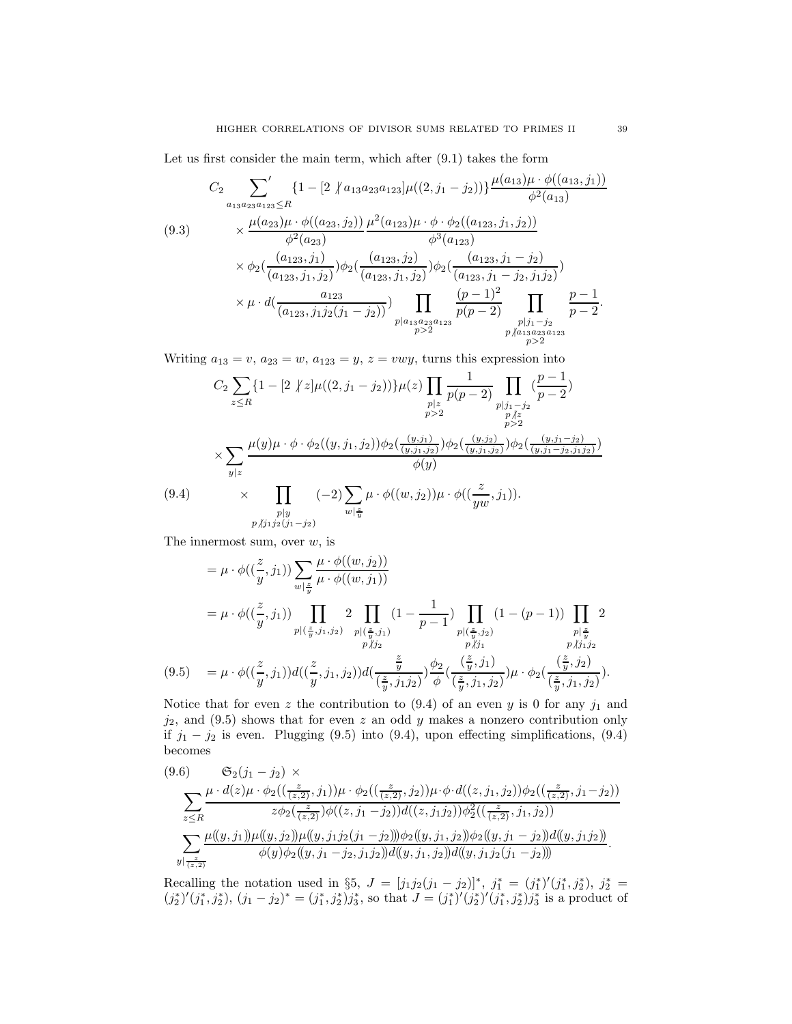Let us first consider the main term, which after (9.1) takes the form

$$
(9.3) \qquad \begin{aligned}\nC_2 & \sum_{a_{13}a_{23}a_{123} \leq R} \left\{ 1 - \left[ 2 \left\langle a_{13}a_{23}a_{123} \right| \mu((2,j_1 - j_2)) \right\rangle \frac{\mu(a_{13})\mu \cdot \phi((a_{13}, j_1))}{\phi^2(a_{13})} \right. \\
&\quad \times \frac{\mu(a_{23})\mu \cdot \phi((a_{23}, j_2))}{\phi^2(a_{23})} \frac{\mu^2(a_{123})\mu \cdot \phi \cdot \phi_2((a_{123}, j_1, j_2))}{\phi^3(a_{123})} \\
&\quad \times \phi_2(\frac{(a_{123}, j_1)}{(a_{123}, j_1, j_2)}) \phi_2(\frac{(a_{123}, j_2)}{(a_{123}, j_1, j_2)}) \phi_2(\frac{(a_{123}, j_1 - j_2)}{(a_{123}, j_1 - j_2, j_1 j_2)}) \\
&\quad \times \mu \cdot d(\frac{a_{123}}{(a_{123}, j_1 j_2 (j_1 - j_2))}) \prod_{\substack{p \mid a_{13}a_{23}a_{123} \\ p & & & & & p \nmid a_{13}a_{23}a_{123}} \prod_{\substack{p \mid j_1 - j_2 \\ p & & & & & p \nmid a_{13}a_{23}a_{123} \\ p & & & & & p \nmid a_{13}a_{23}a_{123} \\ p & & & & & p \nmid a_{13}a_{23}a_{123} \\
p & & & & & p \nmid a_{13}a_{23}a_{123} \\
p & & & & & p \nmid a_{13}a_{23}a_{123} \\
p & & & & & p \nmid a_{13}a_{23}a_{123} \\
p & & & & & p \nmid a_{13}a_{23}a_{123} \\
p & & & & & p \nmid a_{13}a_{23}a_{123} \\
p & & & & & p \nmid a_{13}a_{23}a_{123} \\
p & & & & & p \nmid a_{13}a_{23}a_{123} \\
p & & & & & p \nmid a_{13}a_{23}a_{123} \\
p & & & & & p
$$

Writing  $a_{13} = v$ ,  $a_{23} = w$ ,  $a_{123} = y$ ,  $z = vwy$ , turns this expression into

$$
C_{2} \sum_{z \leq R} \{1 - [2 \nmid z] \mu((2, j_{1} - j_{2}))\} \mu(z) \prod_{\substack{p|z \ p>2}} \frac{1}{p(p-2)} \prod_{\substack{p|j_{1} - j_{2} \\ p>2}} \frac{(p-1)}{p-2}
$$
\n
$$
\times \sum_{\substack{y|z \ y|z}} \frac{\mu(y)\mu \cdot \phi \cdot \phi_{2}((y, j_{1}, j_{2}))\phi_{2}(\frac{(y, j_{1})}{(y, j_{1}, j_{2})})\phi_{2}(\frac{(y, j_{2})}{(y, j_{1}, j_{2})})\phi_{2}(\frac{(y, j_{1} - j_{2})}{(y, j_{1} - j_{2}, j_{1} j_{2})})}{\phi(y)}
$$
\n
$$
(9.4) \times \prod_{\substack{p|y \ p \nmid j_{1}j_{2}(j_{1} - j_{2})}} (-2) \sum_{w|\frac{z}{y}} \mu \cdot \phi((w, j_{2})) \mu \cdot \phi((\frac{z}{yw}, j_{1})).
$$

The innermost sum, over  $w$ , is

$$
= \mu \cdot \phi((\frac{z}{y}, j_1)) \sum_{w|\frac{z}{y}} \frac{\mu \cdot \phi((w, j_2))}{\mu \cdot \phi((w, j_1))}
$$
  
\n
$$
= \mu \cdot \phi((\frac{z}{y}, j_1)) \prod_{\substack{p|(\frac{z}{y}, j_1, j_2) \\ p \nmid j_2}} 2 \prod_{\substack{p|(\frac{z}{y}, j_1) \\ p \nmid j_2}} (1 - \frac{1}{p - 1}) \prod_{\substack{p|(\frac{z}{y}, j_2) \\ p \nmid j_1}} (1 - (p - 1)) \prod_{\substack{p|\frac{z}{y} \\ p \nmid j_1}} 2
$$
  
\n(9.5) 
$$
= \mu \cdot \phi((\frac{z}{y}, j_1)) d((\frac{z}{y}, j_1, j_2)) d(\frac{\frac{z}{y}}{(\frac{z}{y}, j_1 j_2)}) \frac{\phi_2}{\phi}((\frac{z}{y}, j_1, j_2)) \mu \cdot \phi_2(\frac{(\frac{z}{y}, j_2)}{(\frac{z}{y}, j_1, j_2)}).
$$

Notice that for even z the contribution to  $(9.4)$  of an even y is 0 for any  $j_1$  and  $j_2$ , and (9.5) shows that for even z an odd y makes a nonzero contribution only if  $j_1 - j_2$  is even. Plugging (9.5) into (9.4), upon effecting simplifications, (9.4) becomes

$$
(9.6) \quad \mathfrak{S}_{2}(j_{1} - j_{2}) \times \sum_{z \leq R} \frac{\mu \cdot d(z) \mu \cdot \phi_{2}((\frac{z}{(z,2)}, j_{1})) \mu \cdot \phi_{2}((\frac{z}{(z,2)}, j_{2})) \mu \cdot \phi \cdot d((z, j_{1}, j_{2})) \phi_{2}((\frac{z}{(z,2)}, j_{1} - j_{2}))}{z \phi_{2}(\frac{z}{(z,2)}) \phi((z, j_{1} - j_{2})) d((z, j_{1}j_{2})) \phi_{2}^{2}((\frac{z}{(z,2)}, j_{1}, j_{2}))} \sum_{y | \frac{z}{(z,2)}} \frac{\mu((y, j_{1})) \mu((y, j_{2})) \mu((y, j_{1}j_{2}(j_{1} - j_{2}))) \phi_{2}((y, j_{1}, j_{2})) \phi_{2}((y, j_{1} - j_{2})) d((y, j_{1}j_{2}))}{\phi(y) \phi_{2}((y, j_{1} - j_{2}, j_{1}j_{2})) d((y, j_{1}, j_{2})) d((y, j_{1}j_{2}(j_{1} - j_{2})))}.
$$

Recalling the notation used in §5,  $J = [j_1 j_2(j_1 - j_2)]^*$ ,  $j_1^* = (j_1^*)'(j_1^*, j_2^*)$ ,  $j_2^* =$  $(j_2^*)' (j_1^*, j_2^*), (j_1 - j_2)^* = (j_1^*, j_2^*) j_3^*,$  so that  $J = (j_1^*)' (j_2^*)' (j_1^*, j_2^*) j_3^*$  is a product of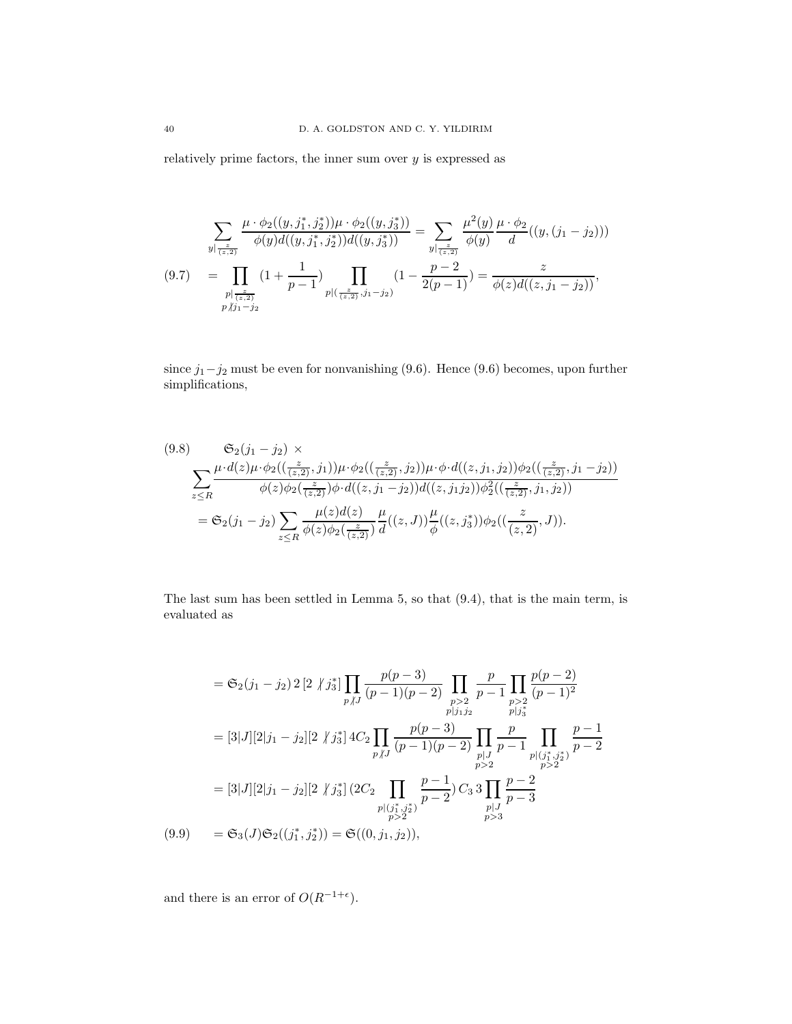relatively prime factors, the inner sum over  $y$  is expressed as

$$
\sum_{y \mid \frac{z}{(z,2)}} \frac{\mu \cdot \phi_2((y,j_1^*,j_2^*)) \mu \cdot \phi_2((y,j_3^*))}{\phi(y) d((y,j_1^*,j_2^*)) d((y,j_3^*))} = \sum_{y \mid \frac{z}{(z,2)}} \frac{\mu^2(y)}{\phi(y)} \frac{\mu \cdot \phi_2}{d}((y,(j_1 - j_2)))
$$
\n
$$
(9.7) \quad = \prod_{\substack{p \mid \frac{z}{(z,2)}}{p \mid (j_2,2)}} (1 + \frac{1}{p-1}) \prod_{\substack{p \mid (\frac{z}{(z,2)}, j_1 - j_2)}} (1 - \frac{p-2}{2(p-1)}) = \frac{z}{\phi(z) d((z,j_1 - j_2))},
$$

since  $j_1-j_2$  must be even for nonvanishing (9.6). Hence (9.6) becomes, upon further simplifications,

$$
(9.8) \quad \mathfrak{S}_2(j_1 - j_2) \times
$$
\n
$$
\sum_{z \le R} \frac{\mu \cdot d(z) \mu \cdot \phi_2((\frac{z}{(z,2)}, j_1)) \mu \cdot \phi_2((\frac{z}{(z,2)}, j_2)) \mu \cdot \phi \cdot d((z, j_1, j_2)) \phi_2((\frac{z}{(z,2)}, j_1 - j_2))}{\phi(z) \phi_2(\frac{z}{(z,2)}) \phi \cdot d((z, j_1 - j_2)) d((z, j_1 j_2)) \phi_2^2((\frac{z}{(z,2)}, j_1, j_2))}
$$
\n
$$
= \mathfrak{S}_2(j_1 - j_2) \sum_{z \le R} \frac{\mu(z) d(z)}{\phi(z) \phi_2(\frac{z}{(z,2)})} \frac{\mu}{d}((z, J)) \frac{\mu}{\phi}((z, j_3^*)) \phi_2((\frac{z}{(z,2)}, J)).
$$

The last sum has been settled in Lemma 5, so that (9.4), that is the main term, is evaluated as

$$
= \mathfrak{S}_2(j_1 - j_2) 2 [2 \nmid j_3^*] \prod_{p \mid J} \frac{p(p-3)}{(p-1)(p-2)} \prod_{\substack{p>2 \ p \mid j_1 j_2}} \frac{p}{p-1} \prod_{\substack{p>2 \ p \mid j_3^*}} \frac{p(p-2)}{(p-1)^2}
$$
  
\n
$$
= [3|J][2|j_1 - j_2][2 \nmid j_3^*] 4C_2 \prod_{\substack{p \mid J \\ p \nmid J}} \frac{p(p-3)}{(p-1)(p-2)} \prod_{\substack{p \mid J \\ p > 2}} \frac{p}{p-1} \prod_{\substack{p \mid (j_1^*, j_2^*) \\ p > 2}} \frac{p-1}{p-2}
$$
  
\n
$$
= [3|J][2|j_1 - j_2][2 \nmid j_3^*] (2C_2 \prod_{\substack{p \mid (j_1^*, j_2^*) \\ p > 2}} \frac{p-1}{p-2} C_3 3 \prod_{\substack{p \mid J \\ p > 3}} \frac{p-2}{p-3}
$$
  
\n(9.9) 
$$
= \mathfrak{S}_3(J) \mathfrak{S}_2((j_1^*, j_2^*)) = \mathfrak{S}((0, j_1, j_2)),
$$

and there is an error of  $O(R^{-1+\epsilon})$ .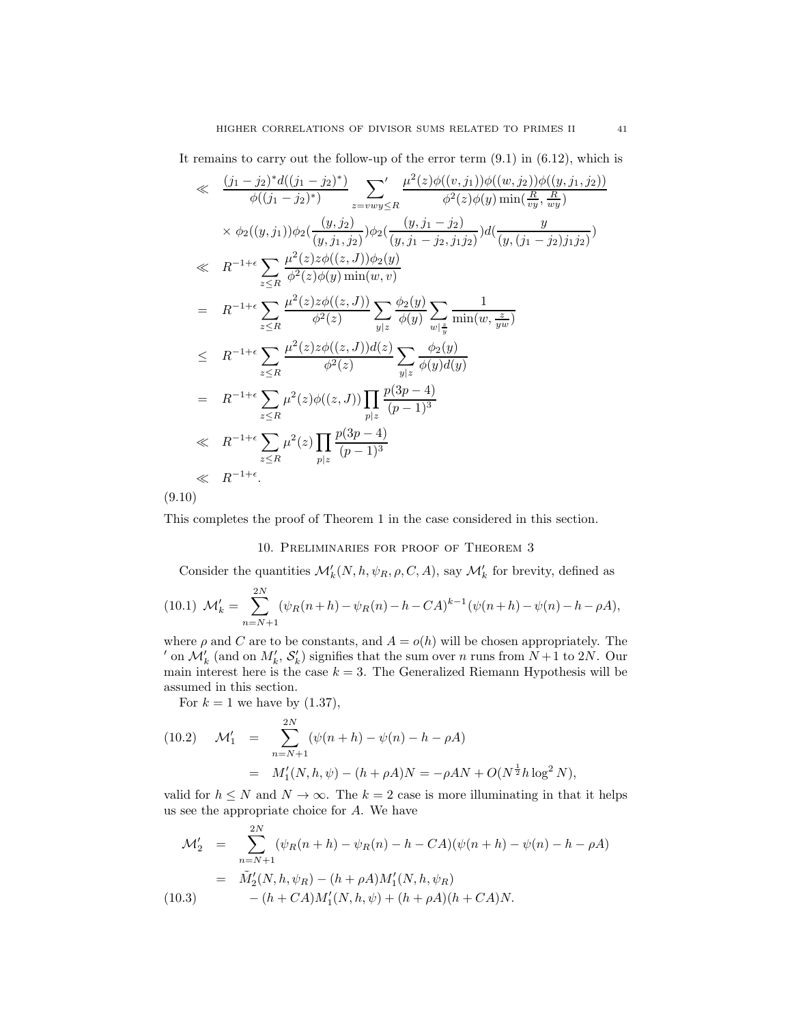It remains to carry out the follow-up of the error term (9.1) in (6.12), which is

$$
\ll \frac{(j_1 - j_2)^* d((j_1 - j_2)^*)}{\phi((j_1 - j_2)^*)} \sum_{z = vwy \le R} ' \frac{\mu^2(z) \phi((v, j_1)) \phi((w, j_2)) \phi((y, j_1, j_2))}{\phi^2(z) \phi(y) \min(\frac{R}{vy}, \frac{R}{wy})} \times \phi_2((y, j_1)) \phi_2(\frac{(y, j_2)}{(y, j_1, j_2)}) \phi_2(\frac{(y, j_1 - j_2)}{(y, j_1 - j_2, j_1, j_2)}) d(\frac{y}{(y, (j_1 - j_2)j_1, j_2)})
$$
\n
$$
\ll R^{-1+\epsilon} \sum_{z \le R} \frac{\mu^2(z) z \phi((z, J)) \phi_2(y)}{\phi^2(z) \phi(y) \min(w, v)}
$$
\n
$$
= R^{-1+\epsilon} \sum_{z \le R} \frac{\mu^2(z) z \phi((z, J))}{\phi^2(z)} \sum_{y|z} \frac{\phi_2(y)}{\phi(y)} \sum_{w|\frac{z}{y}} \frac{1}{\min(w, \frac{z}{yw})}
$$
\n
$$
\le R^{-1+\epsilon} \sum_{z \le R} \frac{\mu^2(z) z \phi((z, J)) d(z)}{\phi^2(z)} \sum_{y|z} \frac{\phi_2(y)}{\phi(y) d(y)}
$$
\n
$$
= R^{-1+\epsilon} \sum_{z \le R} \mu^2(z) \phi((z, J)) \prod_{p|z} \frac{p(3p - 4)}{(p - 1)^3}
$$
\n
$$
\ll R^{-1+\epsilon} \sum_{z \le R} \mu^2(z) \prod_{p|z} \frac{p(3p - 4)}{(p - 1)^3}
$$
\n
$$
\ll R^{-1+\epsilon}.
$$
\n(9.10)

This completes the proof of Theorem 1 in the case considered in this section.

### 10. Preliminaries for proof of Theorem 3

Consider the quantities  $\mathcal{M}'_k(N, h, \psi_R, \rho, C, A)$ , say  $\mathcal{M}'_k$  for brevity, defined as

(10.1) 
$$
\mathcal{M}'_k = \sum_{n=N+1}^{2N} (\psi_R(n+h) - \psi_R(n) - h - CA)^{k-1} (\psi(n+h) - \psi(n) - h - \rho A),
$$

where  $\rho$  and C are to be constants, and  $A = o(h)$  will be chosen appropriately. The ' on  $\mathcal{M}'_k$  (and on  $M'_k$ ,  $\mathcal{S}'_k$ ) signifies that the sum over n runs from  $N+1$  to 2N. Our main interest here is the case  $k = 3$ . The Generalized Riemann Hypothesis will be assumed in this section.

For  $k = 1$  we have by  $(1.37)$ ,

(10.2) 
$$
\mathcal{M}'_1 = \sum_{n=N+1}^{2N} (\psi(n+h) - \psi(n) - h - \rho A)
$$

$$
= M'_1(N, h, \psi) - (h + \rho A)N = -\rho A N + O(N^{\frac{1}{2}} h \log^2 N),
$$

valid for  $h \leq N$  and  $N \to \infty$ . The  $k = 2$  case is more illuminating in that it helps us see the appropriate choice for A. We have

$$
\mathcal{M}'_2 = \sum_{n=N+1}^{2N} (\psi_R(n+h) - \psi_R(n) - h - CA)(\psi(n+h) - \psi(n) - h - \rho A)
$$
  
=  $\tilde{M}'_2(N, h, \psi_R) - (h + \rho A)M'_1(N, h, \psi_R)$   
(10.3)  $-(h + CA)M'_1(N, h, \psi) + (h + \rho A)(h + CA)N.$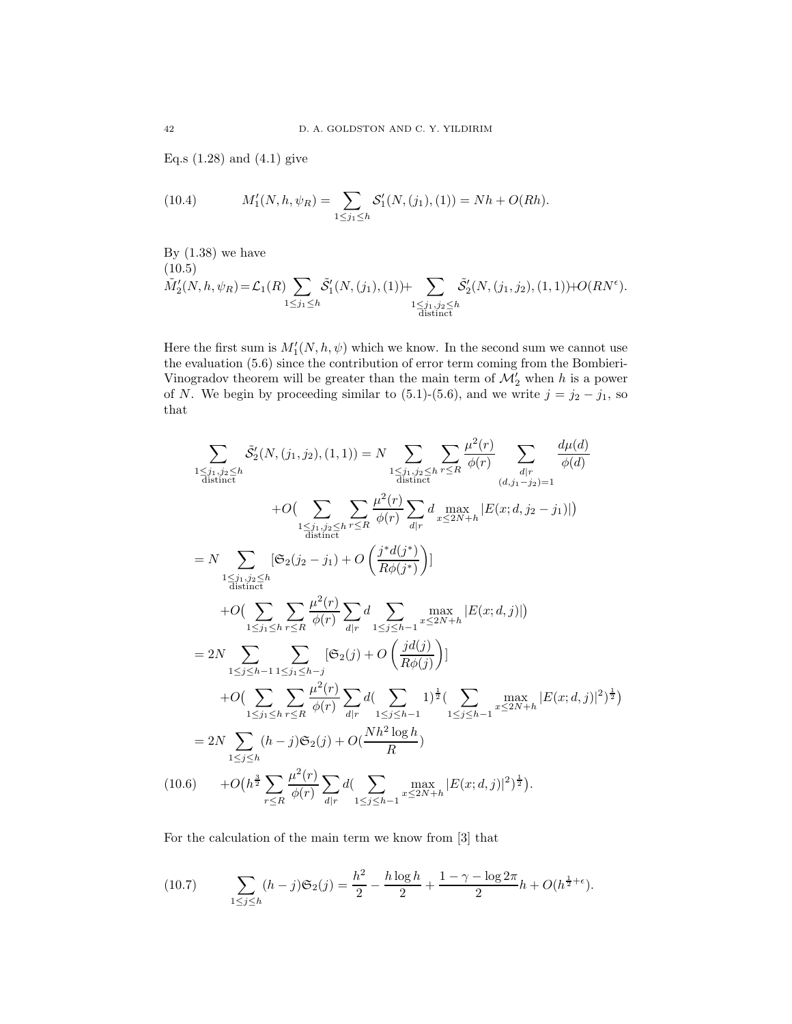Eq.s  $(1.28)$  and  $(4.1)$  give

(10.4) 
$$
M'_1(N, h, \psi_R) = \sum_{1 \leq j_1 \leq h} S'_1(N, (j_1), (1)) = Nh + O(Rh).
$$

By  $(1.38)$  we have  $(10.5)$  $\tilde{M}'_2(N,h,\psi_R) = \mathcal{L}_1(R) \sum$  $1\leq j_1\leq h$  $\tilde{S}'_1(N,(j_1),(1))+\sum$  $\frac{1 \leq j_1, j_2 \leq h}{\text{distinct}}$  $\tilde{S}'_2(N,(j_1,j_2),(1,1))$ +O(RN<sup> $\epsilon$ </sup>).

Here the first sum is  $M'_1(N, h, \psi)$  which we know. In the second sum we cannot use the evaluation (5.6) since the contribution of error term coming from the Bombieri-Vinogradov theorem will be greater than the main term of  $\mathcal{M}'_2$  when h is a power of N. We begin by proceeding similar to (5.1)-(5.6), and we write  $j = j_2 - j_1$ , so that

$$
\sum_{\substack{1 \leq j_1, j_2 \leq h \\ \text{distinct}}} \tilde{S}'_2(N, (j_1, j_2), (1, 1)) = N \sum_{\substack{1 \leq j_1, j_2 \leq h \\ \text{distinct}}} \sum_{r \leq R} \frac{\mu^2(r)}{\phi(r)} \sum_{\substack{d|r \\ \text{distinct}}} \frac{d\mu(d)}{\phi(d)}
$$
\n
$$
+ O\Big(\sum_{\substack{1 \leq j_1, j_2 \leq h \\ \text{distinct}}} \sum_{r \leq R} \frac{\mu^2(r)}{\phi(r)} \sum_{d|r} d \max_{x \leq 2N + h} |E(x; d, j_2 - j_1)|\Big)
$$
\n
$$
= N \sum_{\substack{1 \leq j_1, j_2 \leq h \\ \text{distinct}}} [\mathfrak{S}_2(j_2 - j_1) + O\left(\frac{j^*d(j^*)}{R\phi(j^*)}\right)]
$$
\n
$$
+ O\Big(\sum_{1 \leq j_1 \leq h} \sum_{r \leq R} \frac{\mu^2(r)}{\phi(r)} \sum_{d|r} d \sum_{1 \leq j \leq h-1} \max_{x \leq 2N + h} |E(x; d, j)|\Big)
$$
\n
$$
= 2N \sum_{1 \leq j \leq h-1} \sum_{1 \leq j_1 \leq h-j} [\mathfrak{S}_2(j) + O\left(\frac{jd(j)}{R\phi(j)}\right)]
$$
\n
$$
+ O\Big(\sum_{1 \leq j_1 \leq h} \sum_{r \leq R} \frac{\mu^2(r)}{\phi(r)} \sum_{d|r} d\Big(\sum_{1 \leq j \leq h-1} 1\Big)^\frac{1}{2} \Big(\sum_{1 \leq j \leq h-1} \max_{x \leq 2N + h} |E(x; d, j)|^2\Big)^\frac{1}{2}\Big)
$$
\n
$$
= 2N \sum_{1 \leq j \leq h} (h-j) \mathfrak{S}_2(j) + O\Big(\frac{Nh^2 \log h}{R}\Big)
$$
\n
$$
(10.6) + O\Big(h^{\frac{3}{2}} \sum_{r \leq R} \frac{\mu^2(r)}{\phi(r)} \sum_{d|r} d\Big(\sum_{1 \leq j \leq h-1} \max_{x \leq 2N + h} |E
$$

For the calculation of the main term we know from [3] that

(10.7) 
$$
\sum_{1 \le j \le h} (h-j) \mathfrak{S}_2(j) = \frac{h^2}{2} - \frac{h \log h}{2} + \frac{1 - \gamma - \log 2\pi}{2} h + O(h^{\frac{1}{2} + \epsilon}).
$$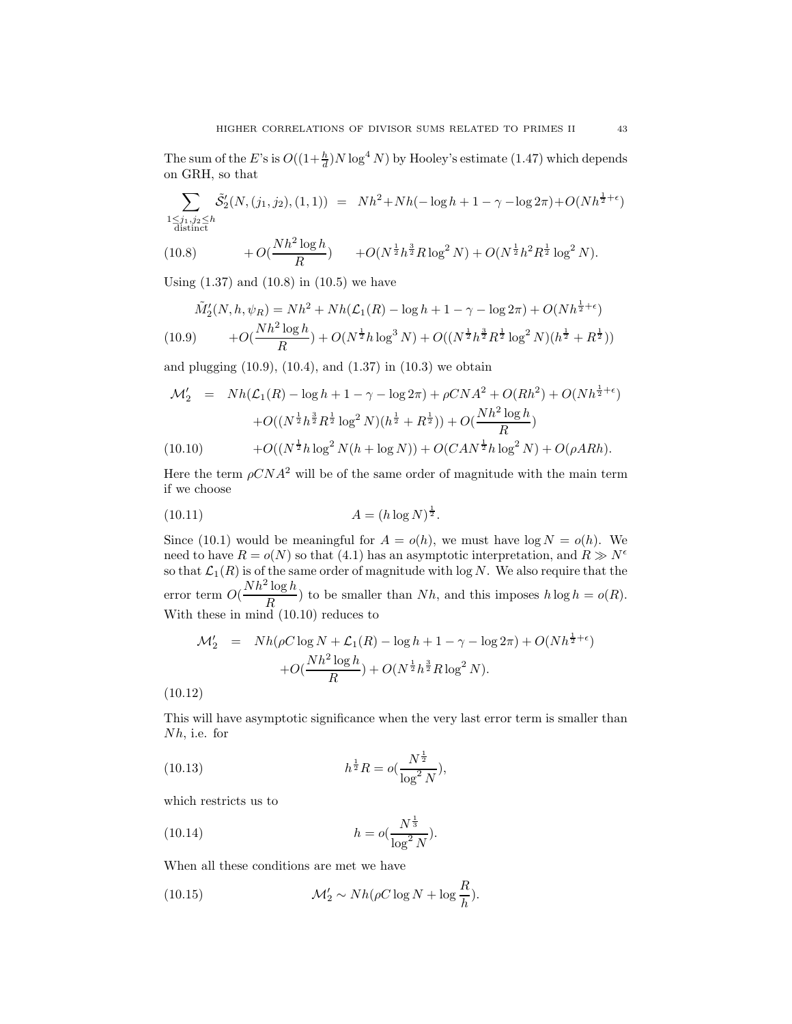The sum of the E's is  $O((1+\frac{h}{d})N \log^4 N)$  by Hooley's estimate (1.47) which depends on GRH, so that

$$
\sum_{\substack{1 \le j_1, j_2 \le h \\ \text{distinct}}} \tilde{\mathcal{S}}'_2(N, (j_1, j_2), (1, 1)) = Nh^2 + Nh(-\log h + 1 - \gamma - \log 2\pi) + O(Nh^{\frac{1}{2} + \epsilon})
$$

(10.8) 
$$
+O(\frac{Nh^2\log h}{R}) + O(N^{\frac{1}{2}}h^{\frac{3}{2}}R\log^2 N) + O(N^{\frac{1}{2}}h^2R^{\frac{1}{2}}\log^2 N).
$$

Using  $(1.37)$  and  $(10.8)$  in  $(10.5)$  we have

$$
\tilde{M}'_2(N, h, \psi_R) = Nh^2 + Nh(\mathcal{L}_1(R) - \log h + 1 - \gamma - \log 2\pi) + O(Nh^{\frac{1}{2}+\epsilon})
$$
\n
$$
(10.9) \qquad +O(\frac{Nh^2\log h}{R}) + O(N^{\frac{1}{2}}h\log^3 N) + O((N^{\frac{1}{2}}h^{\frac{3}{2}}R^{\frac{1}{2}}\log^2 N)(h^{\frac{1}{2}} + R^{\frac{1}{2}}))
$$

and plugging (10.9), (10.4), and (1.37) in (10.3) we obtain

$$
\mathcal{M}'_2 = Nh(\mathcal{L}_1(R) - \log h + 1 - \gamma - \log 2\pi) + \rho CNA^2 + O(Rh^2) + O(Nh^{\frac{1}{2}+\epsilon})
$$
  
+
$$
O((N^{\frac{1}{2}}h^{\frac{3}{2}}R^{\frac{1}{2}}\log^2 N)(h^{\frac{1}{2}} + R^{\frac{1}{2}})) + O(\frac{Nh^2\log h}{R})
$$
  
(10.10) 
$$
+O((N^{\frac{1}{2}}h\log^2 N(h + \log N)) + O(CAN^{\frac{1}{2}}h\log^2 N) + O(\rho ARh).
$$

Here the term  $\rho CNA^2$  will be of the same order of magnitude with the main term if we choose

(10.11) 
$$
A = (h \log N)^{\frac{1}{2}}.
$$

Since (10.1) would be meaningful for  $A = o(h)$ , we must have  $log N = o(h)$ . We need to have  $R = o(N)$  so that (4.1) has an asymptotic interpretation, and  $R \gg N^{\epsilon}$ so that  $\mathcal{L}_1(R)$  is of the same order of magnitude with log N. We also require that the error term  $O(\frac{Nh^2\log h}{D})$  $\frac{\log n}{R}$  to be smaller than *Nh*, and this imposes  $h \log h = o(R)$ . With these in mind (10.10) reduces to

$$
\mathcal{M}'_2 = Nh(\rho C \log N + \mathcal{L}_1(R) - \log h + 1 - \gamma - \log 2\pi) + O(Nh^{\frac{1}{2}+\epsilon})
$$

$$
+ O(\frac{Nh^2 \log h}{R}) + O(N^{\frac{1}{2}}h^{\frac{3}{2}}R \log^2 N).
$$

(10.12)

This will have asymptotic significance when the very last error term is smaller than Nh, i.e. for

(10.13) 
$$
h^{\frac{1}{2}}R = o(\frac{N^{\frac{1}{2}}}{\log^2 N}),
$$

which restricts us to

(10.14) 
$$
h = o(\frac{N^{\frac{1}{3}}}{\log^2 N}).
$$

When all these conditions are met we have

(10.15) 
$$
\mathcal{M}'_2 \sim Nh(\rho C \log N + \log \frac{R}{h}).
$$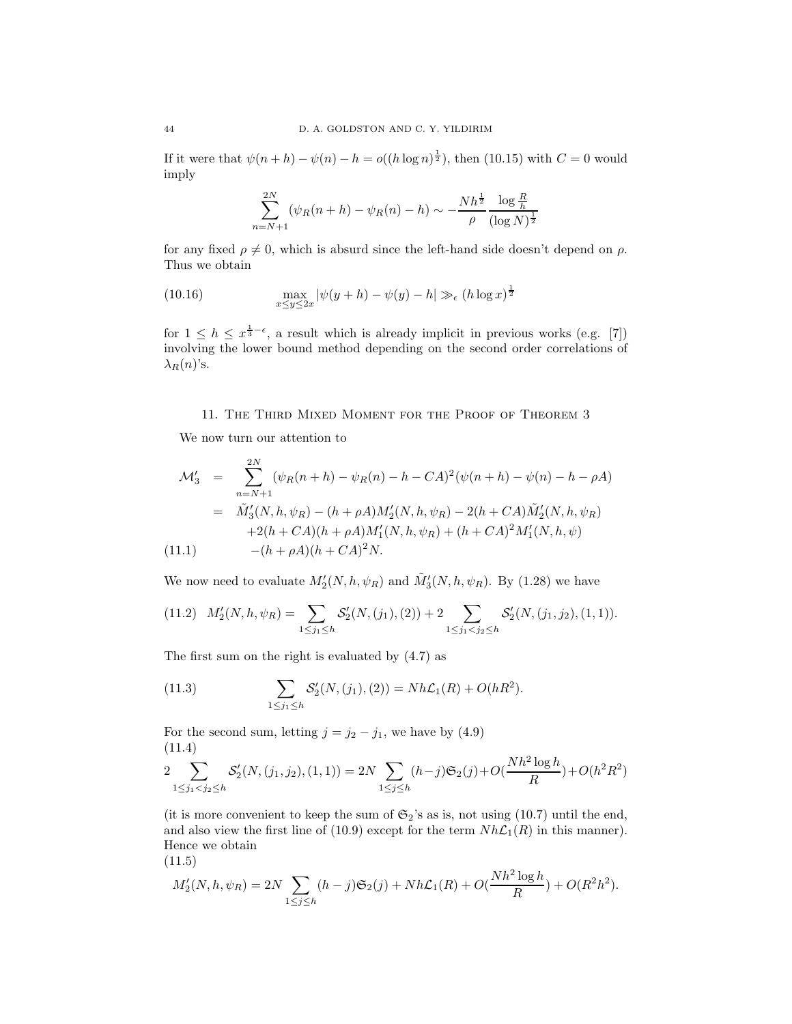If it were that  $\psi(n+h) - \psi(n) - h = o((h \log n)^{\frac{1}{2}})$ , then (10.15) with  $C = 0$  would imply

$$
\sum_{n=N+1}^{2N} (\psi_R(n+h) - \psi_R(n) - h) \sim -\frac{Nh^{\frac{1}{2}}}{\rho} \frac{\log \frac{R}{h}}{(\log N)^{\frac{1}{2}}}
$$

for any fixed  $\rho \neq 0$ , which is absurd since the left-hand side doesn't depend on  $\rho$ . Thus we obtain

(10.16) 
$$
\max_{x \le y \le 2x} |\psi(y+h) - \psi(y) - h| \gg_{\epsilon} (h \log x)^{\frac{1}{2}}
$$

for  $1 \leq h \leq x^{\frac{1}{3}-\epsilon}$ , a result which is already implicit in previous works (e.g. [7]) involving the lower bound method depending on the second order correlations of  $\lambda_R(n)$ 's.

### 11. The Third Mixed Moment for the Proof of Theorem 3

We now turn our attention to

$$
\mathcal{M}'_3 = \sum_{n=N+1}^{2N} (\psi_R(n+h) - \psi_R(n) - h - CA)^2 (\psi(n+h) - \psi(n) - h - \rho A)
$$
  
=  $\tilde{M}'_3(N, h, \psi_R) - (h + \rho A) M'_2(N, h, \psi_R) - 2(h + CA) \tilde{M}'_2(N, h, \psi_R)$   
+2(h + CA)(h + \rho A) M'\_1(N, h, \psi\_R) + (h + CA)^2 M'\_1(N, h, \psi)   
-(h + \rho A)(h + CA)^2 N.

We now need to evaluate  $M'_{2}(N, h, \psi_{R})$  and  $\tilde{M}'_{3}(N, h, \psi_{R})$ . By (1.28) we have

$$
(11.2) \quad M'_{2}(N,h,\psi_{R}) = \sum_{1 \leq j_{1} \leq h} S'_{2}(N,(j_{1}),(2)) + 2 \sum_{1 \leq j_{1} < j_{2} \leq h} S'_{2}(N,(j_{1},j_{2}),(1,1)).
$$

The first sum on the right is evaluated by (4.7) as

(11.3) 
$$
\sum_{1 \leq j_1 \leq h} S'_2(N,(j_1),(2)) = Nh\mathcal{L}_1(R) + O(hR^2).
$$

For the second sum, letting  $j = j_2 - j_1$ , we have by (4.9) (11.4)

$$
2\sum_{1 \leq j_1 < j_2 \leq h} S_2'(N,(j_1,j_2),(1,1)) = 2N \sum_{1 \leq j \leq h} (h-j) \mathfrak{S}_2(j) + O\left(\frac{Nh^2 \log h}{R}\right) + O(h^2 R^2)
$$

(it is more convenient to keep the sum of  $\mathfrak{S}_2$ 's as is, not using (10.7) until the end, and also view the first line of (10.9) except for the term  $Nh\mathcal{L}_1(R)$  in this manner). Hence we obtain

$$
(11.5)
$$

$$
M_2'(N, h, \psi_R) = 2N \sum_{1 \le j \le h} (h-j) \mathfrak{S}_2(j) + Nh\mathcal{L}_1(R) + O(\frac{Nh^2 \log h}{R}) + O(R^2h^2).
$$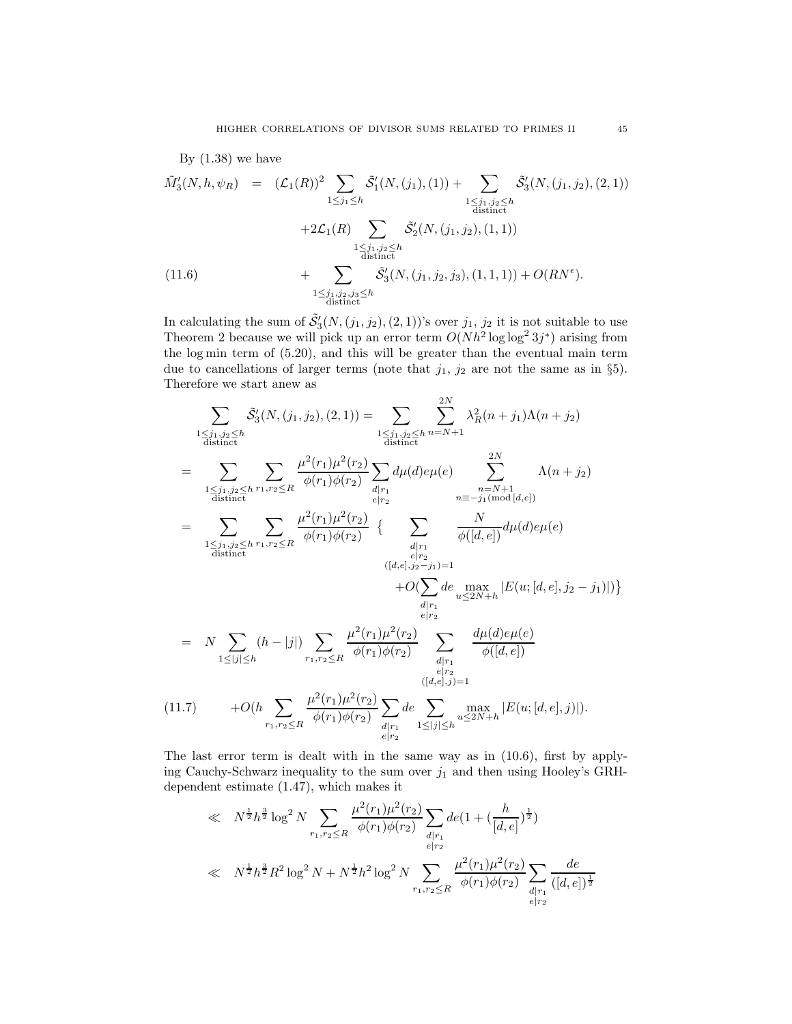By (1.38) we have  
\n
$$
\tilde{M}'_3(N, h, \psi_R) = (\mathcal{L}_1(R))^2 \sum_{1 \le j_1 \le h} \tilde{S}'_1(N, (j_1), (1)) + \sum_{\substack{1 \le j_1, j_2 \le h \\ \text{distinct}}} \tilde{S}'_3(N, (j_1, j_2), (2, 1))
$$
\n
$$
+2\mathcal{L}_1(R) \sum_{\substack{1 \le j_1, j_2 \le h \\ \text{distinct}}} \tilde{S}'_2(N, (j_1, j_2), (1, 1))
$$
\n(11.6) 
$$
+ \sum_{\substack{1 \le j_1, j_2, j_3 \le h \\ \text{distinct}}} \tilde{S}'_3(N, (j_1, j_2, j_3), (1, 1, 1)) + O(RN^{\epsilon}).
$$

In calculating the sum of  $\tilde{S}'_3(N,(j_1,j_2),(2,1))$ 's over  $j_1, j_2$  it is not suitable to use Theorem 2 because we will pick up an error term  $O(Nh^2 \log \log^2 3j^*)$  arising from the log min term of (5.20), and this will be greater than the eventual main term due to cancellations of larger terms (note that  $j_1$ ,  $j_2$  are not the same as in §5). Therefore we start anew as

$$
\sum_{\substack{1 \leq j_1, j_2 \leq h \\ \text{distinct}}} \tilde{S}'_3(N, (j_1, j_2), (2, 1)) = \sum_{\substack{1 \leq j_1, j_2 \leq h \\ \text{distinct}}} \sum_{\substack{n = N + 1 \\ \text{distinct}}} \lambda_R^2(n + j_1) \Lambda(n + j_2)
$$
\n
$$
= \sum_{\substack{1 \leq j_1, j_2 \leq h \\ \text{distinct}}} \sum_{r_1, r_2 \leq R} \frac{\mu^2(r_1)\mu^2(r_2)}{\phi(r_1)\phi(r_2)} \sum_{\substack{d \mid r_1 \\ e \mid r_2}} d\mu(d)e\mu(e) \sum_{\substack{n = N + 1 \\ n \equiv -j_1(\text{mod }[d,e])}}^{2N} \Lambda(n + j_2)
$$
\n
$$
= \sum_{\substack{1 \leq j_1, j_2 \leq h \\ \text{distinct}}} \sum_{r_1, r_2 \leq R} \frac{\mu^2(r_1)\mu^2(r_2)}{\phi(r_1)\phi(r_2)} \left\{ \sum_{\substack{d \mid r_1 \\ e \mid r_2}} \frac{N}{\phi([d,e])} d\mu(d)e\mu(e) \right\}
$$
\n
$$
+ O(\sum_{\substack{d \mid r_1 \\ \text{distinct}}} \sum_{\substack{u \leq 2N + h \\ e \mid r_2}} |E(u; [d, e], j_2 - j_1)|) \right\}
$$
\n
$$
= N \sum_{1 \leq |j| \leq h} (h - |j|) \sum_{r_1, r_2 \leq R} \frac{\mu^2(r_1)\mu^2(r_2)}{\phi(r_1)\phi(r_2)} \sum_{\substack{d \mid r_1 \\ e \mid r_2}} \frac{d\mu(d)e\mu(e)}{\phi([d, e])}
$$
\n
$$
(11.7) \qquad + O(h \sum_{r_1, r_2 \leq R} \frac{\mu^2(r_1)\mu^2(r_2)}{\phi(r_1)\phi(r_2)} \sum_{\substack{d \mid r_1 \\ e \mid r_2}} de \sum_{1 \leq |j| \leq h} \max_{u \leq 2N + h} |E(u; [d, e], j)|).
$$

The last error term is dealt with in the same way as in (10.6), first by applying Cauchy-Schwarz inequality to the sum over  $j_1$  and then using Hooley's GRHdependent estimate (1.47), which makes it

$$
\ll N^{\frac{1}{2}} h^{\frac{3}{2}} \log^2 N \sum_{r_1, r_2 \le R} \frac{\mu^2(r_1)\mu^2(r_2)}{\phi(r_1)\phi(r_2)} \sum_{\substack{d \mid r_1 \\ e \mid r_2}} \det(1 + (\frac{h}{[d, e]})^{\frac{1}{2}})
$$
  

$$
\ll N^{\frac{1}{2}} h^{\frac{3}{2}} R^2 \log^2 N + N^{\frac{1}{2}} h^2 \log^2 N \sum_{r_1, r_2 \le R} \frac{\mu^2(r_1)\mu^2(r_2)}{\phi(r_1)\phi(r_2)} \sum_{\substack{d \mid r_1 \\ e \mid r_2}} \frac{de}{([d, e])^{\frac{1}{2}}}
$$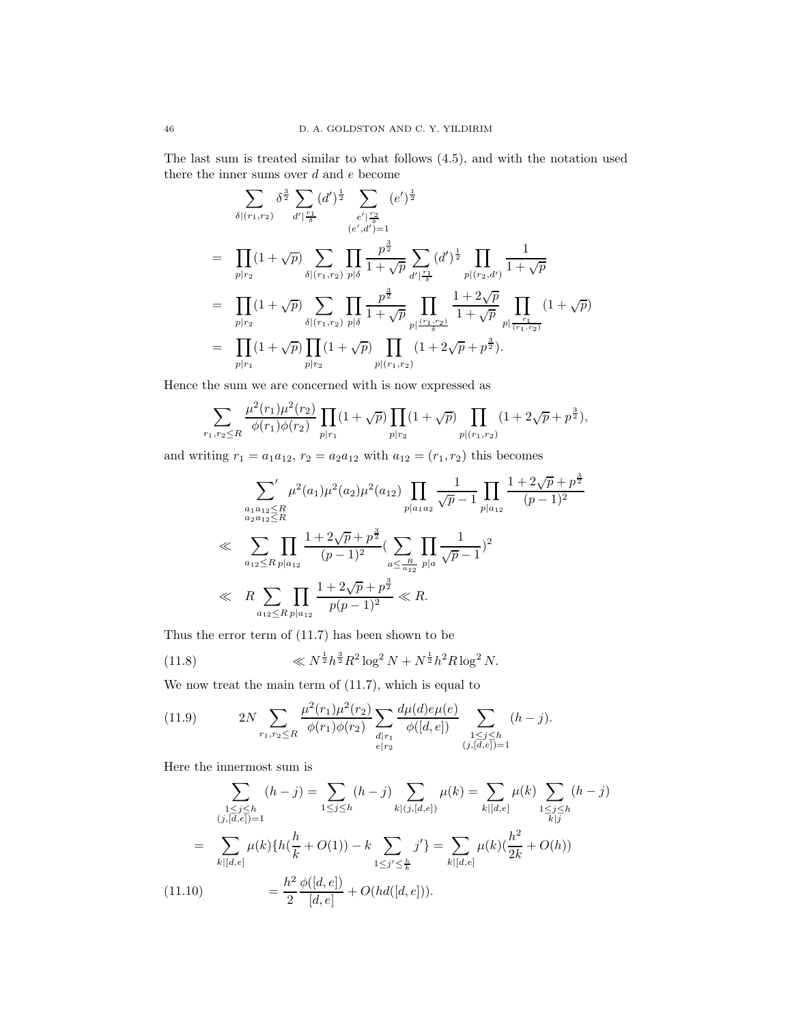The last sum is treated similar to what follows (4.5), and with the notation used there the inner sums over  $d$  and  $e$  become

$$
\sum_{\delta|(r_1,r_2)} \delta^{\frac{3}{2}} \sum_{d'|\frac{r_1}{\delta}} (d')^{\frac{1}{2}} \sum_{\substack{e'|\frac{r_2}{\delta} \\ (e',d')=1}} (e')^{\frac{1}{2}}
$$
\n
$$
= \prod_{p|r_2} (1+\sqrt{p}) \sum_{\delta|(r_1,r_2)} \prod_{p|\delta} \frac{p^{\frac{3}{2}}}{1+\sqrt{p}} \sum_{d'|\frac{r_1}{\delta}} (d')^{\frac{1}{2}} \prod_{p|(r_2,d')} \frac{1}{1+\sqrt{p}}
$$
\n
$$
= \prod_{p|r_2} (1+\sqrt{p}) \sum_{\delta|(r_1,r_2)} \prod_{p|\delta} \frac{p^{\frac{3}{2}}}{1+\sqrt{p}} \prod_{p|\frac{(r_1,r_2)}{1+\sqrt{p}} \prod_{p|\frac{r_1}{(r_1,r_2)}} (1+\sqrt{p})}
$$
\n
$$
= \prod_{p|r_1} (1+\sqrt{p}) \prod_{p|r_2} (1+\sqrt{p}) \prod_{p|(r_1,r_2)} (1+2\sqrt{p}+p^{\frac{3}{2}}).
$$

Hence the sum we are concerned with is now expressed as

$$
\sum_{r_1,r_2 \le R} \frac{\mu^2(r_1)\mu^2(r_2)}{\phi(r_1)\phi(r_2)} \prod_{p|r_1} (1+\sqrt{p}) \prod_{p|r_2} (1+\sqrt{p}) \prod_{p|(r_1,r_2)} (1+2\sqrt{p}+p^{\frac{3}{2}}),
$$

and writing  $r_1 = a_1 a_{12}$ ,  $r_2 = a_2 a_{12}$  with  $a_{12} = (r_1, r_2)$  this becomes

$$
\sum_{\substack{a_1 a_{12} \le R \\ a_2 a_{12} \le R}} \mu^2(a_1) \mu^2(a_2) \mu^2(a_{12}) \prod_{p|a_1 a_2} \frac{1}{\sqrt{p}-1} \prod_{p|a_{12}} \frac{1+2\sqrt{p}+p^{\frac{3}{2}}}{(p-1)^2}
$$
  

$$
\ll \sum_{a_{12} \le R} \prod_{p|a_{12}} \frac{1+2\sqrt{p}+p^{\frac{3}{2}}}{(p-1)^2} (\sum_{\substack{a \le \frac{R}{a_{12}}} p|a} \prod_{p|a} \frac{1}{\sqrt{p}-1})^2
$$
  

$$
\ll R \sum_{a_{12} \le R} \prod_{p|a_{12}} \frac{1+2\sqrt{p}+p^{\frac{3}{2}}}{p(p-1)^2} \ll R.
$$

Thus the error term of (11.7) has been shown to be

(11.8) 
$$
\ll N^{\frac{1}{2}} h^{\frac{3}{2}} R^2 \log^2 N + N^{\frac{1}{2}} h^2 R \log^2 N.
$$

We now treat the main term of (11.7), which is equal to

(11.9) 
$$
2N \sum_{r_1, r_2 \le R} \frac{\mu^2(r_1)\mu^2(r_2)}{\phi(r_1)\phi(r_2)} \sum_{\substack{d \mid r_1 \\ e \mid r_2}} \frac{d\mu(d)e\mu(e)}{\phi([d, e])} \sum_{\substack{1 \le j \le h \\ (j, [d, e]) = 1}} (h - j).
$$

Here the innermost sum is

$$
\sum_{\substack{1 \le j \le h \\ (j, [d,e])=1}} (h-j) = \sum_{1 \le j \le h} (h-j) \sum_{k|(j, [d,e])} \mu(k) = \sum_{k|[d,e]} \mu(k) \sum_{\substack{1 \le j \le h \\ k \ne j}} (h-j)
$$

$$
= \sum_{k|[d,e]} \mu(k) \{ h(\frac{h}{k} + O(1)) - k \sum_{1 \le j' \le \frac{h}{k}} j' \} = \sum_{k|[d,e]} \mu(k) (\frac{h^2}{2k} + O(h))
$$

$$
(11.10) = \frac{h^2}{2} \frac{\phi([d,e])}{[d,e]} + O(hd([d,e])).
$$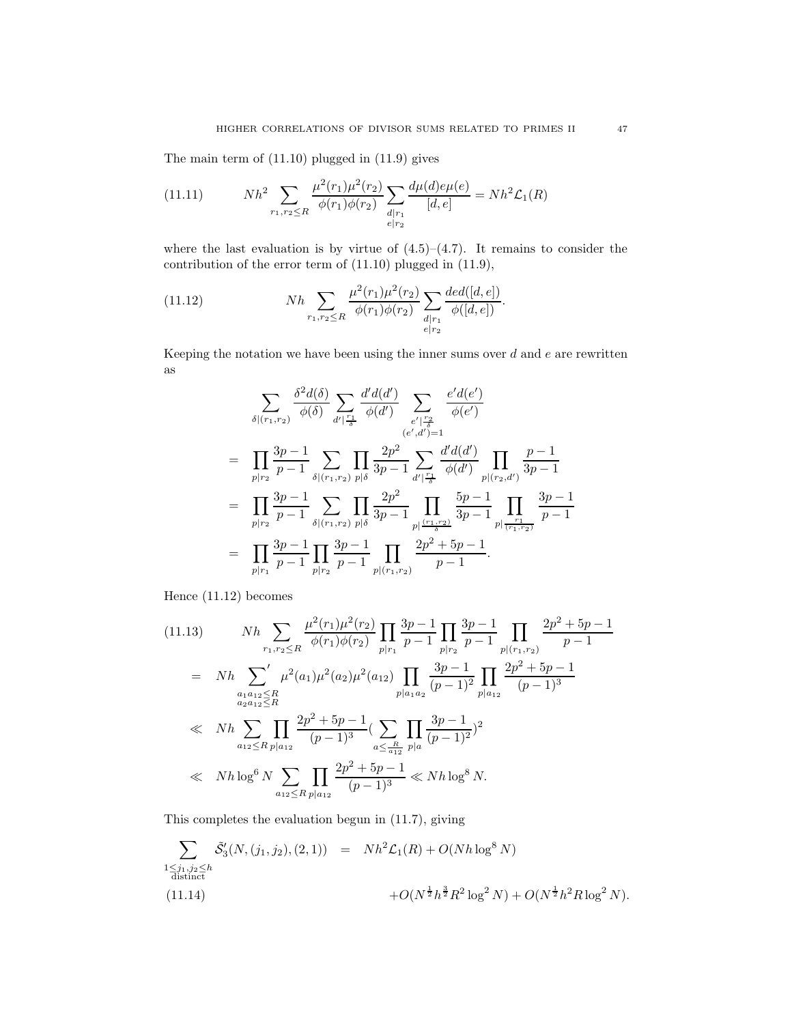The main term of (11.10) plugged in (11.9) gives

(11.11) 
$$
Nh^2 \sum_{r_1, r_2 \le R} \frac{\mu^2(r_1)\mu^2(r_2)}{\phi(r_1)\phi(r_2)} \sum_{\substack{d \mid r_1 \\ e \mid r_2}} \frac{d\mu(d)e\mu(e)}{[d, e]} = Nh^2\mathcal{L}_1(R)
$$

where the last evaluation is by virtue of  $(4.5)$ – $(4.7)$ . It remains to consider the contribution of the error term of (11.10) plugged in (11.9),

(11.12) 
$$
Nh \sum_{r_1, r_2 \le R} \frac{\mu^2(r_1)\mu^2(r_2)}{\phi(r_1)\phi(r_2)} \sum_{\substack{d \mid r_1 \\ e \mid r_2}} \frac{ded([d, e])}{\phi([d, e])}.
$$

Keeping the notation we have been using the inner sums over  $d$  and  $e$  are rewritten as

$$
\sum_{\delta|(r_1,r_2)} \frac{\delta^2 d(\delta)}{\phi(\delta)} \sum_{d'|\frac{r_1}{\delta}} \frac{d'd(d')}{\phi(d')} \sum_{\substack{e'|\frac{r_2}{\delta} \\ (e',d')=1}} \frac{e'd(e')}{\phi(e')}
$$
\n
$$
= \prod_{p|r_2} \frac{3p-1}{p-1} \sum_{\delta|(r_1,r_2)} \prod_{p|\delta} \frac{2p^2}{3p-1} \sum_{d'|\frac{r_1}{\delta}} \frac{d'd(d')}{\phi(d')} \prod_{p|(r_2,d')} \frac{p-1}{3p-1}
$$
\n
$$
= \prod_{p|r_2} \frac{3p-1}{p-1} \sum_{\delta|(r_1,r_2)} \prod_{p|\delta} \frac{2p^2}{3p-1} \prod_{p|\frac{r_1,r_2}{\delta}} \frac{5p-1}{3p-1} \prod_{p|\frac{r_1}{(r_1,r_2)}} \frac{3p-1}{p-1}
$$
\n
$$
= \prod_{p|r_1} \frac{3p-1}{p-1} \prod_{p|r_2} \frac{3p-1}{p-1} \prod_{p|(r_1,r_2)} \frac{2p^2+5p-1}{p-1}.
$$

Hence (11.12) becomes

$$
(11.13) \t Nh \sum_{r_1, r_2 \le R} \frac{\mu^2(r_1)\mu^2(r_2)}{\phi(r_1)\phi(r_2)} \prod_{p|r_1} \frac{3p-1}{p-1} \prod_{p|r_2} \frac{3p-1}{p-1} \prod_{p|(r_1, r_2)} \frac{2p^2+5p-1}{p-1}
$$
  
\n
$$
= Nh \sum_{\substack{a_1a_{12} \le R \\ a_2a_{12} \le R}} \mu^2(a_1)\mu^2(a_2)\mu^2(a_{12}) \prod_{p|a_{1a_2}} \frac{3p-1}{(p-1)^2} \prod_{p|a_{12}} \frac{2p^2+5p-1}{(p-1)^3}
$$
  
\n
$$
\ll Nh \sum_{a_{12} \le R} \prod_{p|a_{12}} \frac{2p^2+5p-1}{(p-1)^3} (\sum_{a \le \frac{R}{a_{12}}} \prod_{p|a} \frac{3p-1}{(p-1)^2})^2
$$
  
\n
$$
\ll Nh \log^6 N \sum_{a_{12} \le R} \prod_{p|a_{12}} \frac{2p^2+5p-1}{(p-1)^3} \ll Nh \log^8 N.
$$

This completes the evaluation begun in (11.7), giving

$$
\sum_{\substack{1 \leq j_1, j_2 \leq h \\ \text{distinct}}} \tilde{S}'_3(N, (j_1, j_2), (2, 1)) = Nh^2\mathcal{L}_1(R) + O(Nh \log^8 N) + O(N^{\frac{1}{2}}h^{\frac{3}{2}}R^2 \log^2 N) + O(N^{\frac{1}{2}}h^2R \log^2 N).
$$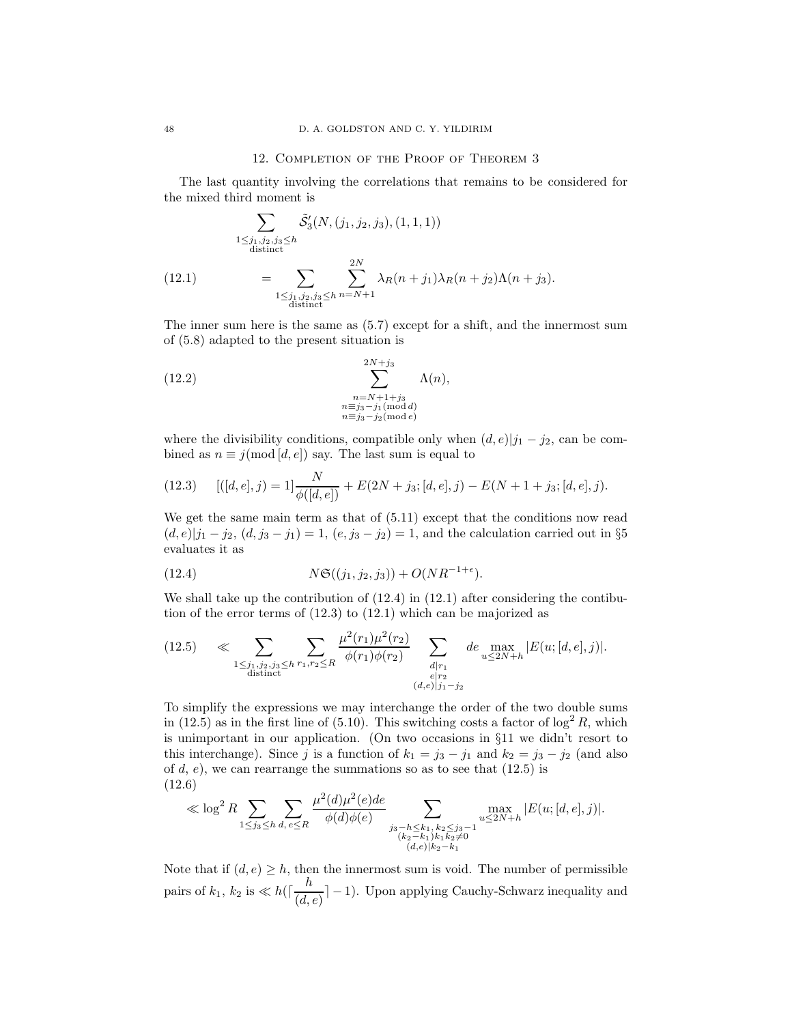### 12. Completion of the Proof of Theorem 3

The last quantity involving the correlations that remains to be considered for the mixed third moment is

$$
\sum_{\substack{1 \le j_1, j_2, j_3 \le h \\ \text{distinct}}} \tilde{S}'_3(N, (j_1, j_2, j_3), (1, 1, 1))
$$
\n
$$
= \sum_{\substack{1 \le j_1, j_2, j_3 \le h \\ \text{distinct}}} \sum_{n=N+1}^{2N} \lambda_R(n+j_1) \lambda_R(n+j_2) \Lambda(n+j_3).
$$

The inner sum here is the same as (5.7) except for a shift, and the innermost sum of (5.8) adapted to the present situation is

(12.2) 
$$
\sum_{\substack{n=N+1+j_3\\n\equiv j_3-j_1(\text{mod }d)\\n\equiv j_3-j_2(\text{mod }e)}}^{2N+j_3}\Lambda(n),
$$

where the divisibility conditions, compatible only when  $(d, e)|j_1 - j_2|$ , can be combined as  $n \equiv j \pmod{[d, e]}$  say. The last sum is equal to

(12.3) 
$$
[(d, e], j) = 1] \frac{N}{\phi([d, e])} + E(2N + j_3; [d, e], j) - E(N + 1 + j_3; [d, e], j).
$$

We get the same main term as that of  $(5.11)$  except that the conditions now read  $(d, e)|j_1 - j_2, (d, j_3 - j_1) = 1, (e, j_3 - j_2) = 1$ , and the calculation carried out in §5 evaluates it as

(12.4) 
$$
N\mathfrak{S}((j_1, j_2, j_3)) + O(NR^{-1+\epsilon}).
$$

We shall take up the contribution of (12.4) in (12.1) after considering the contibution of the error terms of (12.3) to (12.1) which can be majorized as

$$
(12.5) \quad \ll \sum_{\substack{1 \le j_1, j_2, j_3 \le h \\ \text{distinct}}} \sum_{r_1, r_2 \le R} \frac{\mu^2(r_1)\mu^2(r_2)}{\phi(r_1)\phi(r_2)} \sum_{\substack{d \mid r_1 \\ e \mid r_2}} d e_{\substack{\max \\ u \le 2N + h}} |E(u; [d, e], j)|.
$$

To simplify the expressions we may interchange the order of the two double sums in (12.5) as in the first line of (5.10). This switching costs a factor of  $\log^2 R$ , which is unimportant in our application. (On two occasions in §11 we didn't resort to this interchange). Since j is a function of  $k_1 = j_3 - j_1$  and  $k_2 = j_3 - j_2$  (and also of  $d, e$ , we can rearrange the summations so as to see that  $(12.5)$  is (12.6)

$$
\ll \log^2 R \sum_{1 \le j_3 \le h} \sum_{d, e \le R} \frac{\mu^2(d)\mu^2(e)de}{\phi(d)\phi(e)} \sum_{\substack{j_3 - h \le k_1, k_2 \le j_3 - 1 \\ (k_2 - k_1)k_1 k_2 \ne 0 \\ (d, e)|k_2 - k_1}} \max_{\substack{u \le 2N + h \\ u \le 2N + h}} |E(u; [d, e], j)|.
$$

Note that if  $(d, e) \geq h$ , then the innermost sum is void. The number of permissible pairs of  $k_1, k_2$  is  $\ll h(\lceil \frac{h}{\sqrt{d}} \rceil)$  $\left(\frac{a}{(d,e)}\right]$  – 1). Upon applying Cauchy-Schwarz inequality and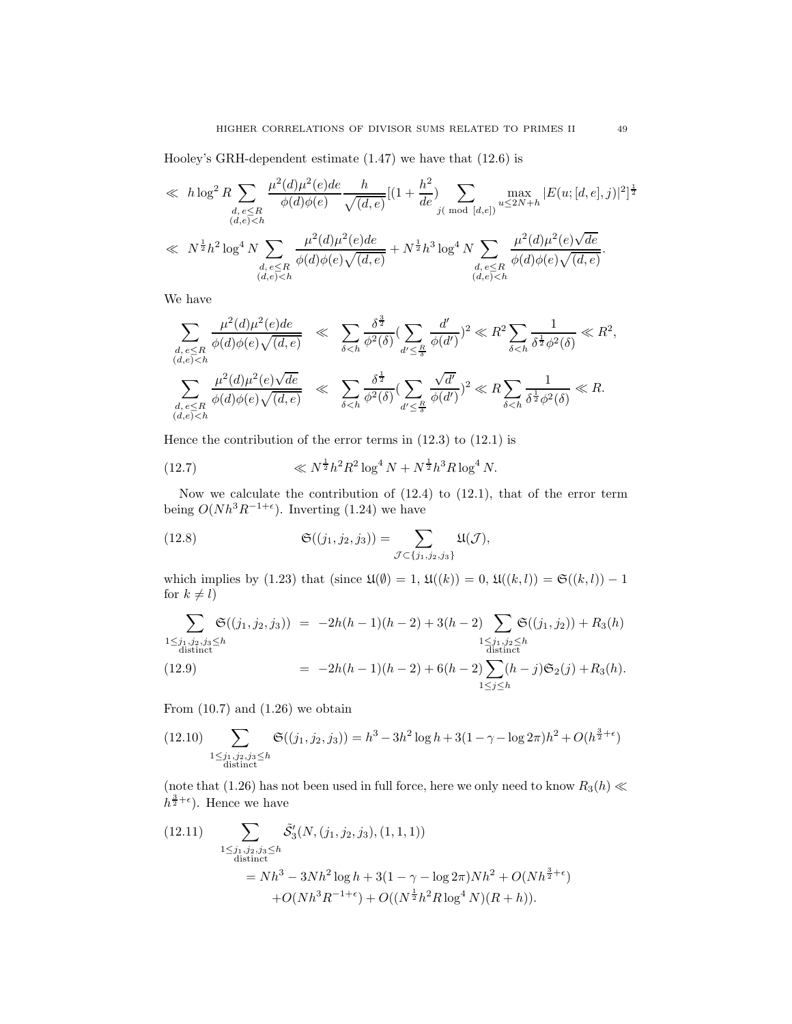Hooley's GRH-dependent estimate (1.47) we have that (12.6) is

$$
\ll h \log^{2} R \sum_{\substack{d,e \leq R \\ (d,e) < h}} \frac{\mu^{2}(d)\mu^{2}(e)de}{\phi(d)\phi(e)} \frac{h}{\sqrt{(d,e)}} [(1 + \frac{h^{2}}{de}) \sum_{j \in \text{mod } [d,e])} \max_{u \leq 2N + h} |E(u;[d,e],j)|^{2}]^{\frac{1}{2}}
$$
\n
$$
\ll N^{\frac{1}{2}} h^{2} \log^{4} N \sum_{\substack{d,e \leq R \\ (d,e) < h}} \frac{\mu^{2}(d)\mu^{2}(e)de}{\phi(d)\phi(e)\sqrt{(d,e)}} + N^{\frac{1}{2}} h^{3} \log^{4} N \sum_{\substack{d,e \leq R \\ (d,e) < h}} \frac{\mu^{2}(d)\mu^{2}(e)\sqrt{de}}{\phi(d)\phi(e)\sqrt{(d,e)}}.
$$

We have

$$
\sum_{\substack{d,e\leq R\\(d,e)
$$

Hence the contribution of the error terms in (12.3) to (12.1) is

(12.7) 
$$
\ll N^{\frac{1}{2}} h^2 R^2 \log^4 N + N^{\frac{1}{2}} h^3 R \log^4 N.
$$

Now we calculate the contribution of (12.4) to (12.1), that of the error term being  $O(Nh^3R^{-1+\epsilon})$ . Inverting (1.24) we have

(12.8) 
$$
\mathfrak{S}((j_1, j_2, j_3)) = \sum_{\mathcal{J} \subset \{j_1, j_2, j_3\}} \mathfrak{U}(\mathcal{J}),
$$

which implies by (1.23) that (since  $\mathfrak{U}(\emptyset) = 1$ ,  $\mathfrak{U}(\mathfrak{k}(k)) = 0$ ,  $\mathfrak{U}(\mathfrak{k}(k, l)) = \mathfrak{S}(\mathfrak{k}(k, l)) - 1$ for  $k \neq l$ )

$$
\sum_{\substack{1 \le j_1, j_2, j_3 \le h \\ \text{distinct}}} \mathfrak{S}((j_1, j_2, j_3)) = -2h(h-1)(h-2) + 3(h-2) \sum_{\substack{1 \le j_1, j_2 \le h \\ \text{distinct}}} \mathfrak{S}((j_1, j_2)) + R_3(h)
$$
\n
$$
= -2h(h-1)(h-2) + 6(h-2) \sum_{1 \le j \le h} (h-j) \mathfrak{S}_2(j) + R_3(h).
$$

From  $(10.7)$  and  $(1.26)$  we obtain

$$
(12.10)\sum_{\substack{1 \le j_1, j_2, j_3 \le h \\ \text{distinct}}} \mathfrak{S}((j_1, j_2, j_3)) = h^3 - 3h^2 \log h + 3(1 - \gamma - \log 2\pi)h^2 + O(h^{\frac{3}{2} + \epsilon})
$$

(note that (1.26) has not been used in full force, here we only need to know  $R_3(h) \ll$  $h^{\frac{3}{2}+\epsilon}$ ). Hence we have

(12.11) 
$$
\sum_{\substack{1 \le j_1, j_2, j_3 \le h \\ \text{distinct}}} \tilde{S}'_3(N, (j_1, j_2, j_3), (1, 1, 1))
$$
  
=  $Nh^3 - 3Nh^2 \log h + 3(1 - \gamma - \log 2\pi)Nh^2 + O(Nh^{\frac{3}{2} + \epsilon})$   
+  $O(Nh^3R^{-1+\epsilon}) + O((N^{\frac{1}{2}}h^2R \log^4 N)(R + h)).$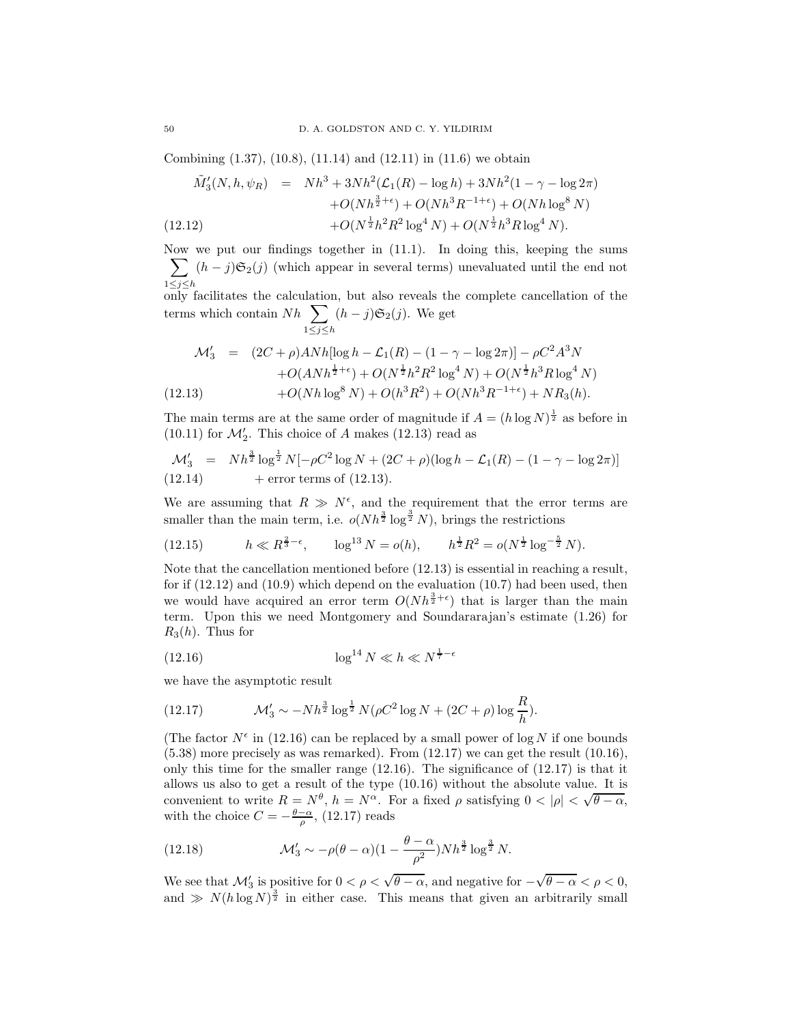Combining (1.37), (10.8), (11.14) and (12.11) in (11.6) we obtain

 $1\leq j\leq h$ 

$$
\tilde{M}'_3(N, h, \psi_R) = Nh^3 + 3Nh^2(\mathcal{L}_1(R) - \log h) + 3Nh^2(1 - \gamma - \log 2\pi) \n+ O(Nh^{\frac{3}{2}+\epsilon}) + O(Nh^3R^{-1+\epsilon}) + O(Nh\log^8 N) \n+ O(N^{\frac{1}{2}}h^2R^2\log^4 N) + O(N^{\frac{1}{2}}h^3R\log^4 N).
$$
\n(12.12)

Now we put our findings together in (11.1). In doing this, keeping the sums  $\sum_{i=1}^{n} (h - j) \mathfrak{S}_2(i)$  (which appear in several terms) unevaluated until the end not

1≤j≤h only facilitates the calculation, but also reveals the complete cancellation of the terms which contain  $Nh$  $(h - j)\mathfrak{S}_2(j)$ . We get

$$
\mathcal{M}'_3 = (2C + \rho) \text{AN}h[\log h - \mathcal{L}_1(R) - (1 - \gamma - \log 2\pi)] - \rho C^2 A^3 N
$$
  
+ O(ANh <sup>$\frac{1}{2} + \epsilon$</sup> ) + O(N <sup>$\frac{1}{2}$</sup> h<sup>2</sup>R<sup>2</sup>log<sup>4</sup> N) + O(N <sup>$\frac{1}{2}$</sup> h<sup>3</sup>Rlog<sup>4</sup> N)  
+ O(Nhlog<sup>8</sup> N) + O(h<sup>3</sup>R<sup>2</sup>) + O(Nh<sup>3</sup>R<sup>-1+\epsilon</sup>) + NR<sub>3</sub>(h).

The main terms are at the same order of magnitude if  $A = (h \log N)^{\frac{1}{2}}$  as before in  $(10.11)$  for  $\mathcal{M}'_2$ . This choice of A makes  $(12.13)$  read as

$$
\mathcal{M}'_3 = Nh^{\frac{3}{2}}\log^{\frac{1}{2}}N[-\rho C^2\log N + (2C+\rho)(\log h - \mathcal{L}_1(R) - (1-\gamma - \log 2\pi)]
$$
  
(12.14) + error terms of (12.13).

We are assuming that  $R \gg N^{\epsilon}$ , and the requirement that the error terms are smaller than the main term, i.e.  $o(Nh^{\frac{3}{2}}\log^{\frac{3}{2}}N)$ , brings the restrictions

(12.15) 
$$
h \ll R^{\frac{2}{3}-\epsilon}
$$
,  $\log^{13} N = o(h)$ ,  $h^{\frac{1}{2}} R^2 = o(N^{\frac{1}{2}} \log^{-\frac{5}{2}} N)$ .

Note that the cancellation mentioned before (12.13) is essential in reaching a result, for if  $(12.12)$  and  $(10.9)$  which depend on the evaluation  $(10.7)$  had been used, then we would have acquired an error term  $O(Nh^{\frac{3}{2}+\epsilon})$  that is larger than the main term. Upon this we need Montgomery and Soundararajan's estimate (1.26) for  $R_3(h)$ . Thus for

(12.16) 
$$
\log^{14} N \ll h \ll N^{\frac{1}{7}-\epsilon}
$$

we have the asymptotic result

(12.17) 
$$
\mathcal{M}'_3 \sim -Nh^{\frac{3}{2}}\log^{\frac{1}{2}}N(\rho C^2\log N + (2C+\rho)\log\frac{R}{h}).
$$

(The factor  $N^{\epsilon}$  in (12.16) can be replaced by a small power of log N if one bounds  $(5.38)$  more precisely as was remarked). From  $(12.17)$  we can get the result  $(10.16)$ , only this time for the smaller range  $(12.16)$ . The significance of  $(12.17)$  is that it allows us also to get a result of the type (10.16) without the absolute value. It is convenient to write  $R = N^{\theta}$ ,  $h = N^{\alpha}$ . For a fixed  $\rho$  satisfying  $0 < |\rho| < \sqrt{\theta - \alpha}$ , with the choice  $C = -\frac{\theta - \alpha}{\rho}$ , (12.17) reads

(12.18) 
$$
\mathcal{M}'_3 \sim -\rho(\theta - \alpha)(1 - \frac{\theta - \alpha}{\rho^2})Nh^{\frac{3}{2}}\log^{\frac{3}{2}}N.
$$

We see that  $\mathcal{M}'_3$  is positive for  $0 < \rho < \sqrt{\theta - \alpha}$ , and negative for  $-\sqrt{\theta - \alpha} < \rho < 0$ , and  $\gg N(h \log N)^{\frac{3}{2}}$  in either case. This means that given an arbitrarily small